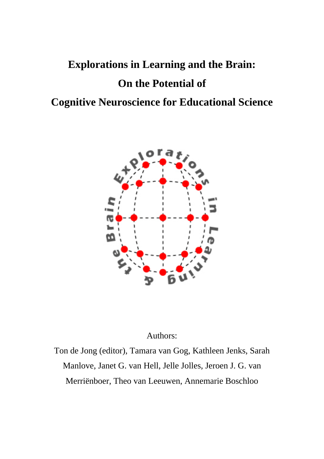# **Explorations in Learning and the Brain: On the Potential of Cognitive Neuroscience for Educational Science**



# Authors:

Ton de Jong (editor), Tamara van Gog, Kathleen Jenks, Sarah Manlove, Janet G. van Hell, Jelle Jolles, Jeroen J. G. van Merriënboer, Theo van Leeuwen, Annemarie Boschloo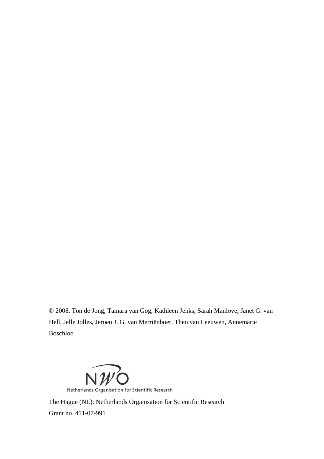© 2008. Ton de Jong, Tamara van Gog, Kathleen Jenks, Sarah Manlove, Janet G. van Hell, Jelle Jolles, Jeroen J. G. van Merriënboer, Theo van Leeuwen, Annemarie Boschloo



The Hague (NL): Netherlands Organisation for Scientific Research Grant no. 411-07-991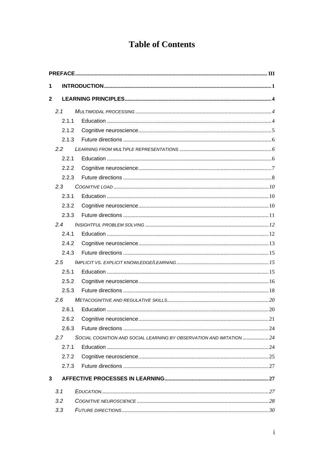# **Table of Contents**

| $INSIGHTFUL PROBLEM SOLVING$                                        |
|---------------------------------------------------------------------|
|                                                                     |
|                                                                     |
|                                                                     |
|                                                                     |
|                                                                     |
|                                                                     |
|                                                                     |
|                                                                     |
|                                                                     |
|                                                                     |
|                                                                     |
| SOCIAL COGNITION AND SOCIAL LEARNING BY OBSERVATION AND IMITATION24 |
|                                                                     |
|                                                                     |
|                                                                     |
|                                                                     |
|                                                                     |
|                                                                     |
|                                                                     |
|                                                                     |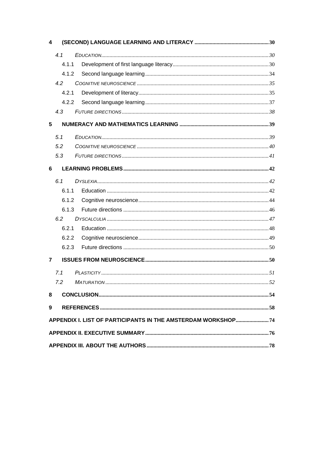| 4              |       |                                                             |  |  |
|----------------|-------|-------------------------------------------------------------|--|--|
|                | 4.1   |                                                             |  |  |
|                | 4.1.1 |                                                             |  |  |
|                | 4.1.2 |                                                             |  |  |
|                | 4.2   |                                                             |  |  |
|                | 4.2.1 |                                                             |  |  |
|                | 4.2.2 |                                                             |  |  |
|                | 4.3   |                                                             |  |  |
| 5              |       |                                                             |  |  |
|                | 5.1   |                                                             |  |  |
|                | 5.2   |                                                             |  |  |
|                | 5.3   |                                                             |  |  |
| 6              |       |                                                             |  |  |
|                | 6.1   |                                                             |  |  |
|                | 6.1.1 |                                                             |  |  |
|                | 6.1.2 |                                                             |  |  |
|                | 6.1.3 |                                                             |  |  |
|                | 6.2   |                                                             |  |  |
|                | 6.2.1 |                                                             |  |  |
|                | 6.2.2 |                                                             |  |  |
|                | 6.2.3 |                                                             |  |  |
| $\overline{7}$ |       |                                                             |  |  |
|                | 7.1   |                                                             |  |  |
|                | 7.2   | 52<br><i>Maturation</i>                                     |  |  |
| 8              |       |                                                             |  |  |
|                |       |                                                             |  |  |
|                |       | APPENDIX I. LIST OF PARTICIPANTS IN THE AMSTERDAM WORKSHOP? |  |  |
|                |       |                                                             |  |  |
|                |       |                                                             |  |  |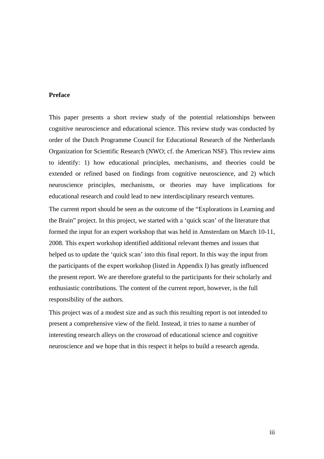# <span id="page-4-0"></span>**Preface**

This paper presents a short review study of the potential relationships between cognitive neuroscience and educational science. This review study was conducted by order of the Dutch Programme Council for Educational Research of the Netherlands Organization for Scientific Research (NWO; cf. the American NSF). This review aims to identify: 1) how educational principles, mechanisms, and theories could be extended or refined based on findings from cognitive neuroscience, and 2) which neuroscience principles, mechanisms, or theories may have implications for educational research and could lead to new interdisciplinary research ventures.

The current report should be seen as the outcome of the "Explorations in Learning and the Brain" project. In this project, we started with a 'quick scan' of the literature that formed the input for an expert workshop that was held in Amsterdam on March 10-11, 2008. This expert workshop identified additional relevant themes and issues that helped us to update the 'quick scan' into this final report. In this way the input from the participants of the expert workshop (listed in Appendix I) has greatly influenced the present report. We are therefore grateful to the participants for their scholarly and enthusiastic contributions. The content of the current report, however, is the full responsibility of the authors.

This project was of a modest size and as such this resulting report is not intended to present a comprehensive view of the field. Instead, it tries to name a number of interesting research alleys on the crossroad of educational science and cognitive neuroscience and we hope that in this respect it helps to build a research agenda.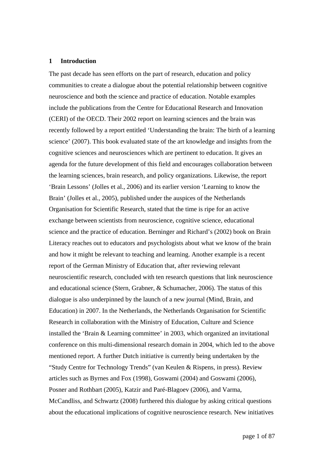### <span id="page-6-0"></span>**1 Introduction**

The past decade has seen efforts on the part of research, education and policy communities to create a dialogue about the potential relationship between cognitive neuroscience and both the science and practice of education. Notable examples include the publications from the Centre for Educational Research and Innovation (CERI) of the OECD. Their 2002 report on learning sciences and the brain was recently followed by a report entitled 'Understanding the brain: The birth of a learning science' (2007). This book evaluated state of the art knowledge and insights from the cognitive sciences and neurosciences which are pertinent to education. It gives an agenda for the future development of this field and encourages collaboration between the learning sciences, brain research, and policy organizations. Likewise, the report 'Brain Lessons' (Jolles et al., 2006) and its earlier version 'Learning to know the Brain' (Jolles et al., 2005), published under the auspices of the Netherlands Organisation for Scientific Research, stated that the time is ripe for an active exchange between scientists from neuroscience, cognitive science, educational science and the practice of education. Berninger and Richard's (2002) book on Brain Literacy reaches out to educators and psychologists about what we know of the brain and how it might be relevant to teaching and learning. Another example is a recent report of the German Ministry of Education that, after reviewing relevant neuroscientific research, concluded with ten research questions that link neuroscience and educational science (Stern, Grabner, & Schumacher, 2006). The status of this dialogue is also underpinned by the launch of a new journal (Mind, Brain, and Education) in 2007. In the Netherlands, the Netherlands Organisation for Scientific Research in collaboration with the Ministry of Education, Culture and Science installed the 'Brain & Learning committee' in 2003, which organized an invitational conference on this multi-dimensional research domain in 2004, which led to the above mentioned report. A further Dutch initiative is currently being undertaken by the "Study Centre for Technology Trends" (van Keulen & Rispens, in press). Review articles such as Byrnes and Fox (1998), Goswami (2004) and Goswami (2006), Posner and Rothbart (2005), Katzir and Paré-Blagoev (2006), and Varma, McCandliss, and Schwartz (2008) furthered this dialogue by asking critical questions about the educational implications of cognitive neuroscience research. New initiatives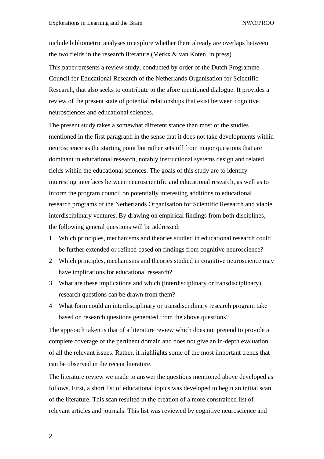include bibliometric analyses to explore whether there already are overlaps between the two fields in the research literature (Merkx & van Koten, in press).

This paper presents a review study, conducted by order of the Dutch Programme Council for Educational Research of the Netherlands Organisation for Scientific Research, that also seeks to contribute to the afore mentioned dialogue. It provides a review of the present state of potential relationships that exist between cognitive neurosciences and educational sciences.

The present study takes a somewhat different stance than most of the studies mentioned in the first paragraph in the sense that it does not take developments within neuroscience as the starting point but rather sets off from major questions that are dominant in educational research, notably instructional systems design and related fields within the educational sciences. The goals of this study are to identify interesting interfaces between neuroscientific and educational research, as well as to inform the program council on potentially interesting additions to educational research programs of the Netherlands Organisation for Scientific Research and viable interdisciplinary ventures. By drawing on empirical findings from both disciplines, the following general questions will be addressed:

- 1 Which principles, mechanisms and theories studied in educational research could be further extended or refined based on findings from cognitive neuroscience?
- 2 Which principles, mechanisms and theories studied in cognitive neuroscience may have implications for educational research?
- 3 What are these implications and which (interdisciplinary or transdisciplinary) research questions can be drawn from them?
- 4 What form could an interdisciplinary or transdisciplinary research program take based on research questions generated from the above questions?

The approach taken is that of a literature review which does not pretend to provide a complete coverage of the pertinent domain and does not give an in-depth evaluation of all the relevant issues. Rather, it highlights some of the most important trends that can be observed in the recent literature.

The literature review we made to answer the questions mentioned above developed as follows. First, a short list of educational topics was developed to begin an initial scan of the literature. This scan resulted in the creation of a more constrained list of relevant articles and journals. This list was reviewed by cognitive neuroscience and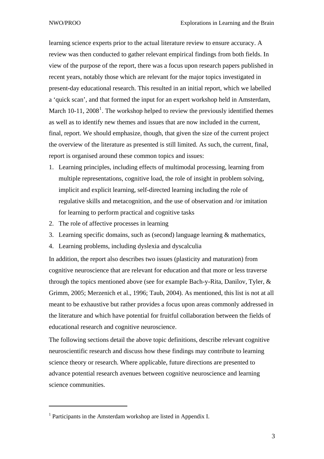learning science experts prior to the actual literature review to ensure accuracy. A review was then conducted to gather relevant empirical findings from both fields. In view of the purpose of the report, there was a focus upon research papers published in recent years, notably those which are relevant for the major topics investigated in present-day educational research. This resulted in an initial report, which we labelled a 'quick scan', and that formed the input for an expert workshop held in Amsterdam, March [1](#page-8-0)0-11, 2008<sup>1</sup>. The workshop helped to review the previously identified themes as well as to identify new themes and issues that are now included in the current, final, report. We should emphasize, though, that given the size of the current project the overview of the literature as presented is still limited. As such, the current, final, report is organised around these common topics and issues:

- 1. Learning principles, including effects of multimodal processing, learning from multiple representations, cognitive load, the role of insight in problem solving, implicit and explicit learning, self-directed learning including the role of regulative skills and metacognition, and the use of observation and /or imitation for learning to perform practical and cognitive tasks
- 2. The role of affective processes in learning
- 3. Learning specific domains, such as (second) language learning & mathematics,
- 4. Learning problems, including dyslexia and dyscalculia

In addition, the report also describes two issues (plasticity and maturation) from cognitive neuroscience that are relevant for education and that more or less traverse through the topics mentioned above (see for example Bach-y-Rita, Danilov, Tyler, & Grimm, 2005; Merzenich et al., 1996; Taub, 2004). As mentioned, this list is not at all meant to be exhaustive but rather provides a focus upon areas commonly addressed in the literature and which have potential for fruitful collaboration between the fields of educational research and cognitive neuroscience.

The following sections detail the above topic definitions, describe relevant cognitive neuroscientific research and discuss how these findings may contribute to learning science theory or research. Where applicable, future directions are presented to advance potential research avenues between cognitive neuroscience and learning science communities.

 $\overline{a}$ 

<span id="page-8-0"></span><sup>&</sup>lt;sup>1</sup> Participants in the Amsterdam workshop are listed in Appendix I.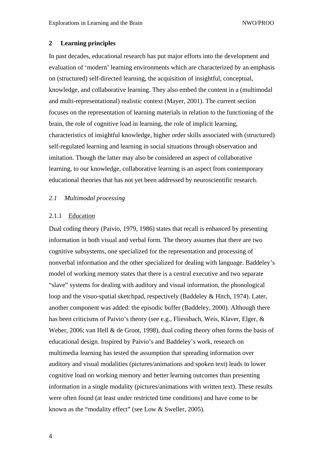# <span id="page-9-0"></span>**2 Learning principles**

In past decades, educational research has put major efforts into the development and evaluation of 'modern' learning environments which are characterized by an emphasis on (structured) self-directed learning, the acquisition of insightful, conceptual, knowledge, and collaborative learning. They also embed the content in a (multimodal and multi-representational) realistic context (Mayer, 2001). The current section focuses on the representation of learning materials in relation to the functioning of the brain, the role of cognitive load in learning, the role of implicit learning, characteristics of insightful knowledge, higher order skills associated with (structured) self-regulated learning and learning in social situations through observation and imitation. Though the latter may also be considered an aspect of collaborative learning, to our knowledge, collaborative learning is an aspect from contemporary educational theories that has not yet been addressed by neuroscientific research.

# <span id="page-9-1"></span>*2.1 Multimodal processing*

# 2.1.1 Education

Dual coding theory (Paivio, 1979, 1986) states that recall is enhanced by presenting information in both visual and verbal form. The theory assumes that there are two cognitive subsystems, one specialized for the representation and processing of nonverbal information and the other specialized for dealing with language. Baddeley's model of working memory states that there is a central executive and two separate "slave" systems for dealing with auditory and visual information, the phonological loop and the visuo-spatial sketchpad, respectively (Baddeley & Hitch, 1974). Later, another component was added: the episodic buffer (Baddeley, 2000). Although there has been criticisms of Paivio's theory (see e.g., Fliessbach, Weis, Klaver, Elger, & Weber, 2006; van Hell & de Groot, 1998), dual coding theory often forms the basis of educational design. Inspired by Paivio's and Baddeley's work, research on multimedia learning has tested the assumption that spreading information over auditory and visual modalities (pictures/animations and spoken text) leads to lower cognitive load on working memory and better learning outcomes than presenting information in a single modality (pictures/animations with written text). These results were often found (at least under restricted time conditions) and have come to be known as the "modality effect" (see Low & Sweller, 2005).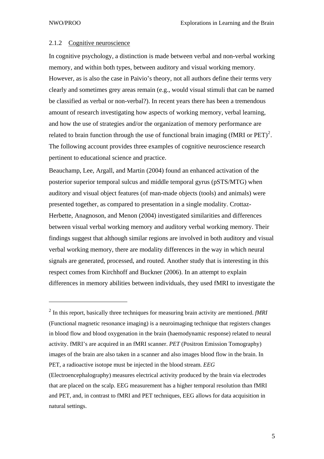$\overline{a}$ 

# <span id="page-10-0"></span>2.1.2 Cognitive neuroscience

In cognitive psychology, a distinction is made between verbal and non-verbal working memory, and within both types, between auditory and visual working memory. However, as is also the case in Paivio's theory, not all authors define their terms very clearly and sometimes grey areas remain (e.g., would visual stimuli that can be named be classified as verbal or non-verbal?). In recent years there has been a tremendous amount of research investigating how aspects of working memory, verbal learning, and how the use of strategies and/or the organization of memory performance are related to brain function through the use of functional brain imaging (fMRI or  $PET)^2$  $PET)^2$ . The following account provides three examples of cognitive neuroscience research pertinent to educational science and practice.

Beauchamp, Lee, Argall, and Martin (2004) found an enhanced activation of the posterior superior temporal sulcus and middle temporal gyrus (pSTS/MTG) when auditory and visual object features (of man-made objects (tools) and animals) were presented together, as compared to presentation in a single modality. Crottaz-Herbette, Anagnoson, and Menon (2004) investigated similarities and differences between visual verbal working memory and auditory verbal working memory. Their findings suggest that although similar regions are involved in both auditory and visual verbal working memory, there are modality differences in the way in which neural signals are generated, processed, and routed. Another study that is interesting in this respect comes from Kirchhoff and Buckner (2006). In an attempt to explain differences in memory abilities between individuals, they used fMRI to investigate the

<span id="page-10-1"></span><sup>2</sup> In this report, basically three techniques for measuring brain activity are mentioned. *fMRI* (Functional magnetic resonance imaging) is a neuroimaging technique that registers changes in [blood flow](http://en.wikipedia.org/wiki/Blood_flow) and blood oxygenation in the [brain](http://en.wikipedia.org/wiki/Brain) [\(haemodynamic response](http://en.wikipedia.org/wiki/Haemodynamic_response)) related to neural activity. fMRI's are acquired in an fMRI scanner. *PET* (Positron Emission Tomography) images of the brain are also taken in a scanner and also images blood flow in the brain. In PET, a radioactive isotope must be injected in the blood stream. *EEG* (Electroencephalography) measures [electrical](http://en.wikipedia.org/wiki/Electrical) activity produced by the [brain](http://en.wikipedia.org/wiki/Brain) via [electrodes](http://en.wikipedia.org/wiki/Electrodes) that are placed on the scalp. EEG measurement has a higher temporal resolution than fMRI and PET, and, in contrast to fMRI and PET techniques, EEG allows for data acquisition in natural settings.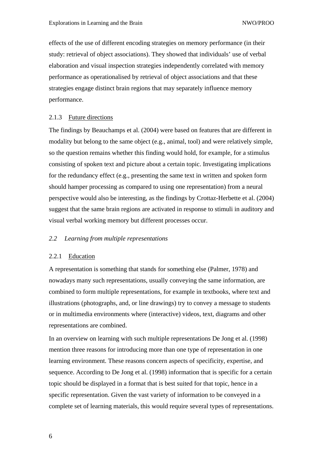<span id="page-11-0"></span>effects of the use of different encoding strategies on memory performance (in their study: retrieval of object associations). They showed that individuals' use of verbal elaboration and visual inspection strategies independently correlated with memory performance as operationalised by retrieval of object associations and that these strategies engage distinct brain regions that may separately influence memory performance.

# 2.1.3 Future directions

The findings by Beauchamps et al. (2004) were based on features that are different in modality but belong to the same object (e.g., animal, tool) and were relatively simple, so the question remains whether this finding would hold, for example, for a stimulus consisting of spoken text and picture about a certain topic. Investigating implications for the redundancy effect (e.g., presenting the same text in written and spoken form should hamper processing as compared to using one representation) from a neural perspective would also be interesting, as the findings by Crottaz-Herbette et al. (2004) suggest that the same brain regions are activated in response to stimuli in auditory and visual verbal working memory but different processes occur.

# *2.2 Learning from multiple representations*

### 2.2.1 Education

A representation is something that stands for something else (Palmer, 1978) and nowadays many such representations, usually conveying the same information, are combined to form multiple representations, for example in textbooks, where text and illustrations (photographs, and, or line drawings) try to convey a message to students or in multimedia environments where (interactive) videos, text, diagrams and other representations are combined.

In an overview on learning with such multiple representations De Jong et al. (1998) mention three reasons for introducing more than one type of representation in one learning environment. These reasons concern aspects of specificity, expertise, and sequence. According to De Jong et al. (1998) information that is specific for a certain topic should be displayed in a format that is best suited for that topic, hence in a specific representation. Given the vast variety of information to be conveyed in a complete set of learning materials, this would require several types of representations.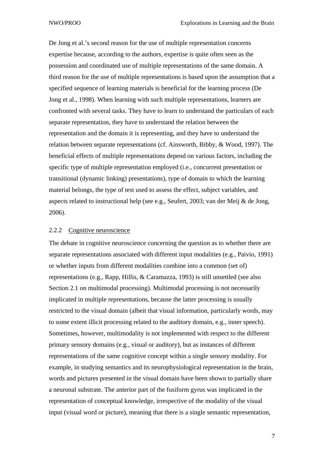<span id="page-12-0"></span>De Jong et al.'s second reason for the use of multiple representation concerns expertise because, according to the authors, expertise is quite often seen as the possession and coordinated use of multiple representations of the same domain. A third reason for the use of multiple representations is based upon the assumption that a specified sequence of learning materials is beneficial for the learning process (De Jong et al., 1998). When learning with such multiple representations, learners are confronted with several tasks. They have to learn to understand the particulars of each separate representation, they have to understand the relation between the representation and the domain it is representing, and they have to understand the relation between separate representations (cf. Ainsworth, Bibby, & Wood, 1997). The beneficial effects of multiple representations depend on various factors, including the specific type of multiple representation employed (i.e., concurrent presentation or transitional (dynamic linking) presentations), type of domain to which the learning material belongs, the type of test used to assess the effect, subject variables, and aspects related to instructional help (see e.g., Seufert, 2003; van der Meij & de Jong, 2006).

# 2.2.2 Cognitive neuroscience

The debate in cognitive neuroscience concerning the question as to whether there are separate representations associated with different input modalities (e.g., Paivio, 1991) or whether inputs from different modalities combine into a common (set of) representations (e.g., Rapp, Hillis, & Caramazza, 1993) is still unsettled (see also Section [2.1](#page-9-1) on multimodal processing). Multimodal processing is not necessarily implicated in multiple representations, because the latter processing is usually restricted to the visual domain (albeit that visual information, particularly words, may to some extent illicit processing related to the auditory domain, e.g., inner speech). Sometimes, however, multimodality is not implemented with respect to the different primary sensory domains (e.g., visual or auditory), but as instances of different representations of the same cognitive concept within a single sensory modality. For example, in studying semantics and its neurophysiological representation in the brain, words and pictures presented in the visual domain have been shown to partially share a neuronal substrate. The anterior part of the fusiform gyrus was implicated in the representation of conceptual knowledge, irrespective of the modality of the visual input (visual word or picture), meaning that there is a single semantic representation,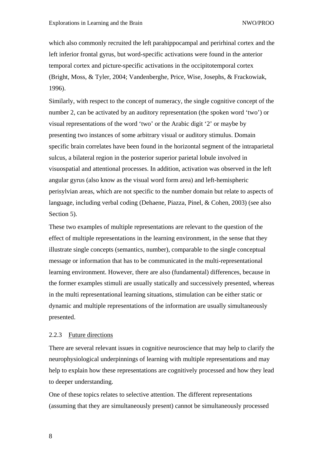<span id="page-13-0"></span>which also commonly recruited the left parahippocampal and perirhinal cortex and the left inferior frontal gyrus, but word-specific activations were found in the anterior temporal cortex and picture-specific activations in the occipitotemporal cortex (Bright, Moss, & Tyler, 2004; Vandenberghe, Price, Wise, Josephs, & Frackowiak, 1996).

Similarly, with respect to the concept of numeracy, the single cognitive concept of the number 2, can be activated by an auditory representation (the spoken word 'two') or visual representations of the word 'two' or the Arabic digit '2' or maybe by presenting two instances of some arbitrary visual or auditory stimulus. Domain specific brain correlates have been found in the horizontal segment of the intraparietal sulcus, a bilateral region in the posterior superior parietal lobule involved in visuospatial and attentional processes. In addition, activation was observed in the left angular gyrus (also know as the visual word form area) and left-hemispheric perisylvian areas, which are not specific to the number domain but relate to aspects of language, including verbal coding (Dehaene, Piazza, Pinel, & Cohen, 2003) (see also Section [5\)](#page-44-1).

These two examples of multiple representations are relevant to the question of the effect of multiple representations in the learning environment, in the sense that they illustrate single concepts (semantics, number), comparable to the single conceptual message or information that has to be communicated in the multi-representational learning environment. However, there are also (fundamental) differences, because in the former examples stimuli are usually statically and successively presented, whereas in the multi representational learning situations, stimulation can be either static or dynamic and multiple representations of the information are usually simultaneously presented.

# 2.2.3 Future directions

There are several relevant issues in cognitive neuroscience that may help to clarify the neurophysiological underpinnings of learning with multiple representations and may help to explain how these representations are cognitively processed and how they lead to deeper understanding.

One of these topics relates to selective attention. The different representations (assuming that they are simultaneously present) cannot be simultaneously processed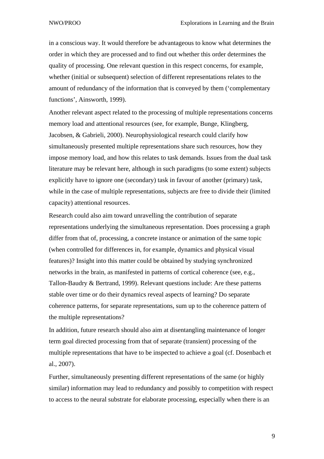in a conscious way. It would therefore be advantageous to know what determines the order in which they are processed and to find out whether this order determines the quality of processing. One relevant question in this respect concerns, for example, whether (initial or subsequent) selection of different representations relates to the amount of redundancy of the information that is conveyed by them ('complementary functions', Ainsworth, 1999).

Another relevant aspect related to the processing of multiple representations concerns memory load and attentional resources (see, for example, Bunge, Klingberg, Jacobsen, & Gabrieli, 2000). Neurophysiological research could clarify how simultaneously presented multiple representations share such resources, how they impose memory load, and how this relates to task demands. Issues from the dual task literature may be relevant here, although in such paradigms (to some extent) subjects explicitly have to ignore one (secondary) task in favour of another (primary) task, while in the case of multiple representations, subjects are free to divide their (limited capacity) attentional resources.

Research could also aim toward unravelling the contribution of separate representations underlying the simultaneous representation. Does processing a graph differ from that of, processing, a concrete instance or animation of the same topic (when controlled for differences in, for example, dynamics and physical visual features)? Insight into this matter could be obtained by studying synchronized networks in the brain, as manifested in patterns of cortical coherence (see, e.g., Tallon-Baudry & Bertrand, 1999). Relevant questions include: Are these patterns stable over time or do their dynamics reveal aspects of learning? Do separate coherence patterns, for separate representations, sum up to the coherence pattern of the multiple representations?

In addition, future research should also aim at disentangling maintenance of longer term goal directed processing from that of separate (transient) processing of the multiple representations that have to be inspected to achieve a goal (cf. Dosenbach et al., 2007).

Further, simultaneously presenting different representations of the same (or highly similar) information may lead to redundancy and possibly to competition with respect to access to the neural substrate for elaborate processing, especially when there is an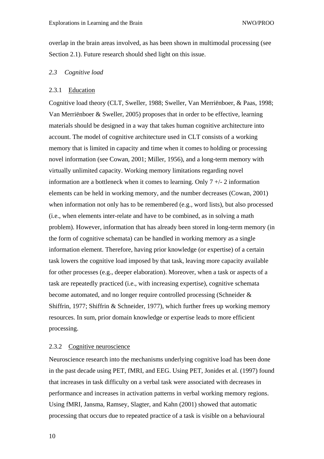<span id="page-15-0"></span>overlap in the brain areas involved, as has been shown in multimodal processing (see Section [2.1\)](#page-9-1). Future research should shed light on this issue.

# *2.3 Cognitive load*

# 2.3.1 Education

Cognitive load theory (CLT, Sweller, 1988; Sweller, Van Merriënboer, & Paas, 1998; Van Merriënboer & Sweller, 2005) proposes that in order to be effective, learning materials should be designed in a way that takes human cognitive architecture into account. The model of cognitive architecture used in CLT consists of a working memory that is limited in capacity and time when it comes to holding or processing novel information (see Cowan, 2001; Miller, 1956), and a long-term memory with virtually unlimited capacity. Working memory limitations regarding novel information are a bottleneck when it comes to learning. Only  $7 +/- 2$  information elements can be held in working memory, and the number decreases (Cowan, 2001) when information not only has to be remembered (e.g., word lists), but also processed (i.e., when elements inter-relate and have to be combined, as in solving a math problem). However, information that has already been stored in long-term memory (in the form of cognitive schemata) can be handled in working memory as a single information element. Therefore, having prior knowledge (or expertise) of a certain task lowers the cognitive load imposed by that task, leaving more capacity available for other processes (e.g., deeper elaboration). Moreover, when a task or aspects of a task are repeatedly practiced (i.e., with increasing expertise), cognitive schemata become automated, and no longer require controlled processing (Schneider & Shiffrin, 1977; Shiffrin & Schneider, 1977), which further frees up working memory resources. In sum, prior domain knowledge or expertise leads to more efficient processing.

# 2.3.2 Cognitive neuroscience

Neuroscience research into the mechanisms underlying cognitive load has been done in the past decade using PET, fMRI, and EEG. Using PET, Jonides et al. (1997) found that increases in task difficulty on a verbal task were associated with decreases in performance and increases in activation patterns in verbal working memory regions. Using fMRI, Jansma, Ramsey, Slagter, and Kahn (2001) showed that automatic processing that occurs due to repeated practice of a task is visible on a behavioural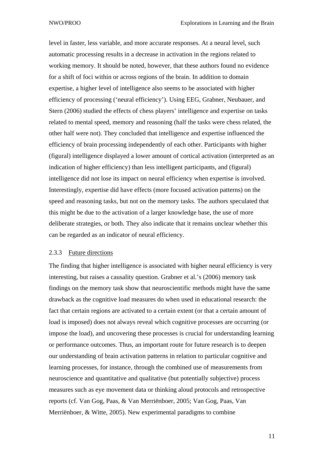<span id="page-16-0"></span>level in faster, less variable, and more accurate responses. At a neural level, such automatic processing results in a decrease in activation in the regions related to working memory. It should be noted, however, that these authors found no evidence for a shift of foci within or across regions of the brain. In addition to domain expertise, a higher level of intelligence also seems to be associated with higher efficiency of processing ('neural efficiency'). Using EEG, Grabner, Neubauer, and Stern (2006) studied the effects of chess players' intelligence and expertise on tasks related to mental speed, memory and reasoning (half the tasks were chess related, the other half were not). They concluded that intelligence and expertise influenced the efficiency of brain processing independently of each other. Participants with higher (figural) intelligence displayed a lower amount of cortical activation (interpreted as an indication of higher efficiency) than less intelligent participants, and (figural) intelligence did not lose its impact on neural efficiency when expertise is involved. Interestingly, expertise did have effects (more focused activation patterns) on the speed and reasoning tasks, but not on the memory tasks. The authors speculated that this might be due to the activation of a larger knowledge base, the use of more deliberate strategies, or both. They also indicate that it remains unclear whether this can be regarded as an indicator of neural efficiency.

# 2.3.3 Future directions

The finding that higher intelligence is associated with higher neural efficiency is very interesting, but raises a causality question. Grabner et al.'s (2006) memory task findings on the memory task show that neuroscientific methods might have the same drawback as the cognitive load measures do when used in educational research: the fact that certain regions are activated to a certain extent (or that a certain amount of load is imposed) does not always reveal which cognitive processes are occurring (or impose the load), and uncovering these processes is crucial for understanding learning or performance outcomes. Thus, an important route for future research is to deepen our understanding of brain activation patterns in relation to particular cognitive and learning processes, for instance, through the combined use of measurements from neuroscience and quantitative and qualitative (but potentially subjective) process measures such as eye movement data or thinking aloud protocols and retrospective reports (cf. Van Gog, Paas, & Van Merriënboer, 2005; Van Gog, Paas, Van Merriënboer, & Witte, 2005). New experimental paradigms to combine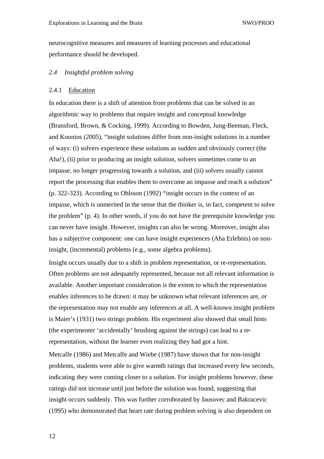<span id="page-17-0"></span>neurocognitive measures and measures of learning processes and educational performance should be developed.

# <span id="page-17-1"></span>*2.4 Insightful problem solving*

# 2.4.1 Education

In education there is a shift of attention from problems that can be solved in an algorithmic way to problems that require insight and conceptual knowledge (Bransford, Brown, & Cocking, 1999). According to Bowden, Jung-Beeman, Fleck, and Kounios (2005), "insight solutions differ from non-insight solutions in a number of ways: (i) solvers experience these solutions as sudden and obviously correct (the Aha!), (ii) prior to producing an insight solution, solvers sometimes come to an impasse, no longer progressing towards a solution, and (iii) solvers usually cannot report the processing that enables them to overcome an impasse and reach a solution" (p. 322-323). According to Ohlsson (1992) "insight occurs in the context of an impasse, which is unmerited in the sense that the thinker is, in fact, competent to solve the problem" (p. 4). In other words, if you do not have the prerequisite knowledge you can never have insight. However, insights can also be wrong. Moreover, insight also has a subjective component: one can have insight experiences (Aha Erlebnis) on noninsight, (incremental) problems (e.g., some algebra problems).

Insight occurs usually due to a shift in problem representation, or re-representation. Often problems are not adequately represented, because not all relevant information is available. Another important consideration is the extent to which the representation enables inferences to be drawn: it may be unknown what relevant inferences are, or the representation may not enable any inferences at all. A well-known insight problem is Maier's (1931) two strings problem. His experiment also showed that small hints (the experimenter 'accidentally' brushing against the strings) can lead to a rerepresentation, without the learner even realizing they had got a hint.

Metcalfe (1986) and Metcalfe and Wiebe (1987) have shown that for non-insight problems, students were able to give warmth ratings that increased every few seconds, indicating they were coming closer to a solution. For insight problems however, these ratings did not increase until just before the solution was found, suggesting that insight occurs suddenly. This was further corroborated by Jausovec and Bakracevic (1995) who demonstrated that heart rate during problem solving is also dependent on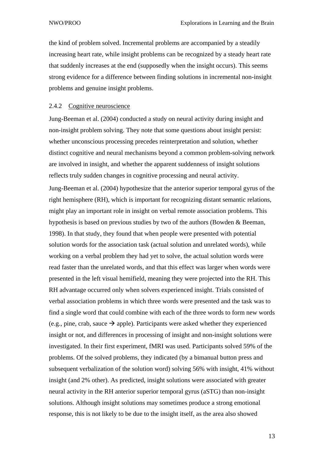<span id="page-18-0"></span>

the kind of problem solved. Incremental problems are accompanied by a steadily increasing heart rate, while insight problems can be recognized by a steady heart rate that suddenly increases at the end (supposedly when the insight occurs). This seems strong evidence for a difference between finding solutions in incremental non-insight problems and genuine insight problems.

# 2.4.2 Cognitive neuroscience

Jung-Beeman et al. (2004) conducted a study on neural activity during insight and non-insight problem solving. They note that some questions about insight persist: whether unconscious processing precedes reinterpretation and solution, whether distinct cognitive and neural mechanisms beyond a common problem-solving network are involved in insight, and whether the apparent suddenness of insight solutions reflects truly sudden changes in cognitive processing and neural activity.

Jung-Beeman et al. (2004) hypothesize that the anterior superior temporal gyrus of the right hemisphere (RH), which is important for recognizing distant semantic relations, might play an important role in insight on verbal remote association problems. This hypothesis is based on previous studies by two of the authors (Bowden & Beeman, 1998). In that study, they found that when people were presented with potential solution words for the association task (actual solution and unrelated words), while working on a verbal problem they had yet to solve, the actual solution words were read faster than the unrelated words, and that this effect was larger when words were presented in the left visual hemifield, meaning they were projected into the RH. This RH advantage occurred only when solvers experienced insight. Trials consisted of verbal association problems in which three words were presented and the task was to find a single word that could combine with each of the three words to form new words (e.g., pine, crab, sauce  $\rightarrow$  apple). Participants were asked whether they experienced insight or not, and differences in processing of insight and non-insight solutions were investigated. In their first experiment, fMRI was used. Participants solved 59% of the problems. Of the solved problems, they indicated (by a bimanual button press and subsequent verbalization of the solution word) solving 56% with insight, 41% without insight (and 2% other). As predicted, insight solutions were associated with greater neural activity in the RH anterior superior temporal gyrus (aSTG) than non-insight solutions. Although insight solutions may sometimes produce a strong emotional response, this is not likely to be due to the insight itself, as the area also showed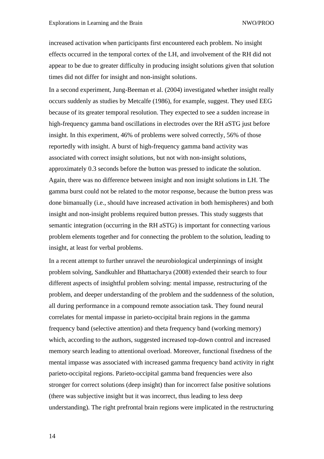increased activation when participants first encountered each problem. No insight effects occurred in the temporal cortex of the LH, and involvement of the RH did not appear to be due to greater difficulty in producing insight solutions given that solution times did not differ for insight and non-insight solutions.

In a second experiment, Jung-Beeman et al. (2004) investigated whether insight really occurs suddenly as studies by Metcalfe (1986), for example, suggest. They used EEG because of its greater temporal resolution. They expected to see a sudden increase in high-frequency gamma band oscillations in electrodes over the RH aSTG just before insight. In this experiment, 46% of problems were solved correctly, 56% of those reportedly with insight. A burst of high-frequency gamma band activity was associated with correct insight solutions, but not with non-insight solutions, approximately 0.3 seconds before the button was pressed to indicate the solution. Again, there was no difference between insight and non insight solutions in LH. The gamma burst could not be related to the motor response, because the button press was done bimanually (i.e., should have increased activation in both hemispheres) and both insight and non-insight problems required button presses. This study suggests that semantic integration (occurring in the RH aSTG) is important for connecting various problem elements together and for connecting the problem to the solution, leading to insight, at least for verbal problems.

In a recent attempt to further unravel the neurobiological underpinnings of insight problem solving, Sandkuhler and Bhattacharya (2008) extended their search to four different aspects of insightful problem solving: mental impasse, restructuring of the problem, and deeper understanding of the problem and the suddenness of the solution, all during performance in a compound remote association task. They found neural correlates for mental impasse in parieto-occipital brain regions in the gamma frequency band (selective attention) and theta frequency band (working memory) which, according to the authors, suggested increased top-down control and increased memory search leading to attentional overload. Moreover, functional fixedness of the mental impasse was associated with increased gamma frequency band activity in right parieto-occipital regions. Parieto-occipital gamma band frequencies were also stronger for correct solutions (deep insight) than for incorrect false positive solutions (there was subjective insight but it was incorrect, thus leading to less deep understanding). The right prefrontal brain regions were implicated in the restructuring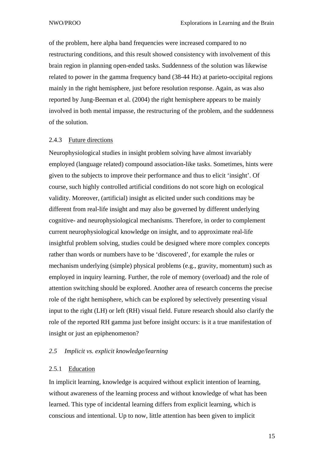<span id="page-20-0"></span>of the problem, here alpha band frequencies were increased compared to no restructuring conditions, and this result showed consistency with involvement of this brain region in planning open-ended tasks. Suddenness of the solution was likewise related to power in the gamma frequency band (38-44 Hz) at parieto-occipital regions mainly in the right hemisphere, just before resolution response. Again, as was also reported by Jung-Beeman et al. (2004) the right hemisphere appears to be mainly involved in both mental impasse, the restructuring of the problem, and the suddenness of the solution.

# 2.4.3 Future directions

Neurophysiological studies in insight problem solving have almost invariably employed (language related) compound association-like tasks. Sometimes, hints were given to the subjects to improve their performance and thus to elicit 'insight'. Of course, such highly controlled artificial conditions do not score high on ecological validity. Moreover, (artificial) insight as elicited under such conditions may be different from real-life insight and may also be governed by different underlying cognitive- and neurophysiological mechanisms. Therefore, in order to complement current neurophysiological knowledge on insight, and to approximate real-life insightful problem solving, studies could be designed where more complex concepts rather than words or numbers have to be 'discovered', for example the rules or mechanism underlying (simple) physical problems (e.g., gravity, momentum) such as employed in inquiry learning. Further, the role of memory (overload) and the role of attention switching should be explored. Another area of research concerns the precise role of the right hemisphere, which can be explored by selectively presenting visual input to the right (LH) or left (RH) visual field. Future research should also clarify the role of the reported RH gamma just before insight occurs: is it a true manifestation of insight or just an epiphenomenon?

# *2.5 Implicit vs. explicit knowledge/learning*

# 2.5.1 Education

In implicit learning, knowledge is acquired without explicit intention of learning, without awareness of the learning process and without knowledge of what has been learned. This type of incidental learning differs from explicit learning, which is conscious and intentional. Up to now, little attention has been given to implicit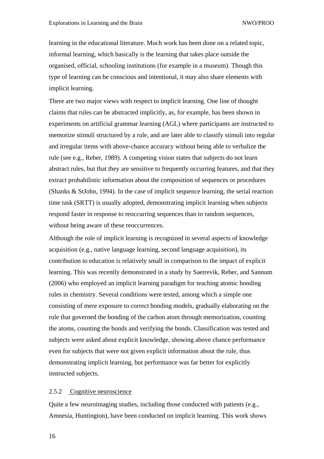<span id="page-21-0"></span>learning in the educational literature. Much work has been done on a related topic, informal learning, which basically is the learning that takes place outside the organised, official, schooling institutions (for example in a museum). Though this type of learning can be conscious and intentional, it may also share elements with implicit learning.

There are two major views with respect to implicit learning. One line of thought claims that rules can be abstracted implicitly, as, for example, has been shown in experiments on artificial grammar learning (AGL) where participants are instructed to memorize stimuli structured by a rule, and are later able to classify stimuli into regular and irregular items with above-chance accuracy without being able to verbalize the rule (see e.g., Reber, 1989). A competing vision states that subjects do not learn abstract rules, but that they are sensitive to frequently occurring features, and that they extract probabilistic information about the composition of sequences or procedures (Shanks & StJohn, 1994). In the case of implicit sequence learning, the serial reaction time task (SRTT) is usually adopted, demonstrating implicit learning when subjects respond faster in response to reoccurring sequences than to random sequences, without being aware of these reoccurrences.

Although the role of implicit learning is recognized in several aspects of knowledge acquisition (e.g., native language learning, second language acquisition), its contribution to education is relatively small in comparison to the impact of explicit learning. This was recently demonstrated in a study by Saetrevik, Reber, and Sannum (2006) who employed an implicit learning paradigm for teaching atomic bonding rules in chemistry. Several conditions were tested, among which a simple one consisting of mere exposure to correct bonding models, gradually elaborating on the rule that governed the bonding of the carbon atom through memorization, counting the atoms, counting the bonds and verifying the bonds. Classification was tested and subjects were asked about explicit knowledge, showing above chance performance even for subjects that were not given explicit information about the rule, thus demonstrating implicit learning, but performance was far better for explicitly instructed subjects.

# 2.5.2 Cognitive neuroscience

Quite a few neuroimaging studies, including those conducted with patients (e.g., Amnesia, Huntington), have been conducted on implicit learning. This work shows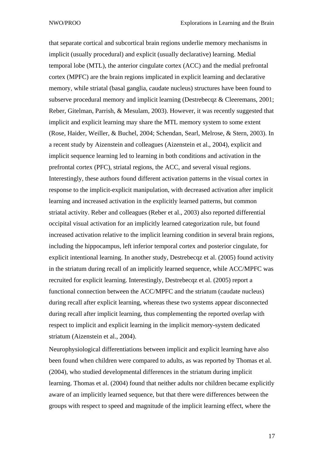that separate cortical and subcortical brain regions underlie memory mechanisms in implicit (usually procedural) and explicit (usually declarative) learning. Medial temporal lobe (MTL), the anterior cingulate cortex (ACC) and the medial prefrontal cortex (MPFC) are the brain regions implicated in explicit learning and declarative memory, while striatal (basal ganglia, caudate nucleus) structures have been found to subserve procedural memory and implicit learning (Destrebecqz & Cleeremans, 2001; Reber, Gitelman, Parrish, & Mesulam, 2003). However, it was recently suggested that implicit and explicit learning may share the MTL memory system to some extent (Rose, Haider, Weiller, & Buchel, 2004; Schendan, Searl, Melrose, & Stern, 2003). In a recent study by Aizenstein and colleagues (Aizenstein et al., 2004), explicit and implicit sequence learning led to learning in both conditions and activation in the prefrontal cortex (PFC), striatal regions, the ACC, and several visual regions. Interestingly, these authors found different activation patterns in the visual cortex in response to the implicit-explicit manipulation, with decreased activation after implicit learning and increased activation in the explicitly learned patterns, but common striatal activity. Reber and colleagues (Reber et al., 2003) also reported differential occipital visual activation for an implicitly learned categorization rule, but found increased activation relative to the implicit learning condition in several brain regions, including the hippocampus, left inferior temporal cortex and posterior cingulate, for explicit intentional learning. In another study, Destrebecqz et al. (2005) found activity in the striatum during recall of an implicitly learned sequence, while ACC/MPFC was recruited for explicit learning. Interestingly, Destrebecqz et al. (2005) report a functional connection between the ACC/MPFC and the striatum (caudate nucleus) during recall after explicit learning, whereas these two systems appear disconnected during recall after implicit learning, thus complementing the reported overlap with respect to implicit and explicit learning in the implicit memory-system dedicated striatum (Aizenstein et al., 2004).

Neurophysiological differentiations between implicit and explicit learning have also been found when children were compared to adults, as was reported by Thomas et al. (2004), who studied developmental differences in the striatum during implicit learning. Thomas et al. (2004) found that neither adults nor children became explicitly aware of an implicitly learned sequence, but that there were differences between the groups with respect to speed and magnitude of the implicit learning effect, where the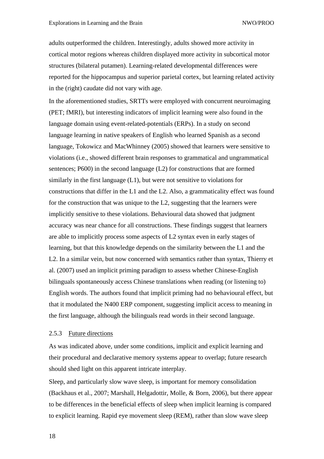<span id="page-23-0"></span>adults outperformed the children. Interestingly, adults showed more activity in cortical motor regions whereas children displayed more activity in subcortical motor structures (bilateral putamen). Learning-related developmental differences were reported for the hippocampus and superior parietal cortex, but learning related activity in the (right) caudate did not vary with age.

In the aforementioned studies, SRTTs were employed with concurrent neuroimaging (PET; fMRI), but interesting indicators of implicit learning were also found in the language domain using event-related-potentials (ERPs). In a study on second language learning in native speakers of English who learned Spanish as a second language, Tokowicz and MacWhinney (2005) showed that learners were sensitive to violations (i.e., showed different brain responses to grammatical and ungrammatical sentences; P600) in the second language (L2) for constructions that are formed similarly in the first language (L1), but were not sensitive to violations for constructions that differ in the L1 and the L2. Also, a grammaticality effect was found for the construction that was unique to the L2, suggesting that the learners were implicitly sensitive to these violations. Behavioural data showed that judgment accuracy was near chance for all constructions. These findings suggest that learners are able to implicitly process some aspects of L2 syntax even in early stages of learning, but that this knowledge depends on the similarity between the L1 and the L2. In a similar vein, but now concerned with semantics rather than syntax, Thierry et al. (2007) used an implicit priming paradigm to assess whether Chinese-English bilinguals spontaneously access Chinese translations when reading (or listening to) English words. The authors found that implicit priming had no behavioural effect, but that it modulated the N400 ERP component, suggesting implicit access to meaning in the first language, although the bilinguals read words in their second language.

# <span id="page-23-1"></span>2.5.3 Future directions

As was indicated above, under some conditions, implicit and explicit learning and their procedural and declarative memory systems appear to overlap; future research should shed light on this apparent intricate interplay.

Sleep, and particularly slow wave sleep, is important for memory consolidation (Backhaus et al., 2007; Marshall, Helgadottir, Molle, & Born, 2006), but there appear to be differences in the beneficial effects of sleep when implicit learning is compared to explicit learning. Rapid eye movement sleep (REM), rather than slow wave sleep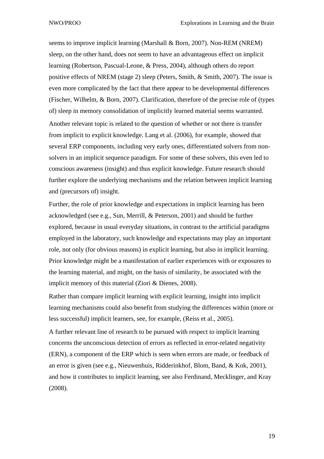seems to improve implicit learning (Marshall & Born, 2007). Non-REM (NREM) sleep, on the other hand, does not seem to have an advantageous effect on implicit learning (Robertson, Pascual-Leone, & Press, 2004), although others do report positive effects of NREM (stage 2) sleep (Peters, Smith, & Smith, 2007). The issue is even more complicated by the fact that there appear to be developmental differences (Fischer, Wilhelm, & Born, 2007). Clarification, therefore of the precise role of (types of) sleep in memory consolidation of implicitly learned material seems warranted. Another relevant topic is related to the question of whether or not there is transfer from implicit to explicit knowledge. Lang et al. (2006), for example, showed that several ERP components, including very early ones, differentiated solvers from nonsolvers in an implicit sequence paradigm. For some of these solvers, this even led to conscious awareness (insight) and thus explicit knowledge. Future research should further explore the underlying mechanisms and the relation between implicit learning and (precursors of) insight.

Further, the role of prior knowledge and expectations in implicit learning has been acknowledged (see e.g., Sun, Merrill, & Peterson, 2001) and should be further explored, because in usual everyday situations, in contrast to the artificial paradigms employed in the laboratory, such knowledge and expectations may play an important role, not only (for obvious reasons) in explicit learning, but also in implicit learning. Prior knowledge might be a manifestation of earlier experiences with or exposures to the learning material, and might, on the basis of similarity, be associated with the implicit memory of this material (Ziori & Dienes, 2008).

Rather than compare implicit learning with explicit learning, insight into implicit learning mechanisms could also benefit from studying the differences within (more or less successful) implicit learners, see, for example, (Reiss et al., 2005).

A further relevant line of research to be pursued with respect to implicit learning concerns the unconscious detection of errors as reflected in error-related negativity (ERN), a component of the ERP which is seen when errors are made, or feedback of an error is given (see e.g., Nieuwenhuis, Ridderinkhof, Blom, Band, & Kok, 2001), and how it contributes to implicit learning, see also Ferdinand, Mecklinger, and Kray (2008).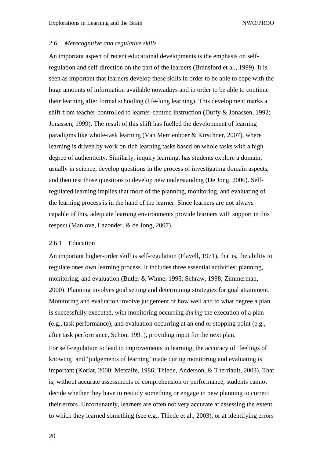# <span id="page-25-0"></span>*2.6 Metacognitive and regulative skills*

An important aspect of recent educational developments is the emphasis on selfregulation and self-direction on the part of the learners (Bransford et al., 1999). It is seen as important that learners develop these skills in order to be able to cope with the huge amounts of information available nowadays and in order to be able to continue their learning after formal schooling (life-long learning). This development marks a shift from teacher-controlled to learner-centred instruction (Duffy & Jonassen, 1992; Jonassen, 1999). The result of this shift has fuelled the development of learning paradigms like whole-task learning (Van Merrienboer & Kirschner, 2007), where learning is driven by work on rich learning tasks based on whole tasks with a high degree of authenticity. Similarly, inquiry learning, has students explore a domain, usually in science, develop questions in the process of investigating domain aspects, and then test those questions to develop new understanding (De Jong, 2006). Selfregulated learning implies that more of the planning, monitoring, and evaluating of the learning process is in the hand of the learner. Since learners are not always capable of this, adequate learning environments provide learners with support in this respect (Manlove, Lazonder, & de Jong, 2007).

# 2.6.1 Education

An important higher-order skill is self-regulation (Flavell, 1971), that is, the ability to regulate ones own learning process. It includes three essential activities: planning, monitoring, and evaluation (Butler & Winne, 1995; Schraw, 1998; Zimmerman, 2000). Planning involves goal setting and determining strategies for goal attainment. Monitoring and evaluation involve judgement of how well and to what degree a plan is successfully executed, with monitoring occurring *during* the execution of a plan (e.g., task performance), and evaluation occurring at an end or stopping point (e.g., after task performance, Schön, 1991), providing input for the next plan. For self-regulation to lead to improvements in learning, the accuracy of 'feelings of knowing' and 'judgements of learning' made during monitoring and evaluating is important (Koriat, 2000; Metcalfe, 1986; Thiede, Anderson, & Therriault, 2003). That is, without accurate assessments of comprehension or performance, students cannot decide whether they have to restudy something or engage in new planning to correct their errors. Unfortunately, learners are often not very accurate at assessing the extent to which they learned something (see e.g., Thiede et al., 2003), or at identifying errors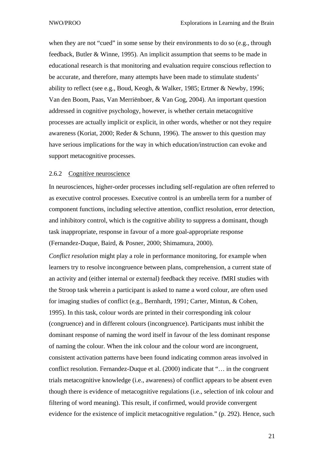<span id="page-26-0"></span>when they are not "cued" in some sense by their environments to do so (e.g., through feedback, Butler & Winne, 1995). An implicit assumption that seems to be made in educational research is that monitoring and evaluation require conscious reflection to be accurate, and therefore, many attempts have been made to stimulate students' ability to reflect (see e.g., Boud, Keogh, & Walker, 1985; Ertmer & Newby, 1996; Van den Boom, Paas, Van Merriënboer, & Van Gog, 2004). An important question addressed in cognitive psychology, however, is whether certain metacognitive processes are actually implicit or explicit, in other words, whether or not they require awareness (Koriat, 2000; Reder & Schunn, 1996). The answer to this question may have serious implications for the way in which education/instruction can evoke and support metacognitive processes.

# 2.6.2 Cognitive neuroscience

In neurosciences, higher-order processes including self-regulation are often referred to as executive control processes. Executive control is an umbrella term for a number of component functions, including selective attention, conflict resolution, error detection, and inhibitory control, which is the cognitive ability to suppress a dominant, though task inappropriate, response in favour of a more goal-appropriate response (Fernandez-Duque, Baird, & Posner, 2000; Shimamura, 2000).

*Conflict resolution* might play a role in performance monitoring, for example when learners try to resolve incongruence between plans, comprehension, a current state of an activity and (either internal or external) feedback they receive. fMRI studies with the Stroop task wherein a participant is asked to name a word colour, are often used for imaging studies of conflict (e.g., Bernhardt, 1991; Carter, Mintun, & Cohen, 1995). In this task, colour words are printed in their corresponding ink colour (congruence) and in different colours (incongruence). Participants must inhibit the dominant response of naming the word itself in favour of the less dominant response of naming the colour. When the ink colour and the colour word are incongruent, consistent activation patterns have been found indicating common areas involved in conflict resolution. Fernandez-Duque et al. (2000) indicate that "… in the congruent trials metacognitive knowledge (i.e., awareness) of conflict appears to be absent even though there is evidence of metacognitive regulations (i.e., selection of ink colour and filtering of word meaning). This result, if confirmed, would provide convergent evidence for the existence of implicit metacognitive regulation." (p. 292). Hence, such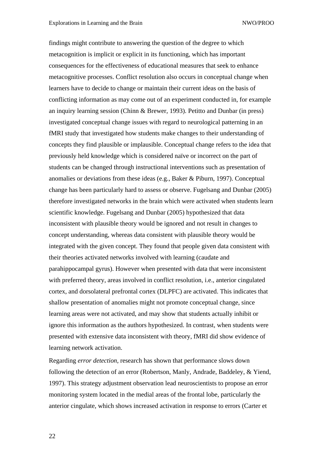findings might contribute to answering the question of the degree to which metacognition is implicit or explicit in its functioning, which has important consequences for the effectiveness of educational measures that seek to enhance metacognitive processes. Conflict resolution also occurs in conceptual change when learners have to decide to change or maintain their current ideas on the basis of conflicting information as may come out of an experiment conducted in, for example an inquiry learning session (Chinn & Brewer, 1993). Petitto and Dunbar (in press) investigated conceptual change issues with regard to neurological patterning in an fMRI study that investigated how students make changes to their understanding of concepts they find plausible or implausible. Conceptual change refers to the idea that previously held knowledge which is considered naïve or incorrect on the part of students can be changed through instructional interventions such as presentation of anomalies or deviations from these ideas (e.g., Baker & Piburn, 1997). Conceptual change has been particularly hard to assess or observe. Fugelsang and Dunbar (2005) therefore investigated networks in the brain which were activated when students learn scientific knowledge. Fugelsang and Dunbar (2005) hypothesized that data inconsistent with plausible theory would be ignored and not result in changes to concept understanding, whereas data consistent with plausible theory would be integrated with the given concept. They found that people given data consistent with their theories activated networks involved with learning (caudate and parahippocampal gyrus). However when presented with data that were inconsistent with preferred theory, areas involved in conflict resolution, i.e., anterior cingulated cortex, and dorsolateral prefrontal cortex (DLPFC) are activated. This indicates that shallow presentation of anomalies might not promote conceptual change, since learning areas were not activated, and may show that students actually inhibit or ignore this information as the authors hypothesized. In contrast, when students were presented with extensive data inconsistent with theory, fMRI did show evidence of learning network activation.

Regarding *error detection*, research has shown that performance slows down following the detection of an error (Robertson, Manly, Andrade, Baddeley, & Yiend, 1997). This strategy adjustment observation lead neuroscientists to propose an error monitoring system located in the medial areas of the frontal lobe, particularly the anterior cingulate, which shows increased activation in response to errors (Carter et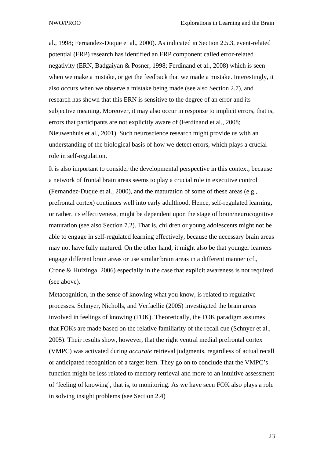al., 1998; Fernandez-Duque et al., 2000). As indicated in Section [2.5.3,](#page-23-1) event-related potential (ERP) research has identified an ERP component called error-related negativity (ERN, Badgaiyan & Posner, 1998; Ferdinand et al., 2008) which is seen when we make a mistake, or get the feedback that we made a mistake. Interestingly, it also occurs when we observe a mistake being made (see also Section [2.7\)](#page-29-1), and research has shown that this ERN is sensitive to the degree of an error and its subjective meaning. Moreover, it may also occur in response to implicit errors, that is, errors that participants are not explicitly aware of (Ferdinand et al., 2008; Nieuwenhuis et al., 2001). Such neuroscience research might provide us with an understanding of the biological basis of how we detect errors, which plays a crucial role in self-regulation.

It is also important to consider the developmental perspective in this context, because a network of frontal brain areas seems to play a crucial role in executive control (Fernandez-Duque et al., 2000), and the maturation of some of these areas (e.g., prefrontal cortex) continues well into early adulthood. Hence, self-regulated learning, or rather, its effectiveness, might be dependent upon the stage of brain/neurocognitive maturation (see also Section [7.2\)](#page-57-1). That is, children or young adolescents might not be able to engage in self-regulated learning effectively, because the necessary brain areas may not have fully matured. On the other hand, it might also be that younger learners engage different brain areas or use similar brain areas in a different manner (cf., Crone & Huizinga, 2006) especially in the case that explicit awareness is not required (see above).

Metacognition, in the sense of knowing what you know, is related to regulative processes. Schnyer, Nicholls, and Verfaellie (2005) investigated the brain areas involved in feelings of knowing (FOK). Theoretically, the FOK paradigm assumes that FOKs are made based on the relative familiarity of the recall cue (Schnyer et al., 2005). Their results show, however, that the right ventral medial prefrontal cortex (VMPC) was activated during *accurate* retrieval judgments, regardless of actual recall or anticipated recognition of a target item. They go on to conclude that the VMPC's function might be less related to memory retrieval and more to an intuitive assessment of 'feeling of knowing', that is, to monitoring. As we have seen FOK also plays a role in solving insight problems (see Section [2.4](#page-17-1))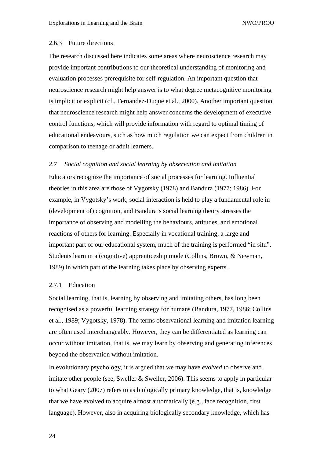# <span id="page-29-0"></span>2.6.3 Future directions

The research discussed here indicates some areas where neuroscience research may provide important contributions to our theoretical understanding of monitoring and evaluation processes prerequisite for self-regulation. An important question that neuroscience research might help answer is to what degree metacognitive monitoring is implicit or explicit (cf., Fernandez-Duque et al., 2000). Another important question that neuroscience research might help answer concerns the development of executive control functions, which will provide information with regard to optimal timing of educational endeavours, such as how much regulation we can expect from children in comparison to teenage or adult learners.

# <span id="page-29-1"></span>*2.7 Social cognition and social learning by observation and imitation*

Educators recognize the importance of social processes for learning. Influential theories in this area are those of Vygotsky (1978) and Bandura (1977; 1986). For example, in Vygotsky's work, social interaction is held to play a fundamental role in (development of) cognition, and Bandura's social learning theory stresses the importance of observing and modelling the behaviours, attitudes, and emotional reactions of others for learning. Especially in vocational training, a large and important part of our educational system, much of the training is performed "in situ". Students learn in a (cognitive) apprenticeship mode (Collins, Brown, & Newman, 1989) in which part of the learning takes place by observing experts.

# 2.7.1 Education

Social learning, that is, learning by observing and imitating others, has long been recognised as a powerful learning strategy for humans (Bandura, 1977, 1986; Collins et al., 1989; Vygotsky, 1978). The terms observational learning and imitation learning are often used interchangeably. However, they can be differentiated as learning can occur without imitation, that is, we may learn by observing and generating inferences beyond the observation without imitation.

In evolutionary psychology, it is argued that we may have *evolved* to observe and imitate other people (see, Sweller & Sweller, 2006). This seems to apply in particular to what Geary (2007) refers to as biologically primary knowledge, that is, knowledge that we have evolved to acquire almost automatically (e.g., face recognition, first language). However, also in acquiring biologically secondary knowledge, which has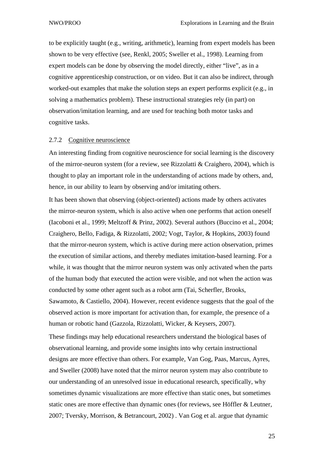<span id="page-30-0"></span>to be explicitly taught (e.g., writing, arithmetic), learning from expert models has been shown to be very effective (see, Renkl, 2005; Sweller et al., 1998). Learning from expert models can be done by observing the model directly, either "live", as in a cognitive apprenticeship construction, or on video. But it can also be indirect, through worked-out examples that make the solution steps an expert performs explicit (e.g., in solving a mathematics problem). These instructional strategies rely (in part) on observation/imitation learning, and are used for teaching both motor tasks and cognitive tasks.

# 2.7.2 Cognitive neuroscience

An interesting finding from cognitive neuroscience for social learning is the discovery of the mirror-neuron system (for a review, see Rizzolatti & Craighero, 2004), which is thought to play an important role in the understanding of actions made by others, and, hence, in our ability to learn by observing and/or imitating others.

It has been shown that observing (object-oriented) actions made by others activates the mirror-neuron system, which is also active when one performs that action oneself (Iacoboni et al., 1999; Meltzoff & Prinz, 2002). Several authors (Buccino et al., 2004; Craighero, Bello, Fadiga, & Rizzolatti, 2002; Vogt, Taylor, & Hopkins, 2003) found that the mirror-neuron system, which is active during mere action observation, primes the execution of similar actions, and thereby mediates imitation-based learning. For a while, it was thought that the mirror neuron system was only activated when the parts of the human body that executed the action were visible, and not when the action was conducted by some other agent such as a robot arm (Tai, Scherfler, Brooks,

Sawamoto, & Castiello, 2004). However, recent evidence suggests that the goal of the observed action is more important for activation than, for example, the presence of a human or robotic hand (Gazzola, Rizzolatti, Wicker, & Keysers, 2007).

These findings may help educational researchers understand the biological bases of observational learning, and provide some insights into why certain instructional designs are more effective than others. For example, Van Gog, Paas, Marcus, Ayres, and Sweller (2008) have noted that the mirror neuron system may also contribute to our understanding of an unresolved issue in educational research, specifically, why sometimes dynamic visualizations are more effective than static ones, but sometimes static ones are more effective than dynamic ones (for reviews, see Höffler & Leutner, 2007; Tversky, Morrison, & Betrancourt, 2002) . Van Gog et al. argue that dynamic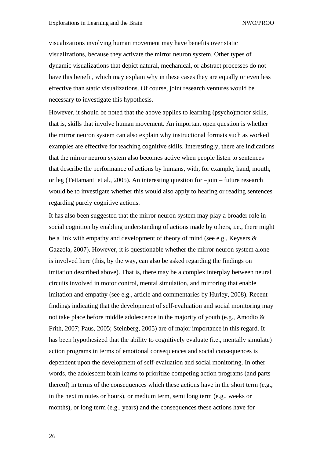visualizations involving human movement may have benefits over static visualizations, because they activate the mirror neuron system. Other types of dynamic visualizations that depict natural, mechanical, or abstract processes do not have this benefit, which may explain why in these cases they are equally or even less effective than static visualizations. Of course, joint research ventures would be necessary to investigate this hypothesis.

However, it should be noted that the above applies to learning (psycho)motor skills, that is, skills that involve human movement. An important open question is whether the mirror neuron system can also explain why instructional formats such as worked examples are effective for teaching cognitive skills. Interestingly, there are indications that the mirror neuron system also becomes active when people listen to sentences that describe the performance of actions by humans, with, for example, hand, mouth, or leg (Tettamanti et al., 2005). An interesting question for –joint– future research would be to investigate whether this would also apply to hearing or reading sentences regarding purely cognitive actions.

It has also been suggested that the mirror neuron system may play a broader role in social cognition by enabling understanding of actions made by others, i.e., there might be a link with empathy and development of theory of mind (see e.g., Keysers & Gazzola, 2007). However, it is questionable whether the mirror neuron system alone is involved here (this, by the way, can also be asked regarding the findings on imitation described above). That is, there may be a complex interplay between neural circuits involved in motor control, mental simulation, and mirroring that enable imitation and empathy (see e.g., article and commentaries by Hurley, 2008). Recent findings indicating that the development of self-evaluation and social monitoring may not take place before middle adolescence in the majority of youth (e.g., Amodio & Frith, 2007; Paus, 2005; Steinberg, 2005) are of major importance in this regard. It has been hypothesized that the ability to cognitively evaluate (i.e., mentally simulate) action programs in terms of emotional consequences and social consequences is dependent upon the development of self-evaluation and social monitoring. In other words, the adolescent brain learns to prioritize competing action programs (and parts thereof) in terms of the consequences which these actions have in the short term (e.g., in the next minutes or hours), or medium term, semi long term (e.g., weeks or months), or long term (e.g., years) and the consequences these actions have for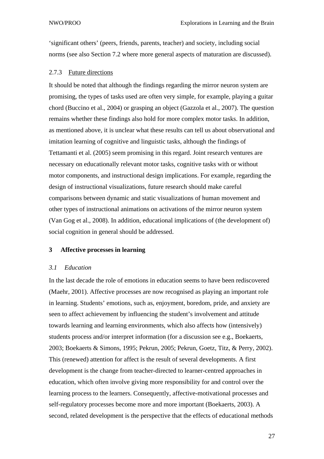<span id="page-32-0"></span>'significant others' (peers, friends, parents, teacher) and society, including social norms (see also Section [7.2](#page-57-1) where more general aspects of maturation are discussed).

# 2.7.3 Future directions

It should be noted that although the findings regarding the mirror neuron system are promising, the types of tasks used are often very simple, for example, playing a guitar chord (Buccino et al., 2004) or grasping an object (Gazzola et al., 2007). The question remains whether these findings also hold for more complex motor tasks. In addition, as mentioned above, it is unclear what these results can tell us about observational and imitation learning of cognitive and linguistic tasks, although the findings of Tettamanti et al. (2005) seem promising in this regard. Joint research ventures are necessary on educationally relevant motor tasks, cognitive tasks with or without motor components, and instructional design implications. For example, regarding the design of instructional visualizations, future research should make careful comparisons between dynamic and static visualizations of human movement and other types of instructional animations on activations of the mirror neuron system (Van Gog et al., 2008). In addition, educational implications of (the development of) social cognition in general should be addressed.

# **3 Affective processes in learning**

# *3.1 Education*

In the last decade the role of emotions in education seems to have been rediscovered (Maehr, 2001). Affective processes are now recognised as playing an important role in learning. Students' emotions, such as, enjoyment, boredom, pride, and anxiety are seen to affect achievement by influencing the student's involvement and attitude towards learning and learning environments, which also affects how (intensively) students process and/or interpret information (for a discussion see e.g., Boekaerts, 2003; Boekaerts & Simons, 1995; Pekrun, 2005; Pekrun, Goetz, Titz, & Perry, 2002). This (renewed) attention for affect is the result of several developments. A first development is the change from teacher-directed to learner-centred approaches in education, which often involve giving more responsibility for and control over the learning process to the learners. Consequently, affective-motivational processes and self-regulatory processes become more and more important (Boekaerts, 2003). A second, related development is the perspective that the effects of educational methods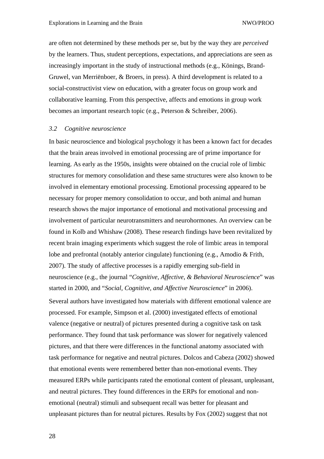<span id="page-33-0"></span>are often not determined by these methods per se, but by the way they are *perceived* by the learners. Thus, student perceptions, expectations, and appreciations are seen as increasingly important in the study of instructional methods (e.g., Könings, Brand-Gruwel, van Merriënboer, & Broers, in press). A third development is related to a social-constructivist view on education, with a greater focus on group work and collaborative learning. From this perspective, affects and emotions in group work becomes an important research topic (e.g., Peterson & Schreiber, 2006).

# *3.2 Cognitive neuroscience*

In basic neuroscience and biological psychology it has been a known fact for decades that the brain areas involved in emotional processing are of prime importance for learning. As early as the 1950s, insights were obtained on the crucial role of limbic structures for memory consolidation and these same structures were also known to be involved in elementary emotional processing. Emotional processing appeared to be necessary for proper memory consolidation to occur, and both animal and human research shows the major importance of emotional and motivational processing and involvement of particular neurotransmitters and neurohormones. An overview can be found in Kolb and Whishaw (2008). These research findings have been revitalized by recent brain imaging experiments which suggest the role of limbic areas in temporal lobe and prefrontal (notably anterior cingulate) functioning (e.g., Amodio & Frith, 2007). The study of affective processes is a rapidly emerging sub-field in neuroscience (e.g., the journal "*Cognitive, Affective, & Behavioral Neuroscience*" was started in 2000, and "*Social, Cognitive, and Affective Neuroscience*" in 2006). Several authors have investigated how materials with different emotional valence are processed. For example, Simpson et al. (2000) investigated effects of emotional valence (negative or neutral) of pictures presented during a cognitive task on task performance. They found that task performance was slower for negatively valenced pictures, and that there were differences in the functional anatomy associated with task performance for negative and neutral pictures. Dolcos and Cabeza (2002) showed that emotional events were remembered better than non-emotional events. They measured ERPs while participants rated the emotional content of pleasant, unpleasant, and neutral pictures. They found differences in the ERPs for emotional and nonemotional (neutral) stimuli and subsequent recall was better for pleasant and unpleasant pictures than for neutral pictures. Results by Fox (2002) suggest that not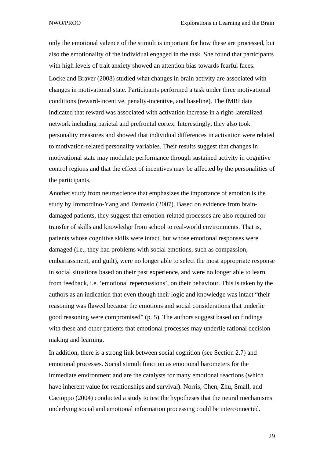only the emotional valence of the stimuli is important for how these are processed, but also the emotionality of the individual engaged in the task. She found that participants with high levels of trait anxiety showed an attention bias towards fearful faces. Locke and Braver (2008) studied what changes in brain activity are associated with changes in motivational state. Participants performed a task under three motivational conditions (reward-incentive, penalty-incentive, and baseline). The fMRI data indicated that reward was associated with activation increase in a right-lateralized network including parietal and prefrontal cortex. Interestingly, they also took personality measures and showed that individual differences in activation were related to motivation-related personality variables. Their results suggest that changes in motivational state may modulate performance through sustained activity in cognitive control regions and that the effect of incentives may be affected by the personalities of the participants.

Another study from neuroscience that emphasizes the importance of emotion is the study by Immordino-Yang and Damasio (2007). Based on evidence from braindamaged patients, they suggest that emotion-related processes are also required for transfer of skills and knowledge from school to real-world environments. That is, patients whose cognitive skills were intact, but whose emotional responses were damaged (i.e., they had problems with social emotions, such as compassion, embarrassment, and guilt), were no longer able to select the most appropriate response in social situations based on their past experience, and were no longer able to learn from feedback, i.e. 'emotional repercussions', on their behaviour. This is taken by the authors as an indication that even though their logic and knowledge was intact "their reasoning was flawed because the emotions and social considerations that underlie good reasoning were compromised" (p. 5). The authors suggest based on findings with these and other patients that emotional processes may underlie rational decision making and learning.

In addition, there is a strong link between social cognition (see Section [2.7\)](#page-29-1) and emotional processes. Social stimuli function as emotional barometers for the immediate environment and are the catalysts for many emotional reactions (which have inherent value for relationships and survival). Norris, Chen, Zhu, Small, and Cacioppo (2004) conducted a study to test the hypotheses that the neural mechanisms underlying social and emotional information processing could be interconnected.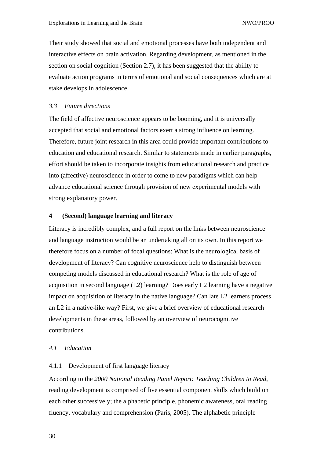<span id="page-35-0"></span>Their study showed that social and emotional processes have both independent and interactive effects on brain activation. Regarding development, as mentioned in the section on social cognition (Section [2.7](#page-29-1)), it has been suggested that the ability to evaluate action programs in terms of emotional and social consequences which are at stake develops in adolescence.

# *3.3 Future directions*

The field of affective neuroscience appears to be booming, and it is universally accepted that social and emotional factors exert a strong influence on learning. Therefore, future joint research in this area could provide important contributions to education and educational research. Similar to statements made in earlier paragraphs, effort should be taken to incorporate insights from educational research and practice into (affective) neuroscience in order to come to new paradigms which can help advance educational science through provision of new experimental models with strong explanatory power.

# **4 (Second) language learning and literacy**

Literacy is incredibly complex, and a full report on the links between neuroscience and language instruction would be an undertaking all on its own. In this report we therefore focus on a number of focal questions: What is the neurological basis of development of literacy? Can cognitive neuroscience help to distinguish between competing models discussed in educational research? What is the role of age of acquisition in second language (L2) learning? Does early L2 learning have a negative impact on acquisition of literacy in the native language? Can late L2 learners process an L2 in a native-like way? First, we give a brief overview of educational research developments in these areas, followed by an overview of neurocognitive contributions.

# *4.1 Education*

# 4.1.1 Development of first language literacy

According to the *2000 National Reading Panel Report: Teaching Children to Read*, reading development is comprised of five essential component skills which build on each other successively; the alphabetic principle, phonemic awareness, oral reading fluency, vocabulary and comprehension (Paris, 2005). The alphabetic principle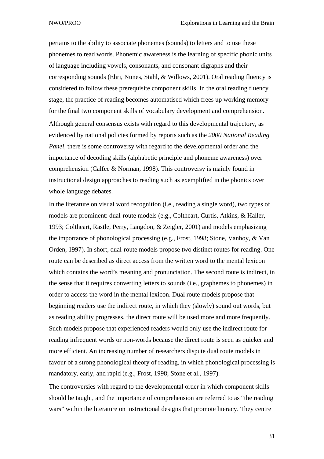pertains to the ability to associate phonemes (sounds) to letters and to use these phonemes to read words. Phonemic awareness is the learning of specific phonic units of language including vowels, consonants, and consonant digraphs and their corresponding sounds (Ehri, Nunes, Stahl, & Willows, 2001). Oral reading fluency is considered to follow these prerequisite component skills. In the oral reading fluency stage, the practice of reading becomes automatised which frees up working memory for the final two component skills of vocabulary development and comprehension. Although general consensus exists with regard to this developmental trajectory, as evidenced by national policies formed by reports such as the *2000 National Reading Panel*, there is some controversy with regard to the developmental order and the importance of decoding skills (alphabetic principle and phoneme awareness) over comprehension (Calfee & Norman, 1998). This controversy is mainly found in instructional design approaches to reading such as exemplified in the phonics over whole language debates.

In the literature on visual word recognition (i.e., reading a single word), two types of models are prominent: dual-route models (e.g., Coltheart, Curtis, Atkins, & Haller, 1993; Coltheart, Rastle, Perry, Langdon, & Zeigler, 2001) and models emphasizing the importance of phonological processing (e.g., Frost, 1998; Stone, Vanhoy, & Van Orden, 1997). In short, dual-route models propose two distinct routes for reading. One route can be described as direct access from the written word to the mental lexicon which contains the word's meaning and pronunciation. The second route is indirect, in the sense that it requires converting letters to sounds (i.e., graphemes to phonemes) in order to access the word in the mental lexicon. Dual route models propose that beginning readers use the indirect route, in which they (slowly) sound out words, but as reading ability progresses, the direct route will be used more and more frequently. Such models propose that experienced readers would only use the indirect route for reading infrequent words or non-words because the direct route is seen as quicker and more efficient. An increasing number of researchers dispute dual route models in favour of a strong phonological theory of reading, in which phonological processing is mandatory, early, and rapid (e.g., Frost, 1998; Stone et al., 1997).

The controversies with regard to the developmental order in which component skills should be taught, and the importance of comprehension are referred to as "the reading wars" within the literature on instructional designs that promote literacy. They centre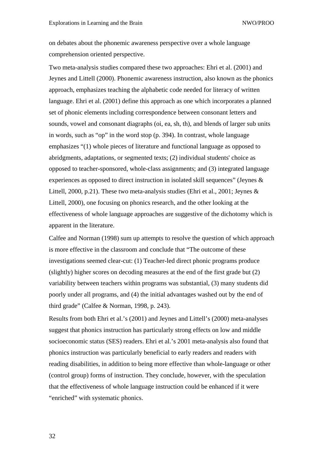on debates about the phonemic awareness perspective over a whole language comprehension oriented perspective.

Two meta-analysis studies compared these two approaches: Ehri et al. (2001) and Jeynes and Littell (2000). Phonemic awareness instruction, also known as the phonics approach, emphasizes teaching the alphabetic code needed for literacy of written language. Ehri et al. (2001) define this approach as one which incorporates a planned set of phonic elements including correspondence between consonant letters and sounds, vowel and consonant diagraphs (oi, ea, sh, th), and blends of larger sub units in words, such as "op" in the word stop (p. 394). In contrast, whole language emphasizes "(1) whole pieces of literature and functional language as opposed to abridgments, adaptations, or segmented texts; (2) individual students' choice as opposed to teacher-sponsored, whole-class assignments; and (3) integrated language experiences as opposed to direct instruction in isolated skill sequences" (Jeynes & Littell, 2000, p.21). These two meta-analysis studies (Ehri et al., 2001; Jeynes  $\&$ Littell, 2000), one focusing on phonics research, and the other looking at the effectiveness of whole language approaches are suggestive of the dichotomy which is apparent in the literature.

Calfee and Norman (1998) sum up attempts to resolve the question of which approach is more effective in the classroom and conclude that "The outcome of these investigations seemed clear-cut: (1) Teacher-led direct phonic programs produce (slightly) higher scores on decoding measures at the end of the first grade but (2) variability between teachers within programs was substantial, (3) many students did poorly under all programs, and (4) the initial advantages washed out by the end of third grade" (Calfee & Norman, 1998, p. 243).

Results from both Ehri et al.'s (2001) and Jeynes and Littell's (2000) meta-analyses suggest that phonics instruction has particularly strong effects on low and middle socioeconomic status (SES) readers. Ehri et al.'s 2001 meta-analysis also found that phonics instruction was particularly beneficial to early readers and readers with reading disabilities, in addition to being more effective than whole-language or other (control group) forms of instruction. They conclude, however, with the speculation that the effectiveness of whole language instruction could be enhanced if it were "enriched" with systematic phonics.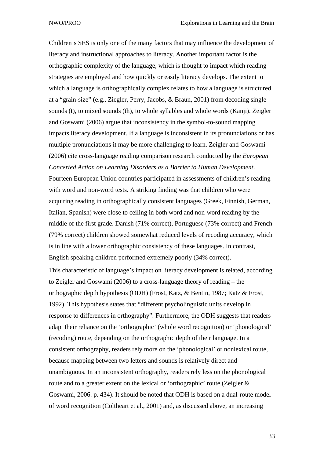Children's SES is only one of the many factors that may influence the development of literacy and instructional approaches to literacy. Another important factor is the orthographic complexity of the language, which is thought to impact which reading strategies are employed and how quickly or easily literacy develops. The extent to which a language is orthographically complex relates to how a language is structured at a "grain-size" (e.g., Ziegler, Perry, Jacobs, & Braun, 2001) from decoding single sounds (t), to mixed sounds (th), to whole syllables and whole words (Kanji). Zeigler and Goswami (2006) argue that inconsistency in the symbol-to-sound mapping impacts literacy development. If a language is inconsistent in its pronunciations or has multiple pronunciations it may be more challenging to learn. Zeigler and Goswami (2006) cite cross-language reading comparison research conducted by the *European Concerted Action on Learning Disorders as a Barrier to Human Development*. Fourteen European Union countries participated in assessments of children's reading with word and non-word tests. A striking finding was that children who were acquiring reading in orthographically consistent languages (Greek, Finnish, German, Italian, Spanish) were close to ceiling in both word and non-word reading by the middle of the first grade. Danish (71% correct), Portuguese (73% correct) and French (79% correct) children showed somewhat reduced levels of recoding accuracy, which is in line with a lower orthographic consistency of these languages. In contrast, English speaking children performed extremely poorly (34% correct).

This characteristic of language's impact on literacy development is related, according to Zeigler and Goswami (2006) to a cross-language theory of reading – the orthographic depth hypothesis (ODH) (Frost, Katz, & Bentin, 1987; Katz & Frost, 1992). This hypothesis states that "different psycholinguistic units develop in response to differences in orthography". Furthermore, the ODH suggests that readers adapt their reliance on the 'orthographic' (whole word recognition) or 'phonological' (recoding) route, depending on the orthographic depth of their language. In a consistent orthography, readers rely more on the 'phonological' or nonlexical route, because mapping between two letters and sounds is relatively direct and unambiguous. In an inconsistent orthography, readers rely less on the phonological route and to a greater extent on the lexical or 'orthographic' route (Zeigler & Goswami, 2006. p. 434). It should be noted that ODH is based on a dual-route model of word recognition (Coltheart et al., 2001) and, as discussed above, an increasing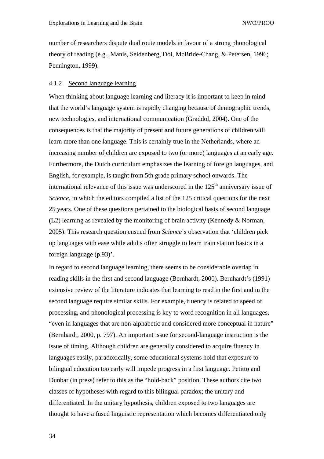number of researchers dispute dual route models in favour of a strong phonological theory of reading (e.g., Manis, Seidenberg, Doi, McBride-Chang, & Petersen, 1996; Pennington, 1999).

## 4.1.2 Second language learning

When thinking about language learning and literacy it is important to keep in mind that the world's language system is rapidly changing because of demographic trends, new technologies, and international communication (Graddol, 2004). One of the consequences is that the majority of present and future generations of children will learn more than one language. This is certainly true in the Netherlands, where an increasing number of children are exposed to two (or more) languages at an early age. Furthermore, the Dutch curriculum emphasizes the learning of foreign languages, and English, for example, is taught from 5th grade primary school onwards. The international relevance of this issue was underscored in the  $125<sup>th</sup>$  anniversary issue of *Science*, in which the editors compiled a list of the 125 critical questions for the next 25 years. One of these questions pertained to the biological basis of second language  $(L2)$  learning as revealed by the monitoring of brain activity (Kennedy & Norman, 2005). This research question ensued from *Science*'s observation that 'children pick up languages with ease while adults often struggle to learn train station basics in a foreign language (p.93)'.

In regard to second language learning, there seems to be considerable overlap in reading skills in the first and second language (Bernhardt, 2000). Bernhardt's (1991) extensive review of the literature indicates that learning to read in the first and in the second language require similar skills. For example, fluency is related to speed of processing, and phonological processing is key to word recognition in all languages, "even in languages that are non-alphabetic and considered more conceptual in nature" (Bernhardt, 2000, p. 797). An important issue for second-language instruction is the issue of timing. Although children are generally considered to acquire fluency in languages easily, paradoxically, some educational systems hold that exposure to bilingual education too early will impede progress in a first language. Petitto and Dunbar (in press) refer to this as the "hold-back" position. These authors cite two classes of hypotheses with regard to this bilingual paradox; the unitary and differentiated. In the unitary hypothesis, children exposed to two languages are thought to have a fused linguistic representation which becomes differentiated only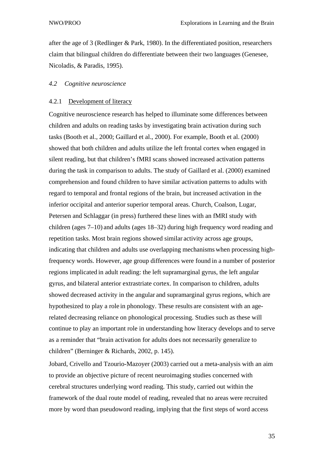after the age of 3 (Redlinger & Park, 1980). In the differentiated position, researchers claim that bilingual children do differentiate between their two languages (Genesee, Nicoladis, & Paradis, 1995).

## *4.2 Cognitive neuroscience*

## 4.2.1 Development of literacy

Cognitive neuroscience research has helped to illuminate some differences between children and adults on reading tasks by investigating brain activation during such tasks (Booth et al., 2000; Gaillard et al., 2000). For example, Booth et al. (2000) showed that both children and adults utilize the left frontal cortex when engaged in silent reading, but that children's fMRI scans showed increased activation patterns during the task in comparison to adults. The study of Gaillard et al. (2000) examined comprehension and found children to have similar activation patterns to adults with regard to temporal and frontal regions of the brain, but increased activation in the inferior occipital and anterior superior temporal areas. Church, Coalson, Lugar, Petersen and Schlaggar (in press) furthered these lines with an fMRI study with children (ages 7–10) and adults (ages 18–32) during high frequency word reading and repetition tasks. Most brain regions showed similar activity across age groups, indicating that children and adults use overlapping mechanisms when processing highfrequency words. However, age group differences were found in a number of posterior regions implicated in adult reading: the left supramarginal gyrus, the left angular gyrus, and bilateral anterior extrastriate cortex. In comparison to children, adults showed decreased activity in the angular and supramarginal gyrus regions, which are hypothesized to play a role in phonology. These results are consistent with an agerelated decreasing reliance on phonological processing. Studies such as these will continue to play an important role in understanding how literacy develops and to serve as a reminder that "brain activation for adults does not necessarily generalize to children" (Berninger & Richards, 2002, p. 145).

Jobard, Crivello and Tzourio-Mazoyer (2003) carried out a meta-analysis with an aim to provide an objective picture of recent neuroimaging studies concerned with cerebral structures underlying word reading. This study, carried out within the framework of the dual route model of reading, revealed that no areas were recruited more by word than pseudoword reading, implying that the first steps of word access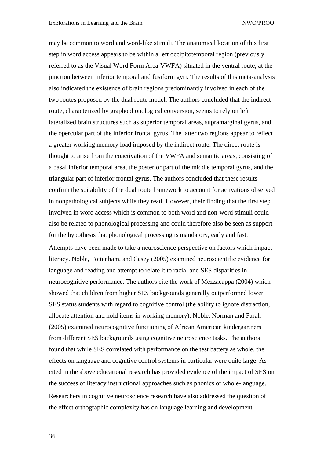may be common to word and word-like stimuli. The anatomical location of this first step in word access appears to be within a left occipitotemporal region (previously referred to as the Visual Word Form Area-VWFA) situated in the ventral route, at the junction between inferior temporal and fusiform gyri. The results of this meta-analysis also indicated the existence of brain regions predominantly involved in each of the two routes proposed by the dual route model. The authors concluded that the indirect route, characterized by graphophonological conversion, seems to rely on left lateralized brain structures such as superior temporal areas, supramarginal gyrus, and the opercular part of the inferior frontal gyrus. The latter two regions appear to reflect a greater working memory load imposed by the indirect route. The direct route is thought to arise from the coactivation of the VWFA and semantic areas, consisting of a basal inferior temporal area, the posterior part of the middle temporal gyrus, and the triangular part of inferior frontal gyrus. The authors concluded that these results confirm the suitability of the dual route framework to account for activations observed in nonpathological subjects while they read. However, their finding that the first step involved in word access which is common to both word and non-word stimuli could also be related to phonological processing and could therefore also be seen as support for the hypothesis that phonological processing is mandatory, early and fast.

Attempts have been made to take a neuroscience perspective on factors which impact literacy. Noble, Tottenham, and Casey (2005) examined neuroscientific evidence for language and reading and attempt to relate it to racial and SES disparities in neurocognitive performance. The authors cite the work of Mezzacappa (2004) which showed that children from higher SES backgrounds generally outperformed lower SES status students with regard to cognitive control (the ability to ignore distraction, allocate attention and hold items in working memory). Noble, Norman and Farah (2005) examined neurocognitive functioning of African American kindergartners from different SES backgrounds using cognitive neuroscience tasks. The authors found that while SES correlated with performance on the test battery as whole, the effects on language and cognitive control systems in particular were quite large. As cited in the above educational research has provided evidence of the impact of SES on the success of literacy instructional approaches such as phonics or whole-language. Researchers in cognitive neuroscience research have also addressed the question of the effect orthographic complexity has on language learning and development.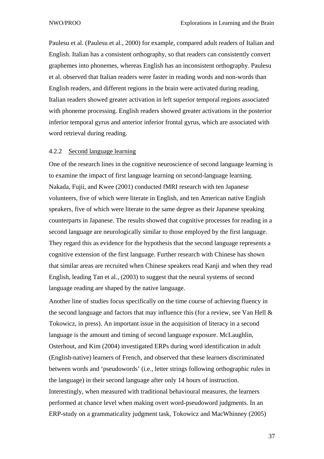Paulesu et al. (Paulesu et al., 2000) for example, compared adult readers of Italian and English. Italian has a consistent orthography, so that readers can consistently convert graphemes into phonemes, whereas English has an inconsistent orthography. Paulesu et al. observed that Italian readers were faster in reading words and non-words than English readers, and different regions in the brain were activated during reading. Italian readers showed greater activation in left superior temporal regions associated with phoneme processing. English readers showed greater activations in the posterior inferior temporal gyrus and anterior inferior frontal gyrus, which are associated with word retrieval during reading.

#### 4.2.2 Second language learning

One of the research lines in the cognitive neuroscience of second language learning is to examine the impact of first language learning on second-language learning. Nakada, Fujii, and Kwee (2001) conducted fMRI research with ten Japanese volunteers, five of which were literate in English, and ten American native English speakers, five of which were literate to the same degree as their Japanese speaking counterparts in Japanese. The results showed that cognitive processes for reading in a second language are neurologically similar to those employed by the first language. They regard this as evidence for the hypothesis that the second language represents a cognitive extension of the first language. Further research with Chinese has shown that similar areas are recruited when Chinese speakers read Kanji and when they read English, leading Tan et al., (2003) to suggest that the neural systems of second language reading are shaped by the native language.

Another line of studies focus specifically on the time course of achieving fluency in the second language and factors that may influence this (for a review, see Van Hell & Tokowicz, in press). An important issue in the acquisition of literacy in a second language is the amount and timing of second language exposure. McLaughlin, Osterhout, and Kim (2004) investigated ERPs during word identification in adult (English-native) learners of French, and observed that these learners discriminated between words and 'pseudowords' (i.e., letter strings following orthographic rules in the language) in their second language after only 14 hours of instruction. Interestingly, when measured with traditional behavioural measures, the learners performed at chance level when making overt word-pseudoword judgments. In an ERP-study on a grammaticality judgment task, Tokowicz and MacWhinney (2005)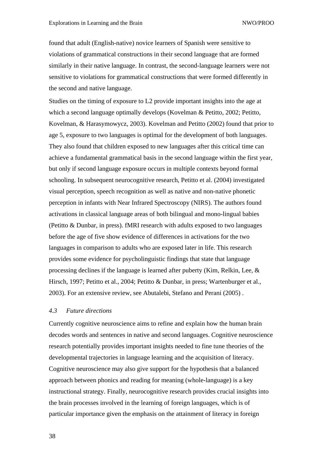found that adult (English-native) novice learners of Spanish were sensitive to violations of grammatical constructions in their second language that are formed similarly in their native language. In contrast, the second-language learners were not sensitive to violations for grammatical constructions that were formed differently in the second and native language.

Studies on the timing of exposure to L2 provide important insights into the age at which a second language optimally develops (Kovelman & Petitto, 2002; Petitto, Kovelman, & Harasymowycz, 2003). Kovelman and Petitto (2002) found that prior to age 5, exposure to two languages is optimal for the development of both languages. They also found that children exposed to new languages after this critical time can achieve a fundamental grammatical basis in the second language within the first year, but only if second language exposure occurs in multiple contexts beyond formal schooling. In subsequent neurocognitive research, Petitto et al. (2004) investigated visual perception, speech recognition as well as native and non-native phonetic perception in infants with Near Infrared Spectroscopy (NIRS). The authors found activations in classical language areas of both bilingual and mono-lingual babies (Petitto & Dunbar, in press). fMRI research with adults exposed to two languages before the age of five show evidence of differences in activations for the two languages in comparison to adults who are exposed later in life. This research provides some evidence for psycholinguistic findings that state that language processing declines if the language is learned after puberty (Kim, Relkin, Lee, & Hirsch, 1997; Petitto et al., 2004; Petitto & Dunbar, in press; Wartenburger et al., 2003). For an extensive review, see Abutalebi, Stefano and Perani (2005) .

## *4.3 Future directions*

Currently cognitive neuroscience aims to refine and explain how the human brain decodes words and sentences in native and second languages. Cognitive neuroscience research potentially provides important insights needed to fine tune theories of the developmental trajectories in language learning and the acquisition of literacy. Cognitive neuroscience may also give support for the hypothesis that a balanced approach between phonics and reading for meaning (whole-language) is a key instructional strategy. Finally, neurocognitive research provides crucial insights into the brain processes involved in the learning of foreign languages, which is of particular importance given the emphasis on the attainment of literacy in foreign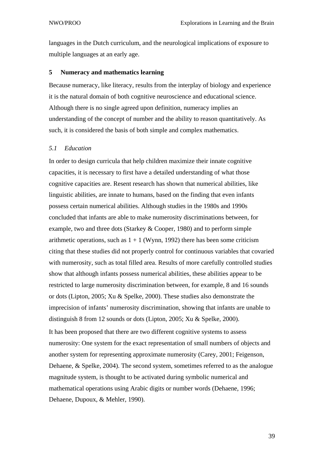languages in the Dutch curriculum, and the neurological implications of exposure to multiple languages at an early age.

## **5 Numeracy and mathematics learning**

Because numeracy, like literacy, results from the interplay of biology and experience it is the natural domain of both cognitive neuroscience and educational science. Although there is no single agreed upon definition, numeracy implies an understanding of the concept of number and the ability to reason quantitatively. As such, it is considered the basis of both simple and complex mathematics.

#### *5.1 Education*

In order to design curricula that help children maximize their innate cognitive capacities, it is necessary to first have a detailed understanding of what those cognitive capacities are. Resent research has shown that numerical abilities, like linguistic abilities, are innate to humans, based on the finding that even infants possess certain numerical abilities. Although studies in the 1980s and 1990s concluded that infants are able to make numerosity discriminations between, for example, two and three dots (Starkey & Cooper, 1980) and to perform simple arithmetic operations, such as  $1 + 1$  (Wynn, 1992) there has been some criticism citing that these studies did not properly control for continuous variables that covaried with numerosity, such as total filled area. Results of more carefully controlled studies show that although infants possess numerical abilities, these abilities appear to be restricted to large numerosity discrimination between, for example, 8 and 16 sounds or dots (Lipton, 2005; Xu & Spelke, 2000). These studies also demonstrate the imprecision of infants' numerosity discrimination, showing that infants are unable to distinguish 8 from 12 sounds or dots (Lipton, 2005; Xu & Spelke, 2000). It has been proposed that there are two different cognitive systems to assess numerosity: One system for the exact representation of small numbers of objects and another system for representing approximate numerosity (Carey, 2001; Feigenson, Dehaene, & Spelke, 2004). The second system, sometimes referred to as the analogue magnitude system, is thought to be activated during symbolic numerical and mathematical operations using Arabic digits or number words (Dehaene, 1996; Dehaene, Dupoux, & Mehler, 1990).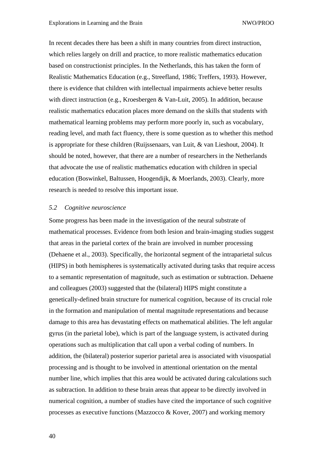In recent decades there has been a shift in many countries from direct instruction, which relies largely on drill and practice, to more realistic mathematics education based on constructionist principles. In the Netherlands, this has taken the form of Realistic Mathematics Education (e.g., Streefland, 1986; Treffers, 1993). However, there is evidence that children with intellectual impairments achieve better results with direct instruction (e.g., Kroesbergen & Van-Luit, 2005). In addition, because realistic mathematics education places more demand on the skills that students with mathematical learning problems may perform more poorly in, such as vocabulary, reading level, and math fact fluency, there is some question as to whether this method is appropriate for these children (Ruijssenaars, van Luit, & van Lieshout, 2004). It should be noted, however, that there are a number of researchers in the Netherlands that advocate the use of realistic mathematics education with children in special education (Boswinkel, Baltussen, Hoogendijk, & Moerlands, 2003). Clearly, more research is needed to resolve this important issue.

# <span id="page-45-0"></span>*5.2 Cognitive neuroscience*

Some progress has been made in the investigation of the neural substrate of mathematical processes. Evidence from both lesion and brain-imaging studies suggest that areas in the parietal cortex of the brain are involved in number processing (Dehaene et al., 2003). Specifically, the horizontal segment of the intraparietal sulcus (HIPS) in both hemispheres is systematically activated during tasks that require access to a semantic representation of magnitude, such as estimation or subtraction. Dehaene and colleagues (2003) suggested that the (bilateral) HIPS might constitute a genetically-defined brain structure for numerical cognition, because of its crucial role in the formation and manipulation of mental magnitude representations and because damage to this area has devastating effects on mathematical abilities. The left angular gyrus (in the parietal lobe), which is part of the language system, is activated during operations such as multiplication that call upon a verbal coding of numbers. In addition, the (bilateral) posterior superior parietal area is associated with visuospatial processing and is thought to be involved in attentional orientation on the mental number line, which implies that this area would be activated during calculations such as subtraction. In addition to these brain areas that appear to be directly involved in numerical cognition, a number of studies have cited the importance of such cognitive processes as executive functions (Mazzocco & Kover, 2007) and working memory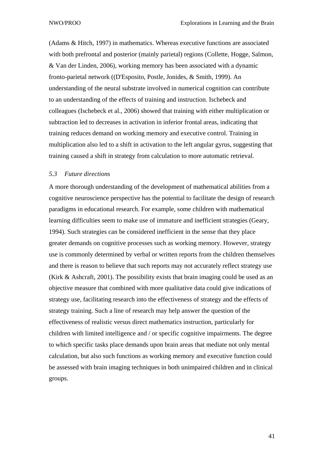(Adams & Hitch, 1997) in mathematics. Whereas executive functions are associated with both prefrontal and posterior (mainly parietal) regions (Collette, Hogge, Salmon, & Van der Linden, 2006), working memory has been associated with a dynamic fronto-parietal network ((D'Esposito, Postle, Jonides, & Smith, 1999). An understanding of the neural substrate involved in numerical cognition can contribute to an understanding of the effects of training and instruction. Ischebeck and colleagues (Ischebeck et al., 2006) showed that training with either multiplication or subtraction led to decreases in activation in inferior frontal areas, indicating that training reduces demand on working memory and executive control. Training in multiplication also led to a shift in activation to the left angular gyrus, suggesting that training caused a shift in strategy from calculation to more automatic retrieval.

#### *5.3 Future directions*

A more thorough understanding of the development of mathematical abilities from a cognitive neuroscience perspective has the potential to facilitate the design of research paradigms in educational research. For example, some children with mathematical learning difficulties seem to make use of immature and inefficient strategies (Geary, 1994). Such strategies can be considered inefficient in the sense that they place greater demands on cognitive processes such as working memory. However, strategy use is commonly determined by verbal or written reports from the children themselves and there is reason to believe that such reports may not accurately reflect strategy use (Kirk & Ashcraft, 2001). The possibility exists that brain imaging could be used as an objective measure that combined with more qualitative data could give indications of strategy use, facilitating research into the effectiveness of strategy and the effects of strategy training. Such a line of research may help answer the question of the effectiveness of realistic versus direct mathematics instruction, particularly for children with limited intelligence and / or specific cognitive impairments. The degree to which specific tasks place demands upon brain areas that mediate not only mental calculation, but also such functions as working memory and executive function could be assessed with brain imaging techniques in both unimpaired children and in clinical groups.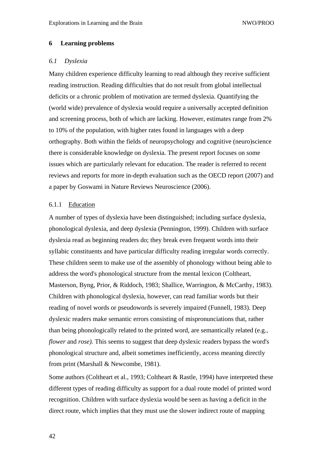## **6 Learning problems**

# *6.1 Dyslexia*

Many children experience difficulty learning to read although they receive sufficient reading instruction. Reading difficulties that do not result from global intellectual deficits or a chronic problem of motivation are termed dyslexia. Quantifying the (world wide) prevalence of dyslexia would require a universally accepted definition and screening process, both of which are lacking. However, estimates range from 2% to 10% of the population, with higher rates found in languages with a deep orthography. Both within the fields of neuropsychology and cognitive (neuro)science there is considerable knowledge on dyslexia. The present report focuses on some issues which are particularly relevant for education. The reader is referred to recent reviews and reports for more in-depth evaluation such as the OECD report (2007) and a paper by Goswami in Nature Reviews Neuroscience (2006).

# 6.1.1 Education

A number of types of dyslexia have been distinguished; including surface dyslexia, phonological dyslexia, and deep dyslexia (Pennington, 1999). Children with surface dyslexia read as beginning readers do; they break even frequent words into their syllabic constituents and have particular difficulty reading irregular words correctly. These children seem to make use of the assembly of phonology without being able to address the word's phonological structure from the mental lexicon (Coltheart, Masterson, Byng, Prior, & Riddoch, 1983; Shallice, Warrington, & McCarthy, 1983). Children with phonological dyslexia, however, can read familiar words but their reading of novel words or pseudowords is severely impaired (Funnell, 1983). Deep dyslexic readers make semantic errors consisting of mispronunciations that, rather than being phonologically related to the printed word, are semantically related (e.g., *flower* and *rose*). This seems to suggest that deep dyslexic readers bypass the word's phonological structure and, albeit sometimes inefficiently, access meaning directly from print (Marshall & Newcombe, 1981).

Some authors (Coltheart et al., 1993; Coltheart & Rastle, 1994) have interpreted these different types of reading difficulty as support for a dual route model of printed word recognition. Children with surface dyslexia would be seen as having a deficit in the direct route, which implies that they must use the slower indirect route of mapping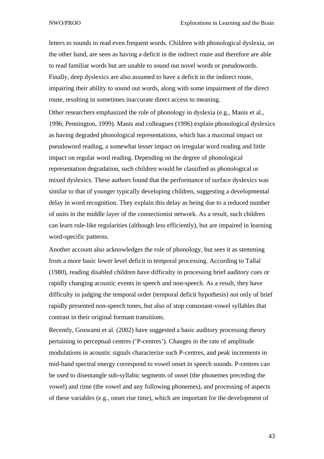letters to sounds to read even frequent words. Children with phonological dyslexia, on the other hand, are seen as having a deficit in the indirect route and therefore are able to read familiar words but are unable to sound out novel words or pseudowords. Finally, deep dyslexics are also assumed to have a deficit in the indirect route, impairing their ability to sound out words, along with some impairment of the direct route, resulting in sometimes inaccurate direct access to meaning.

Other researchers emphasized the role of phonology in dyslexia (e.g., Manis et al., 1996; Pennington, 1999). Manis and colleagues (1996) explain phonological dyslexics as having degraded phonological representations, which has a maximal impact on pseudoword reading, a somewhat lesser impact on irregular word reading and little impact on regular word reading. Depending on the degree of phonological representation degradation, such children would be classified as phonological or mixed dyslexics. These authors found that the performance of surface dyslexics was similar to that of younger typically developing children, suggesting a developmental delay in word recognition. They explain this delay as being due to a reduced number of units in the middle layer of the connectionist network. As a result, such children can learn rule-like regularities (although less efficiently), but are impaired in learning word-specific patterns.

Another account also acknowledges the role of phonology, but sees it as stemming from a more basic lower level deficit in temporal processing. According to Tallal (1980), reading disabled children have difficulty in processing brief auditory cues or rapidly changing acoustic events in speech and non-speech. As a result, they have difficulty in judging the temporal order (temporal deficit hypothesis) not only of brief rapidly presented non-speech tones, but also of stop consonant-vowel syllables that contrast in their original formant transitions.

Recently, Goswami et al. (2002) have suggested a basic auditory processing theory pertaining to perceptual centres ('P-centres'). Changes in the rate of amplitude modulations in acoustic signals characterize such P-centres, and peak increments in mid-band spectral energy correspond to vowel onset in speech sounds. P-centres can be used to disentangle sub-syllabic segments of onset (the phonemes preceding the vowel) and rime (the vowel and any following phonemes), and processing of aspects of these variables (e.g., onset rise time), which are important for the development of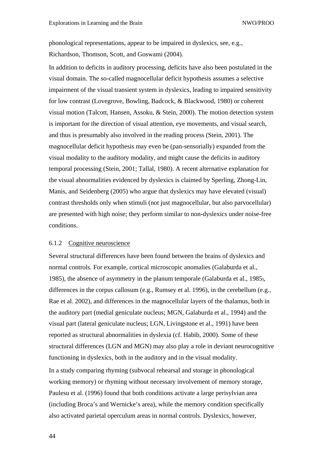phonological representations, appear to be impaired in dyslexics, see, e.g., Richardson, Thomson, Scott, and Goswami (2004).

In addition to deficits in auditory processing, deficits have also been postulated in the visual domain. The so-called magnocellular deficit hypothesis assumes a selective impairment of the visual transient system in dyslexics, leading to impaired sensitivity for low contrast (Lovegrove, Bowling, Badcock, & Blackwood, 1980) or coherent visual motion (Talcott, Hansen, Assoku, & Stein, 2000). The motion detection system is important for the direction of visual attention, eye movements, and visual search, and thus is presumably also involved in the reading process (Stein, 2001). The magnocellular deficit hypothesis may even be (pan-sensorially) expanded from the visual modality to the auditory modality, and might cause the deficits in auditory temporal processing (Stein, 2001; Tallal, 1980). A recent alternative explanation for the visual abnormalities evidenced by dyslexics is claimed by Sperling, Zhong-Lin, Manis, and Seidenberg (2005) who argue that dyslexics may have elevated (visual) contrast thresholds only when stimuli (not just magnocellular, but also parvocellular) are presented with high noise; they perform similar to non-dyslexics under noise-free conditions.

## 6.1.2 Cognitive neuroscience

Several structural differences have been found between the brains of dyslexics and normal controls. For example, cortical microscopic anomalies (Galaburda et al., 1985), the absence of asymmetry in the planum temporale (Galaburda et al., 1985), differences in the corpus callosum (e.g., Rumsey et al. 1996), in the cerebellum (e.g., Rae et al. 2002), and differences in the magnocellular layers of the thalamus, both in the auditory part (medial geniculate nucleus; MGN, Galaburda et al., 1994) and the visual part (lateral geniculate nucleus; LGN, Livingstone et al., 1991) have been reported as structural abnormalities in dyslexia (cf. Habib, 2000). Some of these structural differences (LGN and MGN) may also play a role in deviant neurocognitive functioning in dyslexics, both in the auditory and in the visual modality.

In a study comparing rhyming (subvocal rehearsal and storage in phonological working memory) or rhyming without necessary involvement of memory storage, Paulesu et al. (1996) found that both conditions activate a large perisylvian area (including Broca's and Wernicke's area), while the memory condition specifically also activated parietal operculum areas in normal controls. Dyslexics, however,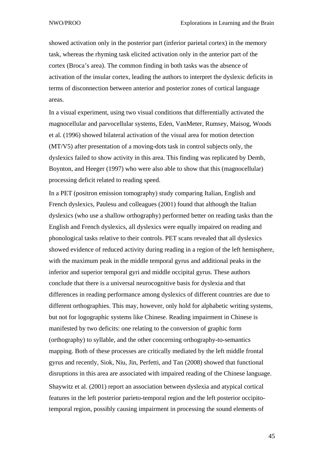showed activation only in the posterior part (inferior parietal cortex) in the memory task, whereas the rhyming task elicited activation only in the anterior part of the cortex (Broca's area). The common finding in both tasks was the absence of activation of the insular cortex, leading the authors to interpret the dyslexic deficits in terms of disconnection between anterior and posterior zones of cortical language areas.

In a visual experiment, using two visual conditions that differentially activated the magnocellular and parvocellular systems, Eden, VanMeter, Rumsey, Maisog, Woods et al. (1996) showed bilateral activation of the visual area for motion detection (MT/V5) after presentation of a moving-dots task in control subjects only, the dyslexics failed to show activity in this area. This finding was replicated by Demb, Boynton, and Heeger (1997) who were also able to show that this (magnocellular) processing deficit related to reading speed.

In a PET (positron emission tomography) study comparing Italian, English and French dyslexics, Paulesu and colleagues (2001) found that although the Italian dyslexics (who use a shallow orthography) performed better on reading tasks than the English and French dyslexics, all dyslexics were equally impaired on reading and phonological tasks relative to their controls. PET scans revealed that all dyslexics showed evidence of reduced activity during reading in a region of the left hemisphere, with the maximum peak in the middle temporal gyrus and additional peaks in the inferior and superior temporal gyri and middle occipital gyrus. These authors conclude that there is a universal neurocognitive basis for dyslexia and that differences in reading performance among dyslexics of different countries are due to different orthographies. This may, however, only hold for alphabetic writing systems, but not for logographic systems like Chinese. Reading impairment in Chinese is manifested by two deficits: one relating to the conversion of graphic form (orthography) to syllable, and the other concerning orthography-to-semantics mapping. Both of these processes are critically mediated by the left middle frontal gyrus and recently, Siok, Niu, Jin, Perfetti, and Tan (2008) showed that functional disruptions in this area are associated with impaired reading of the Chinese language. Shaywitz et al. (2001) report an association between dyslexia and atypical cortical features in the left posterior parieto-temporal region and the left posterior occipitotemporal region, possibly causing impairment in processing the sound elements of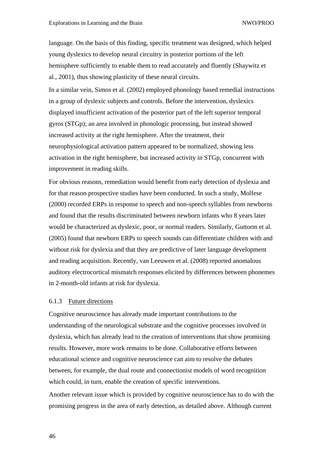language. On the basis of this finding, specific treatment was designed, which helped young dyslexics to develop neural circuitry in posterior portions of the left hemisphere sufficiently to enable them to read accurately and fluently (Shaywitz et al., 2001), thus showing plasticity of these neural circuits.

In a similar vein, Simos et al. (2002) employed phonology based remedial instructions in a group of dyslexic subjects and controls. Before the intervention, dyslexics displayed insufficient activation of the posterior part of the left superior temporal gyros (STGp); an area involved in phonologic processing, but instead showed increased activity at the right hemisphere. After the treatment, their neurophysiological activation pattern appeared to be normalized, showing less activation in the right hemisphere, but increased activity in STGp, concurrent with improvement in reading skills.

For obvious reasons, remediation would benefit from early detection of dyslexia and for that reason prospective studies have been conducted. In such a study, Molfese (2000) recorded ERPs in response to speech and non-speech syllables from newborns and found that the results discriminated between newborn infants who 8 years later would be characterized as dyslexic, poor, or normal readers. Similarly, Guttorm et al. (2005) found that newborn ERPs to speech sounds can differentiate children with and without risk for dyslexia and that they are predictive of later language development and reading acquisition. Recently, van Leeuwen et al. (2008) reported anomalous auditory electrocortical mismatch responses elicited by differences between phonemes in 2-month-old infants at risk for dyslexia.

#### 6.1.3 Future directions

Cognitive neuroscience has already made important contributions to the understanding of the neurological substrate and the cognitive processes involved in dyslexia, which has already lead to the creation of interventions that show promising results. However, more work remains to be done. Collaborative efforts between educational science and cognitive neuroscience can aim to resolve the debates between, for example, the dual route and connectionist models of word recognition which could, in turn, enable the creation of specific interventions.

Another relevant issue which is provided by cognitive neuroscience has to do with the promising progress in the area of early detection, as detailed above. Although current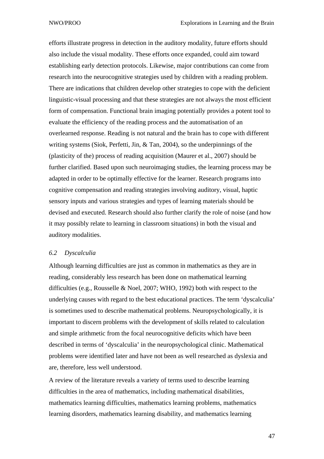efforts illustrate progress in detection in the auditory modality, future efforts should also include the visual modality. These efforts once expanded, could aim toward establishing early detection protocols. Likewise, major contributions can come from research into the neurocognitive strategies used by children with a reading problem. There are indications that children develop other strategies to cope with the deficient linguistic-visual processing and that these strategies are not always the most efficient form of compensation. Functional brain imaging potentially provides a potent tool to evaluate the efficiency of the reading process and the automatisation of an overlearned response. Reading is not natural and the brain has to cope with different writing systems (Siok, Perfetti, Jin, & Tan, 2004), so the underpinnings of the (plasticity of the) process of reading acquisition (Maurer et al., 2007) should be further clarified. Based upon such neuroimaging studies, the learning process may be adapted in order to be optimally effective for the learner. Research programs into cognitive compensation and reading strategies involving auditory, visual, haptic sensory inputs and various strategies and types of learning materials should be devised and executed. Research should also further clarify the role of noise (and how it may possibly relate to learning in classroom situations) in both the visual and auditory modalities.

#### *6.2 Dyscalculia*

Although learning difficulties are just as common in mathematics as they are in reading, considerably less research has been done on mathematical learning difficulties (e.g., Rousselle & Noel, 2007; WHO, 1992) both with respect to the underlying causes with regard to the best educational practices. The term 'dyscalculia' is sometimes used to describe mathematical problems. Neuropsychologically, it is important to discern problems with the development of skills related to calculation and simple arithmetic from the focal neurocognitive deficits which have been described in terms of 'dyscalculia' in the neuropsychological clinic. Mathematical problems were identified later and have not been as well researched as dyslexia and are, therefore, less well understood.

A review of the literature reveals a variety of terms used to describe learning difficulties in the area of mathematics, including mathematical disabilities, mathematics learning difficulties, mathematics learning problems, mathematics learning disorders, mathematics learning disability, and mathematics learning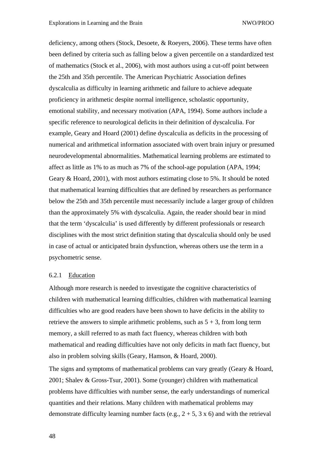deficiency, among others (Stock, Desoete, & Roeyers, 2006). These terms have often been defined by criteria such as falling below a given percentile on a standardized test of mathematics (Stock et al., 2006), with most authors using a cut-off point between the 25th and 35th percentile. The American Psychiatric Association defines dyscalculia as difficulty in learning arithmetic and failure to achieve adequate proficiency in arithmetic despite normal intelligence, scholastic opportunity, emotional stability, and necessary motivation (APA, 1994). Some authors include a specific reference to neurological deficits in their definition of dyscalculia. For example, Geary and Hoard (2001) define dyscalculia as deficits in the processing of numerical and arithmetical information associated with overt brain injury or presumed neurodevelopmental abnormalities. Mathematical learning problems are estimated to affect as little as 1% to as much as 7% of the school-age population (APA, 1994; Geary & Hoard, 2001), with most authors estimating close to 5%. It should be noted that mathematical learning difficulties that are defined by researchers as performance below the 25th and 35th percentile must necessarily include a larger group of children than the approximately 5% with dyscalculia. Again, the reader should bear in mind that the term 'dyscalculia' is used differently by different professionals or research disciplines with the most strict definition stating that dyscalculia should only be used in case of actual or anticipated brain dysfunction, whereas others use the term in a psychometric sense.

# 6.2.1 Education

Although more research is needed to investigate the cognitive characteristics of children with mathematical learning difficulties, children with mathematical learning difficulties who are good readers have been shown to have deficits in the ability to retrieve the answers to simple arithmetic problems, such as  $5 + 3$ , from long term memory, a skill referred to as math fact fluency, whereas children with both mathematical and reading difficulties have not only deficits in math fact fluency, but also in problem solving skills (Geary, Hamson, & Hoard, 2000).

The signs and symptoms of mathematical problems can vary greatly (Geary & Hoard, 2001; Shalev & Gross-Tsur, 2001). Some (younger) children with mathematical problems have difficulties with number sense, the early understandings of numerical quantities and their relations. Many children with mathematical problems may demonstrate difficulty learning number facts (e.g.,  $2 + 5$ ,  $3 \times 6$ ) and with the retrieval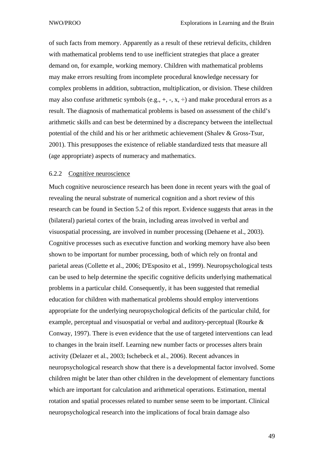of such facts from memory. Apparently as a result of these retrieval deficits, children with mathematical problems tend to use inefficient strategies that place a greater demand on, for example, working memory. Children with mathematical problems may make errors resulting from incomplete procedural knowledge necessary for complex problems in addition, subtraction, multiplication, or division. These children may also confuse arithmetic symbols (e.g.,  $+$ ,  $-$ ,  $x$ ,  $\div$ ) and make procedural errors as a result. The diagnosis of mathematical problems is based on assessment of the child's arithmetic skills and can best be determined by a discrepancy between the intellectual potential of the child and his or her arithmetic achievement (Shalev & Gross-Tsur, 2001). This presupposes the existence of reliable standardized tests that measure all (age appropriate) aspects of numeracy and mathematics.

#### 6.2.2 Cognitive neuroscience

Much cognitive neuroscience research has been done in recent years with the goal of revealing the neural substrate of numerical cognition and a short review of this research can be found in Section [5.2](#page-45-0) of this report. Evidence suggests that areas in the (bilateral) parietal cortex of the brain, including areas involved in verbal and visuospatial processing, are involved in number processing (Dehaene et al., 2003). Cognitive processes such as executive function and working memory have also been shown to be important for number processing, both of which rely on frontal and parietal areas (Collette et al., 2006; D'Esposito et al., 1999). Neuropsychological tests can be used to help determine the specific cognitive deficits underlying mathematical problems in a particular child. Consequently, it has been suggested that remedial education for children with mathematical problems should employ interventions appropriate for the underlying neuropsychological deficits of the particular child, for example, perceptual and visuospatial or verbal and auditory-perceptual (Rourke & Conway, 1997). There is even evidence that the use of targeted interventions can lead to changes in the brain itself. Learning new number facts or processes alters brain activity (Delazer et al., 2003; Ischebeck et al., 2006). Recent advances in neuropsychological research show that there is a developmental factor involved. Some children might be later than other children in the development of elementary functions which are important for calculation and arithmetical operations. Estimation, mental rotation and spatial processes related to number sense seem to be important. Clinical neuropsychological research into the implications of focal brain damage also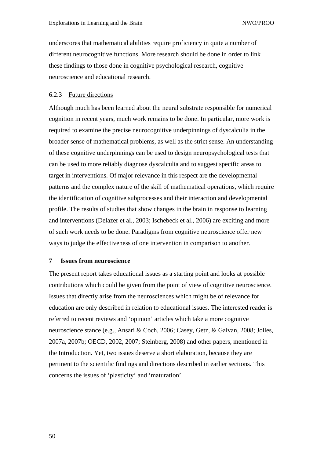underscores that mathematical abilities require proficiency in quite a number of different neurocognitive functions. More research should be done in order to link these findings to those done in cognitive psychological research, cognitive neuroscience and educational research.

#### 6.2.3 Future directions

Although much has been learned about the neural substrate responsible for numerical cognition in recent years, much work remains to be done. In particular, more work is required to examine the precise neurocognitive underpinnings of dyscalculia in the broader sense of mathematical problems, as well as the strict sense. An understanding of these cognitive underpinnings can be used to design neuropsychological tests that can be used to more reliably diagnose dyscalculia and to suggest specific areas to target in interventions. Of major relevance in this respect are the developmental patterns and the complex nature of the skill of mathematical operations, which require the identification of cognitive subprocesses and their interaction and developmental profile. The results of studies that show changes in the brain in response to learning and interventions (Delazer et al., 2003; Ischebeck et al., 2006) are exciting and more of such work needs to be done. Paradigms from cognitive neuroscience offer new ways to judge the effectiveness of one intervention in comparison to another.

# **7 Issues from neuroscience**

The present report takes educational issues as a starting point and looks at possible contributions which could be given from the point of view of cognitive neuroscience. Issues that directly arise from the neurosciences which might be of relevance for education are only described in relation to educational issues. The interested reader is referred to recent reviews and 'opinion' articles which take a more cognitive neuroscience stance (e.g., Ansari & Coch, 2006; Casey, Getz, & Galvan, 2008; Jolles, 2007a, 2007b; OECD, 2002, 2007; Steinberg, 2008) and other papers, mentioned in the Introduction. Yet, two issues deserve a short elaboration, because they are pertinent to the scientific findings and directions described in earlier sections. This concerns the issues of 'plasticity' and 'maturation'.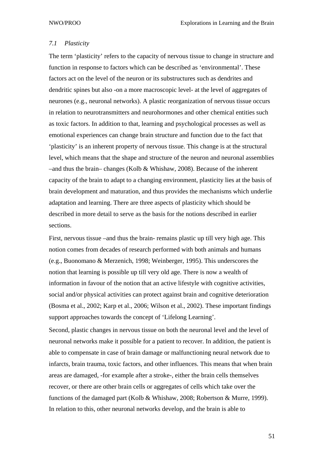# *7.1 Plasticity*

The term 'plasticity' refers to the capacity of nervous tissue to change in structure and function in response to factors which can be described as 'environmental'. These factors act on the level of the neuron or its substructures such as dendrites and dendritic spines but also -on a more macroscopic level- at the level of aggregates of neurones (e.g., neuronal networks). A plastic reorganization of nervous tissue occurs in relation to neurotransmitters and neurohormones and other chemical entities such as toxic factors. In addition to that, learning and psychological processes as well as emotional experiences can change brain structure and function due to the fact that 'plasticity' is an inherent property of nervous tissue. This change is at the structural level, which means that the shape and structure of the neuron and neuronal assemblies –and thus the brain– changes (Kolb & Whishaw, 2008). Because of the inherent capacity of the brain to adapt to a changing environment, plasticity lies at the basis of brain development and maturation, and thus provides the mechanisms which underlie adaptation and learning. There are three aspects of plasticity which should be described in more detail to serve as the basis for the notions described in earlier sections.

First, nervous tissue –and thus the brain- remains plastic up till very high age. This notion comes from decades of research performed with both animals and humans (e.g., Buonomano & Merzenich, 1998; Weinberger, 1995). This underscores the notion that learning is possible up till very old age. There is now a wealth of information in favour of the notion that an active lifestyle with cognitive activities, social and/or physical activities can protect against brain and cognitive deterioration (Bosma et al., 2002; Karp et al., 2006; Wilson et al., 2002). These important findings support approaches towards the concept of 'Lifelong Learning'.

Second, plastic changes in nervous tissue on both the neuronal level and the level of neuronal networks make it possible for a patient to recover. In addition, the patient is able to compensate in case of brain damage or malfunctioning neural network due to infarcts, brain trauma, toxic factors, and other influences. This means that when brain areas are damaged, -for example after a stroke-, either the brain cells themselves recover, or there are other brain cells or aggregates of cells which take over the functions of the damaged part (Kolb & Whishaw, 2008; Robertson & Murre, 1999). In relation to this, other neuronal networks develop, and the brain is able to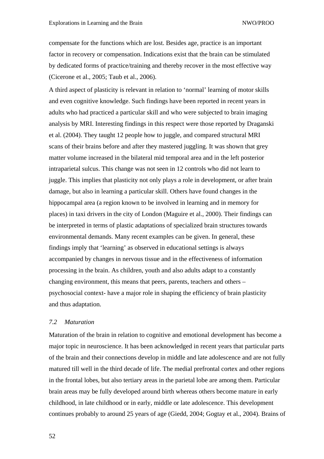compensate for the functions which are lost. Besides age, practice is an important factor in recovery or compensation. Indications exist that the brain can be stimulated by dedicated forms of practice/training and thereby recover in the most effective way (Cicerone et al., 2005; Taub et al., 2006).

A third aspect of plasticity is relevant in relation to 'normal' learning of motor skills and even cognitive knowledge. Such findings have been reported in recent years in adults who had practiced a particular skill and who were subjected to brain imaging analysis by MRI. Interesting findings in this respect were those reported by Draganski et al. (2004). They taught 12 people how to juggle, and compared structural MRI scans of their brains before and after they mastered juggling. It was shown that grey matter volume increased in the bilateral mid temporal area and in the left posterior intraparietal sulcus. This change was not seen in 12 controls who did not learn to juggle. This implies that plasticity not only plays a role in development, or after brain damage, but also in learning a particular skill. Others have found changes in the hippocampal area (a region known to be involved in learning and in memory for places) in taxi drivers in the city of London (Maguire et al., 2000). Their findings can be interpreted in terms of plastic adaptations of specialized brain structures towards environmental demands. Many recent examples can be given. In general, these findings imply that 'learning' as observed in educational settings is always accompanied by changes in nervous tissue and in the effectiveness of information processing in the brain. As children, youth and also adults adapt to a constantly changing environment, this means that peers, parents, teachers and others – psychosocial context- have a major role in shaping the efficiency of brain plasticity and thus adaptation.

# *7.2 Maturation*

Maturation of the brain in relation to cognitive and emotional development has become a major topic in neuroscience. It has been acknowledged in recent years that particular parts of the brain and their connections develop in middle and late adolescence and are not fully matured till well in the third decade of life. The medial prefrontal cortex and other regions in the frontal lobes, but also tertiary areas in the parietal lobe are among them. Particular brain areas may be fully developed around birth whereas others become mature in early childhood, in late childhood or in early, middle or late adolescence. This development continues probably to around 25 years of age (Giedd, 2004; Gogtay et al., 2004). Brains of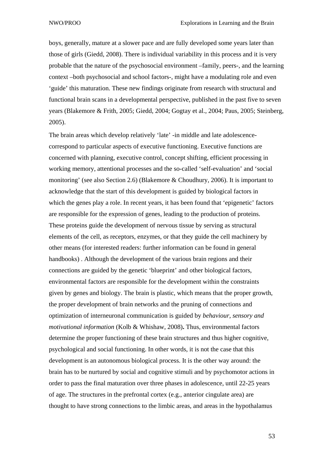boys, generally, mature at a slower pace and are fully developed some years later than those of girls (Giedd, 2008). There is individual variability in this process and it is very probable that the nature of the psychosocial environment –family, peers-, and the learning context –both psychosocial and school factors-, might have a modulating role and even 'guide' this maturation. These new findings originate from research with structural and functional brain scans in a developmental perspective, published in the past five to seven years (Blakemore & Frith, 2005; Giedd, 2004; Gogtay et al., 2004; Paus, 2005; Steinberg, 2005).

The brain areas which develop relatively 'late' -in middle and late adolescencecorrespond to particular aspects of executive functioning. Executive functions are concerned with planning, executive control, concept shifting, efficient processing in working memory, attentional processes and the so-called 'self-evaluation' and 'social monitoring' (see also Section [2.6\)](#page-25-0) (Blakemore & Choudhury, 2006). It is important to acknowledge that the start of this development is guided by biological factors in which the genes play a role. In recent years, it has been found that 'epigenetic' factors are responsible for the expression of genes, leading to the production of proteins. These proteins guide the development of nervous tissue by serving as structural elements of the cell, as receptors, enzymes, or that they guide the cell machinery by other means (for interested readers: further information can be found in general handbooks) . Although the development of the various brain regions and their connections are guided by the genetic 'blueprint' and other biological factors, environmental factors are responsible for the development within the constraints given by genes and biology. The brain is plastic, which means that the proper growth, the proper development of brain networks and the pruning of connections and optimization of interneuronal communication is guided by *behaviour, sensory and motivational information* (Kolb & Whishaw, 2008)**.** Thus, environmental factors determine the proper functioning of these brain structures and thus higher cognitive, psychological and social functioning. In other words, it is not the case that this development is an autonomous biological process. It is the other way around: the brain has to be nurtured by social and cognitive stimuli and by psychomotor actions in order to pass the final maturation over three phases in adolescence, until 22-25 years of age. The structures in the prefrontal cortex (e.g., anterior cingulate area) are thought to have strong connections to the limbic areas, and areas in the hypothalamus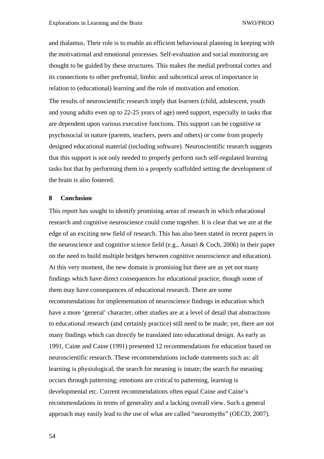and thalamus. Their role is to enable an efficient behavioural planning in keeping with the motivational and emotional processes. Self-evaluation and social monitoring are thought to be guided by these structures. This makes the medial prefrontal cortex and its connections to other prefrontal, limbic and subcortical areas of importance in relation to (educational) learning and the role of motivation and emotion.

The results of neuroscientific research imply that learners (child, adolescent, youth and young adults even up to 22-25 years of age) need support, especially in tasks that are dependent upon various executive functions. This support can be cognitive or psychosocial in nature (parents, teachers, peers and others) or come from properly designed educational material (including software). Neuroscientific research suggests that this support is not only needed to properly perform such self-regulated learning tasks but that by performing them in a properly scaffolded setting the development of the brain is also fostered.

#### **8 Conclusion**

This report has sought to identify promising areas of research in which educational research and cognitive neuroscience could come together. It is clear that we are at the edge of an exciting new field of research. This has also been stated in recent papers in the neuroscience and cognitive science field (e.g., Ansari & Coch, 2006) in their paper on the need to build multiple bridges between cognitive neuroscience and education). At this very moment, the new domain is promising but there are as yet not many findings which have direct consequences for educational practice, though some of them may have consequences of educational research. There are some recommendations for implementation of neuroscience findings in education which have a more 'general' character, other studies are at a level of detail that abstractions to educational research (and certainly practice) still need to be made; yet, there are not many findings which can directly be translated into educational design. As early as 1991, Caine and Caine (1991) presented 12 recommendations for education based on neuroscientific research. These recommendations include statements such as: all learning is physiological, the search for meaning is innate; the search for meaning occurs through patterning; emotions are critical to patterning, learning is developmental etc. Current recommendations often equal Caine and Caine's recommendations in terms of generality and a lacking overall view. Such a general approach may easily lead to the use of what are called "neuromyths" (OECD, 2007).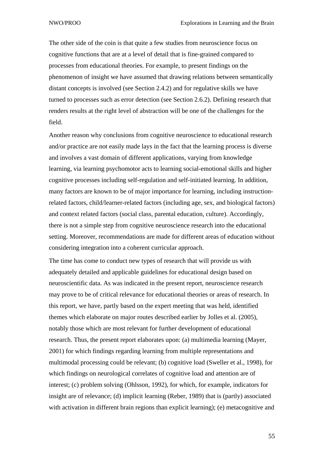The other side of the coin is that quite a few studies from neuroscience focus on cognitive functions that are at a level of detail that is fine-grained compared to processes from educational theories. For example, to present findings on the phenomenon of insight we have assumed that drawing relations between semantically distant concepts is involved (see Section [2.4.2](#page-18-0)) and for regulative skills we have turned to processes such as error detection (see Section [2.6.2](#page-26-0)). Defining research that renders results at the right level of abstraction will be one of the challenges for the field.

Another reason why conclusions from cognitive neuroscience to educational research and/or practice are not easily made lays in the fact that the learning process is diverse and involves a vast domain of different applications, varying from knowledge learning, via learning psychomotor acts to learning social-emotional skills and higher cognitive processes including self-regulation and self-initiated learning. In addition, many factors are known to be of major importance for learning, including instructionrelated factors, child/learner-related factors (including age, sex, and biological factors) and context related factors (social class, parental education, culture). Accordingly, there is not a simple step from cognitive neuroscience research into the educational setting. Moreover, recommendations are made for different areas of education without considering integration into a coherent curricular approach.

The time has come to conduct new types of research that will provide us with adequately detailed and applicable guidelines for educational design based on neuroscientific data. As was indicated in the present report, neuroscience research may prove to be of critical relevance for educational theories or areas of research. In this report, we have, partly based on the expert meeting that was held, identified themes which elaborate on major routes described earlier by Jolles et al. (2005), notably those which are most relevant for further development of educational research. Thus, the present report elaborates upon: (a) multimedia learning (Mayer, 2001) for which findings regarding learning from multiple representations and multimodal processing could be relevant; (b) cognitive load (Sweller et al., 1998), for which findings on neurological correlates of cognitive load and attention are of interest; (c) problem solving (Ohlsson, 1992), for which, for example, indicators for insight are of relevance; (d) implicit learning (Reber, 1989) that is (partly) associated with activation in different brain regions than explicit learning); (e) metacognitive and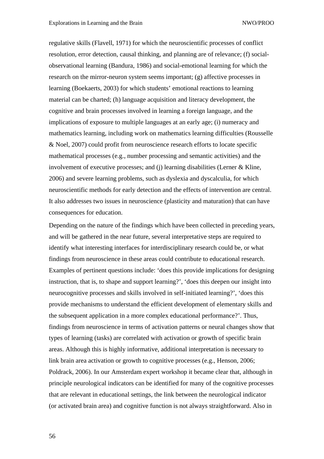regulative skills (Flavell, 1971) for which the neuroscientific processes of conflict resolution, error detection, causal thinking, and planning are of relevance; (f) socialobservational learning (Bandura, 1986) and social-emotional learning for which the research on the mirror-neuron system seems important; (g) affective processes in learning (Boekaerts, 2003) for which students' emotional reactions to learning material can be charted; (h) language acquisition and literacy development, the cognitive and brain processes involved in learning a foreign language, and the implications of exposure to multiple languages at an early age; (i) numeracy and mathematics learning, including work on mathematics learning difficulties (Rousselle & Noel, 2007) could profit from neuroscience research efforts to locate specific mathematical processes (e.g., number processing and semantic activities) and the involvement of executive processes; and (j) learning disabilities (Lerner & Kline, 2006) and severe learning problems, such as dyslexia and dyscalculia, for which neuroscientific methods for early detection and the effects of intervention are central. It also addresses two issues in neuroscience (plasticity and maturation) that can have consequences for education.

Depending on the nature of the findings which have been collected in preceding years, and will be gathered in the near future, several interpretative steps are required to identify what interesting interfaces for interdisciplinary research could be, or what findings from neuroscience in these areas could contribute to educational research. Examples of pertinent questions include: 'does this provide implications for designing instruction, that is, to shape and support learning?', 'does this deepen our insight into neurocognitive processes and skills involved in self-initiated learning?', 'does this provide mechanisms to understand the efficient development of elementary skills and the subsequent application in a more complex educational performance?'. Thus, findings from neuroscience in terms of activation patterns or neural changes show that types of learning (tasks) are correlated with activation or growth of specific brain areas. Although this is highly informative, additional interpretation is necessary to link brain area activation or growth to cognitive processes (e.g., Henson, 2006; Poldrack, 2006). In our Amsterdam expert workshop it became clear that, although in principle neurological indicators can be identified for many of the cognitive processes that are relevant in educational settings, the link between the neurological indicator (or activated brain area) and cognitive function is not always straightforward. Also in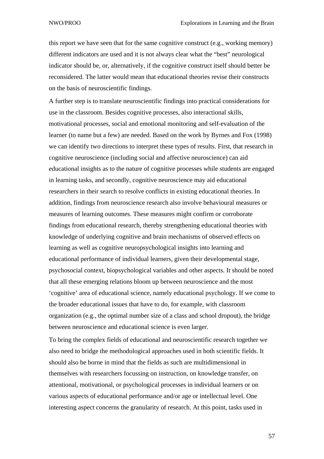this report we have seen that for the same cognitive construct (e.g., working memory) different indicators are used and it is not always clear what the "best" neurological indicator should be, or, alternatively, if the cognitive construct itself should better be reconsidered. The latter would mean that educational theories revise their constructs on the basis of neuroscientific findings.

A further step is to translate neuroscientific findings into practical considerations for use in the classroom. Besides cognitive processes, also interactional skills, motivational processes, social and emotional monitoring and self-evaluation of the learner (to name but a few) are needed. Based on the work by Byrnes and Fox (1998) we can identify two directions to interpret these types of results. First, that research in cognitive neuroscience (including social and affective neuroscience) can aid educational insights as to the nature of cognitive processes while students are engaged in learning tasks, and secondly, cognitive neuroscience may aid educational researchers in their search to resolve conflicts in existing educational theories. In addition, findings from neuroscience research also involve behavioural measures or measures of learning outcomes. These measures might confirm or corroborate findings from educational research, thereby strengthening educational theories with knowledge of underlying cognitive and brain mechanisms of observed effects on learning as well as cognitive neuropsychological insights into learning and educational performance of individual learners, given their developmental stage, psychosocial context, biopsychological variables and other aspects. It should be noted that all these emerging relations bloom up between neuroscience and the most 'cognitive' area of educational science, namely educational psychology. If we come to the broader educational issues that have to do, for example, with classroom organization (e.g., the optimal number size of a class and school dropout), the bridge between neuroscience and educational science is even larger.

To bring the complex fields of educational and neuroscientific research together we also need to bridge the methodological approaches used in both scientific fields. It should also be borne in mind that the fields as such are multidimensional in themselves with researchers focussing on instruction, on knowledge transfer, on attentional, motivational, or psychological processes in individual learners or on various aspects of educational performance and/or age or intellectual level. One interesting aspect concerns the granularity of research. At this point, tasks used in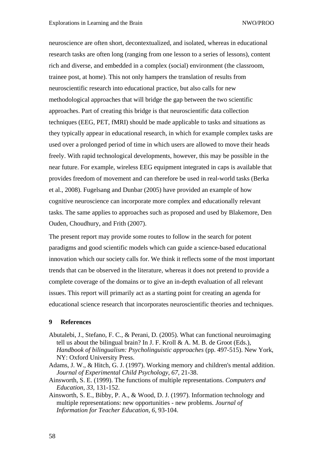neuroscience are often short, decontextualized, and isolated, whereas in educational research tasks are often long (ranging from one lesson to a series of lessons), content rich and diverse, and embedded in a complex (social) environment (the classroom, trainee post, at home). This not only hampers the translation of results from neuroscientific research into educational practice, but also calls for new methodological approaches that will bridge the gap between the two scientific approaches. Part of creating this bridge is that neuroscientific data collection techniques (EEG, PET, fMRI) should be made applicable to tasks and situations as they typically appear in educational research, in which for example complex tasks are used over a prolonged period of time in which users are allowed to move their heads freely. With rapid technological developments, however, this may be possible in the near future. For example, wireless EEG equipment integrated in caps is available that provides freedom of movement and can therefore be used in real-world tasks (Berka et al., 2008). Fugelsang and Dunbar (2005) have provided an example of how cognitive neuroscience can incorporate more complex and educationally relevant tasks. The same applies to approaches such as proposed and used by Blakemore, Den Ouden, Choudhury, and Frith (2007).

The present report may provide some routes to follow in the search for potent paradigms and good scientific models which can guide a science-based educational innovation which our society calls for. We think it reflects some of the most important trends that can be observed in the literature, whereas it does not pretend to provide a complete coverage of the domains or to give an in-depth evaluation of all relevant issues. This report will primarily act as a starting point for creating an agenda for educational science research that incorporates neuroscientific theories and techniques.

#### **9 References**

- Abutalebi, J., Stefano, F. C., & Perani, D. (2005). What can functional neuroimaging tell us about the bilingual brain? In J. F. Kroll & A. M. B. de Groot (Eds.), *Handbook of bilingualism: Psycholinguistic approaches* (pp. 497-515). New York, NY: Oxford University Press.
- Adams, J. W., & Hitch, G. J. (1997). Working memory and children's mental addition. *Journal of Experimental Child Psychology, 67*, 21-38.
- Ainsworth, S. E. (1999). The functions of multiple representations. *Computers and Education, 33*, 131-152.
- Ainsworth, S. E., Bibby, P. A., & Wood, D. J. (1997). Information technology and multiple representations: new opportunities - new problems. *Journal of Information for Teacher Education, 6*, 93-104.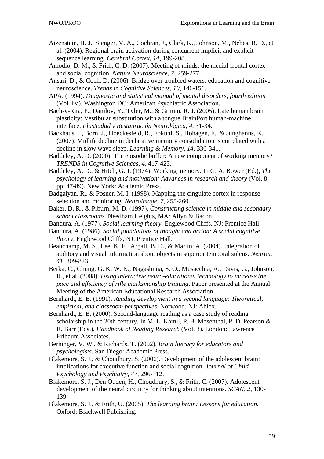- Aizenstein, H. J., Stenger, V. A., Cochran, J., Clark, K., Johnson, M., Nebes, R. D., et al. (2004). Regional brain activation during concurrent implicit and explicit sequence learning. *Cerebral Cortex, 14*, 199-208.
- Amodio, D. M., & Frith, C. D. (2007). Meeting of minds: the medial frontal cortex and social cognition. *Nature Neuroscience, 7*, 259-277.
- Ansari, D., & Coch, D. (2006). Bridge over troubled waters: education and cognitive neuroscience. *Trends in Cognitive Sciences, 10*, 146-151.
- APA. (1994). *Diagnostic and statistical manual of mental disorders, fourth edition* (Vol. IV). Washington DC: American Psychiatric Association.
- Bach-y-Rita, P., Danilov, Y., Tyler, M., & Grimm, R. J. (2005). Late human brain plasticity: Vestibular substitution with a tongue BrainPort human-machine interface. *Plastcidad y Restauración Neurológica, 4*, 31-34.
- Backhaus, J., Born, J., Hoeckesfeld, R., Fokuhl, S., Hohagen, F., & Junghanns, K. (2007). Midlife decline in declarative memory consolidation is correlated with a decline in slow wave sleep. *Learning & Memory, 14*, 336-341.
- Baddeley, A. D. (2000). The episodic buffer: A new component of working memory? *TRENDS in Cognitive Sciences, 4*, 417-423.
- Baddeley, A. D., & Hitch, G. J. (1974). Working memory. In G. A. Bower (Ed.), *The psychology of learning and motivation: Advances in research and theory* (Vol. 8, pp. 47-89). New York: Academic Press.
- Badgaiyan, R., & Posner, M. I. (1998). Mapping the cingulate cortex in response selection and monitoring. *Neuroimage, 7*, 255-260.
- Baker, D. R., & Piburn, M. D. (1997). *Constructing science in middle and secondary school classrooms*. Needham Heights, MA: Allyn & Bacon.
- Bandura, A. (1977). *Social learning theory*. Englewood Cliffs, NJ: Prentice Hall.
- Bandura, A. (1986). *Social foundations of thought and action: A social cognitive theory.* Englewood Cliffs, NJ: Prentice Hall.
- Beauchamp, M. S., Lee, K. E., Argall, B. D., & Martin, A. (2004). Integration of auditory and visual information about objects in superior temporal sulcus. *Neuron, 41*, 809-823.
- Berka, C., Chung, G. K. W. K., Nagashima, S. O., Musacchia, A., Davis, G., Johnson, R., et al. (2008). *Using interactive neuro-educational technology to increase the pace and efficiency of rifle marksmanship training*. Paper presented at the Annual Meeting of the American Educational Research Association.
- Bernhardt, E. B. (1991). *Reading development in a second language: Theoretical, empirical, and classroom perspectives*. Norwood, NJ: Ablex.
- Bernhardt, E. B. (2000). Second-language reading as a case study of reading scholarship in the 20th century. In M. L. Kamil, P. B. Mosenthal, P. D. Pearson & R. Barr (Eds.), *Handbook of Reading Research* (Vol. 3). London: Lawrence Erlbaum Associates.
- Berninger, V. W., & Richards, T. (2002). *Brain literacy for educators and psychologists*. San Diego: Academic Press.
- Blakemore, S. J., & Choudhury, S. (2006). Development of the adolescent brain: implications for executive function and social cognition. *Journal of Child Psychology and Psychiatry, 47*, 296-312.
- Blakemore, S. J., Den Ouden, H., Choudhury, S., & Frith, C. (2007). Adolescent development of the neural circuitry for thinking about intentions. *SCAN, 2*, 130- 139.
- Blakemore, S. J., & Frith, U. (2005). *The learning brain: Lessons for education*. Oxford: Blackwell Publishing.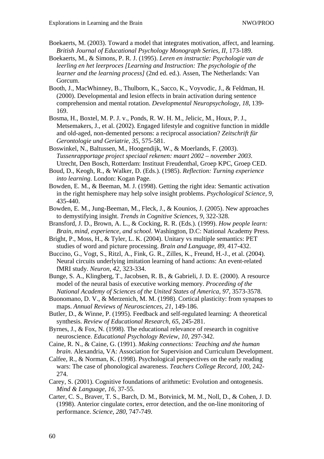- Boekaerts, M. (2003). Toward a model that integrates motivation, affect, and learning. *British Journal of Educational Psychology Monograph Series, II*, 173-189.
- Boekaerts, M., & Simons, P. R. J. (1995). *Leren en instructie: Psychologie van de leerling en het leerproces [Learning and Instruction: The psychologie of the learner and the learning process]* (2nd ed. ed.). Assen, The Netherlands: Van Gorcum.
- Booth, J., MacWhinney, B., Thulborn, K., Sacco, K., Voyvodic, J., & Feldman, H. (2000). Developmental and lesion effects in brain activation during sentence comprehension and mental rotation. *Developmental Neuropsychology, 18*, 139- 169.
- Bosma, H., Boxtel, M. P. J. v., Ponds, R. W. H. M., Jelicic, M., Houx, P. J., Metsemakers, J., et al. (2002). Engaged lifestyle and cognitive function in middle and old-aged, non-demented persons: a reciprocal association? *Zeitschrift für Gerontologie und Geriatrie, 35*, 575-581.
- Boswinkel, N., Baltussen, M., Hoogendijk, W., & Moerlands, F. (2003). *Tussenrapportage project speciaal rekenen: maart 2002 – november 2003*. Utrecht, Den Bosch, Rotterdam: Instituut Freudenthal, Groep KPC, Groep CED.
- Boud, D., Keogh, R., & Walker, D. (Eds.). (1985). *Reflection: Turning experience into learning*. London: Kogan Page.
- Bowden, E. M., & Beeman, M. J. (1998). Getting the right idea: Semantic activation in the right hemisphere may help solve insight problems. *Psychological Science, 9*, 435-440.
- Bowden, E. M., Jung-Beeman, M., Fleck, J., & Kounios, J. (2005). New approaches to demystifying insight. *Trends in Cognitive Sciences, 9*, 322-328.
- Bransford, J. D., Brown, A. L., & Cocking, R. R. (Eds.). (1999). *How people learn: Brain, mind, experience, and school*. Washington, D.C: National Academy Press.
- Bright, P., Moss, H., & Tyler, L. K. (2004). Unitary vs multiple semantics: PET studies of word and picture processing. *Brain and Language, 89*, 417-432.
- Buccino, G., Vogt, S., Ritzl, A., Fink, G. R., Zilles, K., Freund, H.-J., et al. (2004). Neural circuits underlying imitation learning of hand actions: An event-related fMRI study. *Neuron, 42*, 323-334.
- Bunge, S. A., Klingberg, T., Jacobsen, R. B., & Gabrieli, J. D. E. (2000). A resource model of the neural basis of executive working memory. *Proceeding of the National Academy of Sciences of the United States of America, 97*, 3573-3578.
- Buonomano, D. V., & Merzenich, M. M. (1998). Cortical plasticity: from synapses to maps. *Annual Reviews of Neurosciences, 21*, 149-186.
- Butler, D., & Winne, P. (1995). Feedback and self-regulated learning: A theoretical synthesis. *Review of Educational Research, 65*, 245-281.
- Byrnes, J., & Fox, N. (1998). The educational relevance of research in cognitive neuroscience. *Educational Psychology Review, 10*, 297-342.
- Caine, R. N., & Caine, G. (1991). *Making connections: Teaching and the human brain*. Alexandria, VA: Association for Supervision and Curriculum Development.
- Calfee, R., & Norman, K. (1998). Psychological perspectives on the early reading wars: The case of phonological awareness. *Teachers College Record, 100*, 242- 274.
- Carey, S. (2001). Cognitive foundations of arithmetic: Evolution and ontogenesis. *Mind & Language, 16*, 37-55.
- Carter, C. S., Braver, T. S., Barch, D. M., Botvinick, M. M., Noll, D., & Cohen, J. D. (1998). Anterior cingulate cortex, error detection, and the on-line monitoring of performance. *Science, 280*, 747-749.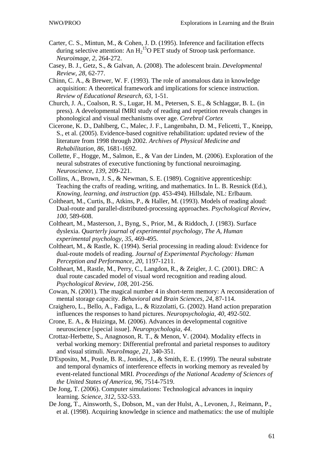- Carter, C. S., Mintun, M., & Cohen, J. D. (1995). Inference and facilitation effects during selective attention: An  $H_2^{15}O$  PET study of Stroop task performance. *Neuroimage, 2*, 264-272.
- Casey, B. J., Getz, S., & Galvan, A. (2008). The adolescent brain. *Developmental Review, 28*, 62-77.
- Chinn, C. A., & Brewer, W. F. (1993). The role of anomalous data in knowledge acquisition: A theoretical framework and implications for science instruction. *Review of Educational Research, 63*, 1-51.
- Church, J. A., Coalson, R. S., Lugar, H. M., Petersen, S. E., & Schlaggar, B. L. (in press). A developmental fMRI study of reading and repetition reveals changes in phonological and visual mechanisms over age. *Cerebral Cortex*
- Cicerone, K. D., Dahlberg, C., Malec, J. F., Langenbahn, D. M., Felicetti, T., Kneipp, S., et al. (2005). Evidence-based cognitive rehabilitation: updated review of the literature from 1998 through 2002. *Archives of Physical Medicine and Rehabilitation, 86*, 1681-1692.
- Collette, F., Hogge, M., Salmon, E., & Van der Linden, M. (2006). Exploration of the neural substrates of executive functioning by functional neuroimaging. *Neuroscience, 139*, 209-221.
- Collins, A., Brown, J. S., & Newman, S. E. (1989). Cognitive apprenticeship: Teaching the crafts of reading, writing, and mathematics. In L. B. Resnick (Ed.), *Knowing, learning, and instruction* (pp. 453-494). Hillsdale, NL: Erlbaum.
- Coltheart, M., Curtis, B., Atkins, P., & Haller, M. (1993). Models of reading aloud: Dual-route and parallel-distributed-processing approaches. *Psychological Review, 100*, 589-608.
- Coltheart, M., Masterson, J., Byng, S., Prior, M., & Riddoch, J. (1983). Surface dyslexia. *Quarterly journal of experimental psychology, The A, Human experimental psychology, 35*, 469-495.
- Coltheart, M., & Rastle, K. (1994). Serial processing in reading aloud: Evidence for dual-route models of reading. *Journal of Experimental Psychology: Human Perception and Performance, 20*, 1197-1211.
- Coltheart, M., Rastle, M., Perry, C., Langdon, R., & Zeigler, J. C. (2001). DRC: A dual route cascaded model of visual word recognition and reading aloud. *Psychological Review, 108*, 201-256.
- Cowan, N. (2001). The magical number 4 in short-term memory: A reconsideration of mental storage capacity. *Behavioral and Brain Sciences, 24*, 87-114.
- Craighero, L., Bello, A., Fadiga, L., & Rizzolatti, G. (2002). Hand action preparation influences the responses to hand pictures. *Neuropsychologia, 40*, 492-502.
- Crone, E. A., & Huizinga, M. (2006). Advances in developmental cognitive neuroscience [special issue]. *Neuropsychologia, 44*.
- Crottaz-Herbette, S., Anagnoson, R. T., & Menon, V. (2004). Modality effects in verbal working memory: Differential prefrontal and parietal responses to auditory and visual stimuli. *NeuroImage, 21*, 340-351.
- D'Esposito, M., Postle, B. R., Jonides, J., & Smith, E. E. (1999). The neural substrate and temporal dynamics of interference effects in working memory as revealed by event-related functional MRI. *Proceedings of the National Academy of Sciences of the United States of America, 96*, 7514-7519.
- De Jong, T. (2006). Computer simulations: Technological advances in inquiry learning. *Science, 312*, 532-533.
- De Jong, T., Ainsworth, S., Dobson, M., van der Hulst, A., Levonen, J., Reimann, P., et al. (1998). Acquiring knowledge in science and mathematics: the use of multiple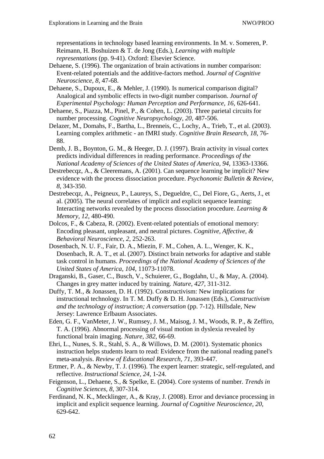representations in technology based learning environments. In M. v. Someren, P. Reimann, H. Boshuizen & T. de Jong (Eds.), *Learning with multiple representations* (pp. 9-41). Oxford: Elsevier Science.

- Dehaene, S. (1996). The organization of brain activations in number comparison: Event-related potentials and the additive-factors method. *Journal of Cognitive Neuroscience, 8*, 47-68.
- Dehaene, S., Dupoux, E., & Mehler, J. (1990). Is numerical comparison digital? Analogical and symbolic effects in two-digit number comparison. *Journal of Experimental Psychology: Human Perception and Performance, 16*, 626-641.
- Dehaene, S., Piazza, M., Pinel, P., & Cohen, L. (2003). Three parietal circuits for number processing. *Cognitive Neuropsychology, 20*, 487-506.
- Delazer, M., Domahs, F., Bartha, L., Brenneis, C., Lochy, A., Trieb, T., et al. (2003). Learning complex arithmetic - an fMRI study. *Cognitive Brain Research, 18*, 76- 88.
- Demb, J. B., Boynton, G. M., & Heeger, D. J. (1997). Brain activity in visual cortex predicts individual differences in reading performance. *Proceedings of the National Academy of Sciences of the United States of America, 94*, 13363-13366.
- Destrebecqz, A., & Cleeremans, A. (2001). Can sequence learning be implicit? New evidence with the process dissociation procedure. *Psychonomic Bulletin & Review, 8*, 343-350.
- Destrebecqz, A., Peigneux, P., Laureys, S., Degueldre, C., Del Fiore, G., Aerts, J., et al. (2005). The neural correlates of implicit and explicit sequence learning: Interacting networks revealed by the process dissociation procedure. *Learning & Memory, 12*, 480-490.
- Dolcos, F., & Cabeza, R. (2002). Event-related potentials of emotional memory: Encoding pleasant, unpleasant, and neutral pictures. *Cognitive, Affective, & Behavioral Neuroscience, 2*, 252-263.
- Dosenbach, N. U. F., Fair, D. A., Miezin, F. M., Cohen, A. L., Wenger, K. K., Dosenbach, R. A. T., et al. (2007). Distinct brain networks for adaptive and stable task control in humans. *Proceedings of the National Academy of Sciences of the United States of America, 104*, 11073-11078.
- Draganski, B., Gaser, C., Busch, V., Schuierer, G., Bogdahn, U., & May, A. (2004). Changes in grey matter induced by training. *Nature, 427*, 311-312.
- Duffy, T. M., & Jonassen, D. H. (1992). Constructivism: New implications for instructional technology. In T. M. Duffy & D. H. Jonassen (Eds.), *Constructivism and the technology of instruction; A conversation* (pp. 7-12). Hillsdale, New Jersey: Lawrence Erlbaum Associates.
- Eden, G. F., VanMeter, J. W., Rumsey, J. M., Maisog, J. M., Woods, R. P., & Zeffiro, T. A. (1996). Abnormal processing of visual motion in dyslexia revealed by functional brain imaging. *Nature, 382*, 66-69.
- Ehri, L., Nunes, S. R., Stahl, S. A., & Willows, D. M. (2001). Systematic phonics instruction helps students learn to read: Evidence from the national reading panel's meta-analysis. *Review of Educational Research, 71*, 393-447.
- Ertmer, P. A., & Newby, T. J. (1996). The expert learner: strategic, self-regulated, and reflective. *Instructional Science, 24*, 1-24.
- Feigenson, L., Dehaene, S., & Spelke, E. (2004). Core systems of number. *Trends in Cognitive Sciences, 8*, 307-314.
- Ferdinand, N. K., Mecklinger, A., & Kray, J. (2008). Error and deviance processing in implicit and explicit sequence learning. *Journal of Cognitive Neuroscience, 20*, 629-642.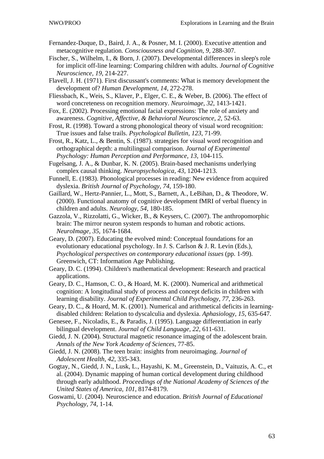- Fernandez-Duque, D., Baird, J. A., & Posner, M. I. (2000). Executive attention and metacognitive regulation. *Consciousness and Cognition, 9*, 288-307.
- Fischer, S., Wilhelm, I., & Born, J. (2007). Developmental differences in sleep's role for implicit off-line learning: Comparing children with adults. *Journal of Cognitive Neuroscience, 19*, 214-227.
- Flavell, J. H. (1971). First discussant's comments: What is memory development the development of? *Human Development, 14*, 272-278.
- Fliessbach, K., Weis, S., Klaver, P., Elger, C. E., & Weber, B. (2006). The effect of word concreteness on recognition memory. *Neuroimage, 32*, 1413-1421.
- Fox, E. (2002). Processing emotional facial expressions: The role of anxiety and awareness. *Cognitive, Affective, & Behavioral Neuroscience, 2*, 52-63.
- Frost, R. (1998). Toward a strong phonological theory of visual word recognition: True issues and false trails. *Psychological Bulletin, 123*, 71-99.
- Frost, R., Katz, L., & Bentin, S. (1987). strategies for visual word recognition and orthographical depth: a multilingual comparison. *Journal of Experimental Psychology: Human Perception and Performance, 13*, 104-115.
- Fugelsang, J. A., & Dunbar, K. N. (2005). Brain-based mechanisms underlying complex causal thinking. *Neuropsychologica, 43*, 1204-1213.
- Funnell, E. (1983). Phonological processes in reading: New evidence from acquired dyslexia. *British Journal of Psychology, 74*, 159-180.
- Gaillard, W., Hertz-Pannier, L., Mott, S., Barnett, A., LeBihan, D., & Theodore, W. (2000). Functional anatomy of cognitive development fMRI of verbal fluency in children and adults. *Neurology, 54*, 180-185.
- Gazzola, V., Rizzolatti, G., Wicker, B., & Keysers, C. (2007). The anthropomorphic brain: The mirror neuron system responds to human and robotic actions. *NeuroImage, 35*, 1674-1684.
- Geary, D. (2007). Educating the evolved mind: Conceptual foundations for an evolutionary educational psychology. In J. S. Carlson & J. R. Levin (Eds.), *Psychological perspectives on contemporary educational issues (pp. 1-99).* Greenwich, CT: Information Age Publishing.
- Geary, D. C. (1994). Children's mathematical development: Research and practical applications.
- Geary, D. C., Hamson, C. O., & Hoard, M. K. (2000). Numerical and arithmetical cognition: A longitudinal study of process and concept deficits in children with learning disability. *Journal of Experimental Child Psychology, 77*, 236-263.
- Geary, D. C., & Hoard, M. K. (2001). Numerical and arithmetical deficits in learningdisabled children: Relation to dyscalculia and dyslexia. *Aphasiology, 15*, 635-647.
- Genesee, F., Nicoladis, E., & Paradis, J. (1995). Language differentiation in early bilingual development. *Journal of Child Language, 22*, 611-631.
- Giedd, J. N. (2004). Structural magnetic resonance imaging of the adolescent brain. *Annals of the New York Academy of Sciences*, 77-85.
- Giedd, J. N. (2008). The teen brain: insights from neuroimaging. *Journal of Adolescent Health, 42*, 335-343.
- Gogtay, N., Giedd, J. N., Lusk, L., Hayashi, K. M., Greenstein, D., Vaituzis, A. C., et al. (2004). Dynamic mapping of human cortical development during childhood through early adulthood. *Proceedings of the National Academy of Sciences of the United States of America, 101*, 8174-8179.
- Goswami, U. (2004). Neuroscience and education. *British Journal of Educational Psychology, 74*, 1-14.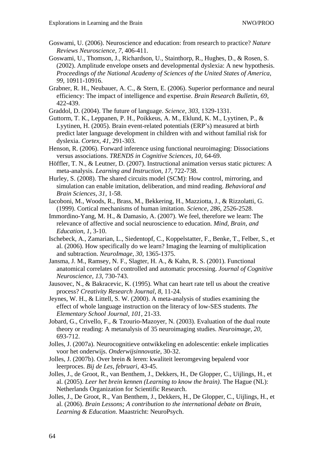- Goswami, U. (2006). Neuroscience and education: from research to practice? *Nature Reviews Neuroscience, 7*, 406-411.
- Goswami, U., Thomson, J., Richardson, U., Stainthorp, R., Hughes, D., & Rosen, S. (2002). Amplitude envelope onsets and developmental dyslexia: A new hypothesis. *Proceedings of the National Academy of Sciences of the United States of America, 99*, 10911-10916.
- Grabner, R. H., Neubauer, A. C., & Stern, E. (2006). Superior performance and neural efficiency: The impact of intelligence and expertise. *Brain Research Bulletin, 69*, 422-439.
- Graddol, D. (2004). The future of language. *Science, 303*, 1329-1331.
- Guttorm, T. K., Leppanen, P. H., Poikkeus, A. M., Eklund, K. M., Lyytinen, P., & Lyytinen, H. (2005). Brain event-related potentials (ERP's) measured at birth predict later language development in children with and without familial risk for dyslexia. *Cortex, 41*, 291-303.
- Henson, R. (2006). Forward inference using functional neuroimaging: Dissociations versus associations. *TRENDS in Cognitive Sciences, 10*, 64-69.
- Höffler, T. N., & Leutner, D. (2007). Instructional animation versus static pictures: A meta-analysis. *Learning and Instruction, 17*, 722-738.
- Hurley, S. (2008). The shared circuits model (SCM): How control, mirroring, and simulation can enable imitation, deliberation, and mind reading. *Behavioral and Brain Sciences, 31*, 1-58.
- Iacoboni, M., Woods, R., Brass, M., Bekkering, H., Mazziotta, J., & Rizzolatti, G. (1999). Cortical mechanisms of human imitation. *Science, 286*, 2526-2528.
- Immordino-Yang, M. H., & Damasio, A. (2007). We feel, therefore we learn: The relevance of affective and social neuroscience to education. *Mind, Brain, and Education, 1*, 3-10.
- Ischebeck, A., Zamarian, L., Siedentopf, C., Koppelstatter, F., Benke, T., Felber, S., et al. (2006). How specifically do we learn? Imaging the learning of multiplication and subtraction. *NeuroImage, 30*, 1365-1375.
- Jansma, J. M., Ramsey, N. F., Slagter, H. A., & Kahn, R. S. (2001). Functional anatomical correlates of controlled and automatic processing. *Journal of Cognitive Neuroscience, 13*, 730-743.
- Jausovec, N., & Bakracevic, K. (1995). What can heart rate tell us about the creative process? *Creativity Research Journal, 8*, 11-24.
- Jeynes, W. H., & Littell, S. W. (2000). A meta-analysis of studies examining the effect of whole language instruction on the literacy of low-SES students. *The Elementary School Journal, 101*, 21-33.
- Jobard, G., Crivello, F., & Tzourio-Mazoyer, N. (2003). Evaluation of the dual route theory or reading: A metanalysis of 35 neuroimaging studies. *Neuroimage, 20*, 693-712.
- Jolles, J. (2007a). Neurocognitieve ontwikkeling en adolescentie: enkele implicaties voor het onderwijs. *Onderwijsinnovatie*, 30-32.
- Jolles, J. (2007b). Over brein & leren: kwaliteit leeromgeving bepalend voor leerproces. *Bij de Les, februari*, 43-45.
- Jolles, J., de Groot, R., van Benthem, J., Dekkers, H., De Glopper, C., Uijlings, H., et al. (2005). *Leer het brein kennen (Learning to know the brain)*. The Hague (NL): Netherlands Organization for Scientific Research.
- Jolles, J., De Groot, R., Van Benthem, J., Dekkers, H., De Glopper, C., Uijlings, H., et al. (2006). *Brain Lessons; A contribution to the international debate on Brain, Learning & Education*. Maastricht: NeuroPsych.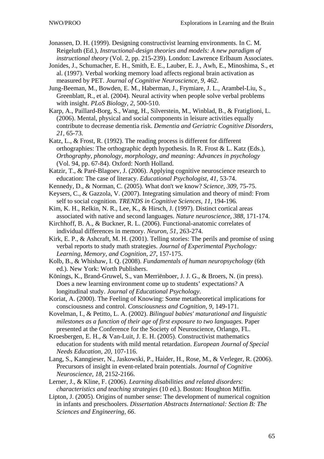- Jonassen, D. H. (1999). Designing constructivist learning environments. In C. M. Reigeluth (Ed.), *Instructional-design theories and models: A new paradigm of instructional theory* (Vol. 2, pp. 215-239). London: Lawrence Erlbaum Associates.
- Jonides, J., Schumacher, E. H., Smith, E. E., Lauber, E. J., Awh, E., Minoshima, S., et al. (1997). Verbal working memory load affects regional brain activation as measured by PET. *Journal of Cognitive Neuroscience, 9*, 462.
- Jung-Beeman, M., Bowden, E. M., Haberman, J., Frymiare, J. L., Arambel-Liu, S., Greenblatt, R., et al. (2004). Neural activity when people solve verbal problems with insight. *PLoS Biology, 2*, 500-510.
- Karp, A., Paillard-Borg, S., Wang, H., Silverstein, M., Winblad, B., & Fratiglioni, L. (2006). Mental, physical and social components in leisure activities equally contribute to decrease dementia risk. *Dementia and Geriatric Cognitive Disorders, 21*, 65-73.
- Katz, L., & Frost, R. (1992). The reading process is different for different orthographies: The orthographic depth hypothesis. In R. Frost & L. Katz (Eds.), *Orthography, phonology, morphology, and meaning: Advances in psychology* (Vol. 94, pp. 67-84). Oxford: North Holland.
- Katzir, T., & Paré-Blagoev, J. (2006). Applying cognitive neuroscience research to education: The case of literacy. *Educational Psychologist, 41*, 53-74.
- Kennedy, D., & Norman, C. (2005). What don't we know? *Science, 309*, 75-75.
- Keysers, C., & Gazzola, V. (2007). Integrating simulation and theory of mind: From self to social cognition. *TRENDS in Cognitive Sciences, 11*, 194-196.
- Kim, K. H., Relkin, N. R., Lee, K., & Hirsch, J. (1997). Distinct cortical areas associated with native and second languages. *Nature neuroscience, 388*, 171-174.
- Kirchhoff, B. A., & Buckner, R. L. (2006). Functional-anatomic correlates of individual differences in memory. *Neuron, 51*, 263-274.
- Kirk, E. P., & Ashcraft, M. H. (2001). Telling stories: The perils and promise of using verbal reports to study math strategies. *Journal of Experimental Psychology: Learning, Memory, and Cognition, 27*, 157-175.
- Kolb, B., & Whishaw, I. Q. (2008). *Fundamentals of human neuropsychology* (6th ed.). New York: Worth Publishers.
- Könings, K., Brand-Gruwel, S., van Merriënboer, J. J. G., & Broers, N. (in press). Does a new learning environment come up to students' expectations? A longitudinal study. *Journal of Educational Psychology*.
- Koriat, A. (2000). The Feeling of Knowing: Some metatheoretical implications for consciousness and control. *Consciousness and Cognition, 9*, 149-171.
- Kovelman, I., & Petitto, L. A. (2002). *Bilingual babies' maturational and linguistic milestones as a function of their age of first exposure to two languages.* Paper presented at the Conference for the Society of Neuroscience, Orlango, FL.
- Kroesbergen, E. H., & Van-Luit, J. E. H. (2005). Constructivist mathematics education for students with mild mental retardation. *European Journal of Special Needs Education, 20*, 107-116.
- Lang, S., Kanngieser, N., Jaskowski, P., Haider, H., Rose, M., & Verleger, R. (2006). Precursors of insight in event-related brain potentials. *Journal of Cognitive Neuroscience, 18*, 2152-2166.
- Lerner, J., & Kline, F. (2006). *Learning disabilities and related disorders: characteristics and teaching strategies* (10 ed.). Boston: Houghton Miffin.
- Lipton, J. (2005). Origins of number sense: The development of numerical cognition in infants and preschoolers. *Dissertation Abstracts International: Section B: The Sciences and Engineering, 66*.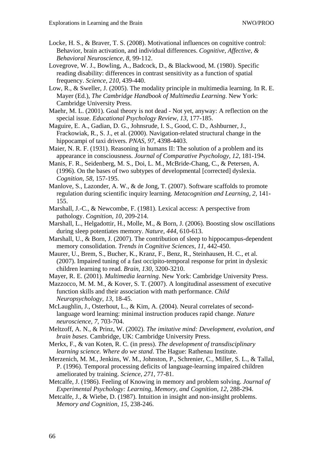- Locke, H. S., & Braver, T. S. (2008). Motivational influences on cognitive control: Behavior, brain activation, and individual differences. *Cognitive, Affective, & Behavioral Neuroscience, 8*, 99-112.
- Lovegrove, W. J., Bowling, A., Badcock, D., & Blackwood, M. (1980). Specific reading disability: differences in contrast sensitivity as a function of spatial frequency. *Science, 210*, 439-440.
- Low, R., & Sweller, J. (2005). The modality principle in multimedia learning. In R. E. Mayer (Ed.), *The Cambridge Handbook of Multimedia Learning*. New York: Cambridge University Press.
- Maehr, M. L. (2001). Goal theory is not dead Not yet, anyway: A reflection on the special issue. *Educational Psychology Review, 13*, 177-185.
- Maguire, E. A., Gadian, D. G., Johnsrude, I. S., Good, C. D., Ashburner, J., Frackowiak, R., S. J., et al. (2000). Navigation-related structural change in the hippocampi of taxi drivers. *PNAS, 97*, 4398-4403.
- Maier, N. R. F. (1931). Reasoning in humans II: The solution of a problem and its appearance in consciousness. *Journal of Comparative Psychology, 12*, 181-194.
- Manis, F. R., Seidenberg, M. S., Doi, L. M., McBride-Chang, C., & Petersen, A. (1996). On the bases of two subtypes of developmental [corrected] dyslexia. *Cognition, 58*, 157-195.
- Manlove, S., Lazonder, A. W., & de Jong, T. (2007). Software scaffolds to promote regulation during scientific inquiry learning. *Metacognition and Learning, 2*, 141- 155.
- Marshall, J.-C., & Newcombe, F. (1981). Lexical access: A perspective from pathology. *Cognition, 10*, 209-214.
- Marshall, L., Helgadottir, H., Molle, M., & Born, J. (2006). Boosting slow oscillations during sleep potentiates memory. *Nature, 444*, 610-613.
- Marshall, U., & Born, J. (2007). The contribution of sleep to hippocampus-dependent memory consolidation. *Trends in Cognitive Sciences, 11*, 442-450.
- Maurer, U., Brem, S., Bucher, K., Kranz, F., Benz, R., Steinhausen, H. C., et al. (2007). Impaired tuning of a fast occipito-temporal response for print in dyslexic children learning to read. *Brain, 130*, 3200-3210.
- Mayer, R. E. (2001). *Multimedia learning*. New York: Cambridge University Press.
- Mazzocco, M. M. M., & Kover, S. T. (2007). A longitudinal assessment of executive function skills and their association with math performance. *Child Neuropsychology, 13*, 18-45.
- McLaughlin, J., Osterhout, L., & Kim, A. (2004). Neural correlates of secondlanguage word learning: minimal instruction produces rapid change. *Nature neuroscience, 7*, 703-704.
- Meltzoff, A. N., & Prinz, W. (2002). *The imitative mind: Development, evolution, and brain bases*. Cambridge, UK: Cambridge University Press.
- Merkx, F., & van Koten, R. C. (in press). *The development of transdisciplinary learning science. Where do we stand*. The Hague: Rathenau Institute.
- Merzenich, M. M., Jenkins, W. M., Johnston, P., Schrenier, C., Miller, S. L., & Tallal, P. (1996). Temporal processing deficits of language-learning impaired children ameliorated by training. *Science, 271*, 77-81.
- Metcalfe, J. (1986). Feeling of Knowing in memory and problem solving. *Journal of Experimental Psychology: Learning, Memory, and Cognition, 12*, 288-294.
- Metcalfe, J., & Wiebe, D. (1987). Intuition in insight and non-insight problems. *Memory and Cognition, 15*, 238-246.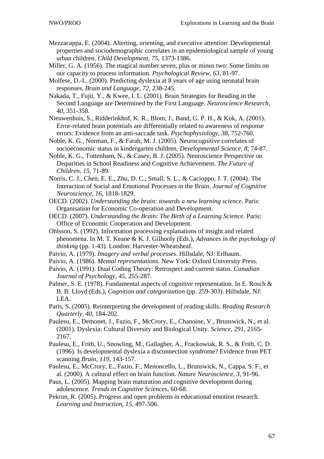- Mezzacappa, E. (2004). Alterting, orienting, and executive attention: Developmental properties and sociodemographic correlates in an epidemiological sample of young urban children. *Child Development, 75*, 1373-1386.
- Miller, G. A. (1956). The magical number seven, plus or minus two: Some limits on our capacity to process information. *Psychological Review, 63*, 81-97.
- Molfese, D.-L. (2000). Predicting dyslexia at 8 years of age using neonatal brain responses. *Brain and Language, 72*, 238-245.
- Nakada, T., Fujii, Y., & Kwee, I. L. (2001). Brain Strategies for Reading in the Second Language are Determined by the First Language. *Neuroscience Research, 40*, 351-358.
- Nieuwenhuis, S., Ridderinkhof, K. R., Blom, J., Band, G. P. H., & Kok, A. (2001). Error-related brain potentials are differentially related to awareness of response errors: Evidence from an anti-saccade task. *Psychophysiology, 38*, 752-760.
- Noble, K. G., Norman, F., & Farah, M. J. (2005). Neurocognitive correlates of socioeconomic status in kindergarten children. *Developmental Science, 8*, 74-87.
- Noble, K. G., Tottenham, N., & Casey, B. J. (2005). Neuroscience Perspective on Disparities in School Readiness and Cognitive Achievement. *The Future of Children, 15*, 71-89.
- Norris, C. J., Chen, E. E., Zhu, D. C., Small, S. L., & Cacioppo, J. T. (2004). The Interaction of Social and Emotional Processes in the Brain. *Journal of Cognitive Neuroscience, 16*, 1818-1829.
- OECD. (2002). *Understanding the brain: towards a new learning science*. Paris: Organisation for Economic Co-operation and Development.
- OECD. (2007). *Understanding the Brain: The Birth of a Learning Science*. Paris: Office of Economic Cooperation and Development.
- Ohlsson, S. (1992). Information processing explanations of insight and related phenomena. In M. T. Keane & K. J. Gilhooly (Eds.), *Advances in the psychology of thinking* (pp. 1-43). London: Harvester-Wheatsheaf.
- Paivio, A. (1979). *Imagery and verbal processes*. Hillsdale, NJ: Erlbaum.
- Paivio, A. (1986). *Mental representations*. New York: Oxford University Press.
- Paivio, A. (1991). Dual Coding Theory: Retrospect and current status. *Canadian Journal of Psychology, 45*, 255-287.
- Palmer, S. E. (1978). Fundamental aspects of cognitive representation. In E. Rosch & B. B. Lloyd (Eds.), *Cognition and categorization* (pp. 259-303). Hillsdale, NJ: LEA.
- Paris, S. (2005). Reinterpreting the development of reading skills. *Reading Research Quarterly, 40*, 184-202.
- Paulesu, E., Demonet, J., Fazio, F., McCrory, E., Chanoine, V., Brunswick, N., et al. (2001). Dyslexia: Cultural Diversity and Biological Unity. *Science, 291*, 2165- 2167.
- Paulesu, E., Frith, U., Snowling, M., Gallagher, A., Frackowiak, R. S., & Frith, C. D. (1996). Is developmental dyslexia a disconnection syndrome? Evidence from PET scanning *Brain, 119*, 143-157.
- Paulesu, E., McCrory, E., Fazio, F., Menoncello, L., Brunswick, N., Cappa, S. F., et al. (2000). A cultural effect on brain function. *Nature Neuroscience, 3*, 91-96.
- Paus, L. (2005). Mapping brain maturation and cognitive development during adolescence. *Trends in Cognitive Sciences*, 60-68.
- Pekrun, R. (2005). Progress and open problems in educational emotion research. *Learning and Instruction, 15*, 497-506.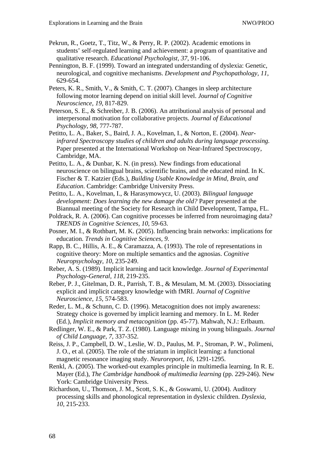- Pekrun, R., Goetz, T., Titz, W., & Perry, R. P. (2002). Academic emotions in students' self-regulated learning and achievement: a program of quantitative and qualitative research. *Educational Psychologist, 37*, 91-106.
- Pennington, B. F. (1999). Toward an integrated understanding of dyslexia: Genetic, neurological, and cognitive mechanisms. *Development and Psychopathology, 11*, 629-654.
- Peters, K. R., Smith, V., & Smith, C. T. (2007). Changes in sleep architecture following motor learning depend on initial skill level. *Journal of Cognitive Neuroscience, 19*, 817-829.
- Peterson, S. E., & Schreiber, J. B. (2006). An attributional analysis of personal and interpersonal motivation for collaborative projects. *Journal of Educational Psychology, 98*, 777-787.
- Petitto, L. A., Baker, S., Baird, J. A., Kovelman, I., & Norton, E. (2004). *Nearinfrared Spectroscopy studies of children and adults during language processing.* Paper presented at the International Workshop on Near-Infrared Spectroscopy, Cambridge, MA.
- Petitto, L. A., & Dunbar, K. N. (in press). New findings from educational neuroscience on bilingual brains, scientific brains, and the educated mind. In K. Fischer & T. Katzier (Eds.), *Building Usable Knowledge in Mind, Brain, and Education*. Cambridge: Cambridge University Press.
- Petitto, L. A., Kovelman, I., & Harasymowycz, U. (2003). *Bilingual language development: Does learning the new damage the old?* Paper presented at the Biannual meeting of the Society for Research in Child Development, Tampa, FL.
- Poldrack, R. A. (2006). Can cognitive processes be inferred from neuroimaging data? *TRENDS in Cognitive Sciences, 10*, 59-63.
- Posner, M. I., & Rothbart, M. K. (2005). Influencing brain networks: implications for education. *Trends in Cognitive Sciences, 9*.
- Rapp, B. C., Hillis, A. E., & Caramazza, A. (1993). The role of representations in cognitive theory: More on multiple semantics and the agnosias. *Cognitive Neuropsychology, 10*, 235-249.
- Reber, A. S. (1989). Implicit learning and tacit knowledge. *Journal of Experimental Psychology-General, 118*, 219-235.
- Reber, P. J., Gitelman, D. R., Parrish, T. B., & Mesulam, M. M. (2003). Dissociating explicit and implicit category knowledge with fMRI. *Journal of Cognitive Neuroscience, 15*, 574-583.
- Reder, L. M., & Schunn, C. D. (1996). Metacognition does not imply awareness: Strategy choice is governed by implicit learning and memory. In L. M. Reder (Ed.), *Implicit memory and metacognition* (pp. 45-77). Mahwah, N.J.: Erlbaum.
- Redlinger, W. E., & Park, T. Z. (1980). Language mixing in young bilinguals. *Journal of Child Language, 7*, 337-352.
- Reiss, J. P., Campbell, D. W., Leslie, W. D., Paulus, M. P., Stroman, P. W., Polimeni, J. O., et al. (2005). The role of the striatum in implicit learning: a functional magnetic resonance imaging study. *Neuroreport, 16*, 1291-1295.
- Renkl, A. (2005). The worked-out examples principle in multimedia learning. In R. E. Mayer (Ed.), *The Cambridge handbook of multimedia learning* (pp. 229-246). New York: Cambridge University Press.
- Richardson, U., Thomson, J. M., Scott, S. K., & Goswami, U. (2004). Auditory processing skills and phonological representation in dyslexic children. *Dyslexia, 10*, 215-233.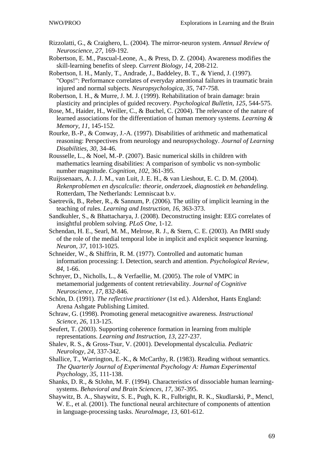- Rizzolatti, G., & Craighero, L. (2004). The mirror-neuron system. *Annual Review of Neuroscience, 27*, 169-192.
- Robertson, E. M., Pascual-Leone, A., & Press, D. Z. (2004). Awareness modifies the skill-learning benefits of sleep. *Current Biology, 14*, 208-212.
- Robertson, I. H., Manly, T., Andrade, J., Baddeley, B. T., & Yiend, J. (1997). "Oops!": Performance correlates of everyday attentional failures in traumatic brain injured and normal subjects. *Neuropsychologica, 35*, 747-758.
- Robertson, I. H., & Murre, J. M. J. (1999). Rehabilitation of brain damage: brain plasticity and principles of guided recovery. *Psychological Bulletin, 125*, 544-575.
- Rose, M., Haider, H., Weiller, C., & Buchel, C. (2004). The relevance of the nature of learned associations for the differentiation of human memory systems. *Learning & Memory, 11*, 145-152.
- Rourke, B.-P., & Conway, J.-A. (1997). Disabilities of arithmetic and mathematical reasoning: Perspectives from neurology and neuropsychology. *Journal of Learning Disabilities, 30*, 34-46.
- Rousselle, L., & Noel, M.-P. (2007). Basic numerical skills in children with mathematics learning disabilities: A comparison of symbolic vs non-symbolic number magnitude. *Cognition, 102*, 361-395.
- Ruijssenaars, A. J. J. M., van Luit, J. E. H., & van Lieshout, E. C. D. M. (2004). *Rekenproblemen en dyscalculie: theorie, onderzoek, diagnostiek en behandeling.* Rotterdam, The Netherlands: Lemniscaat b.v.
- Saetrevik, B., Reber, R., & Sannum, P. (2006). The utility of implicit learning in the teaching of rules. *Learning and Instruction, 16*, 363-373.
- Sandkuhler, S., & Bhattacharya, J. (2008). Deconstructing insight: EEG correlates of insightful problem solving. *PLoS One*, 1-12.
- Schendan, H. E., Searl, M. M., Melrose, R. J., & Stern, C. E. (2003). An fMRI study of the role of the medial temporal lobe in implicit and explicit sequence learning. *Neuron, 37*, 1013-1025.
- Schneider, W., & Shiffrin, R. M. (1977). Controlled and automatic human information processing: I. Detection, search and attention. *Psychological Review, 84*, 1-66.
- Schnyer, D., Nicholls, L., & Verfaellie, M. (2005). The role of VMPC in metamemorial judgements of content retrievability. *Journal of Cognitive Neuroscience, 17*, 832-846.
- Schön, D. (1991). *The reflective practitioner* (1st ed.). Aldershot, Hants England: Arena Ashgate Publishing Limited.
- Schraw, G. (1998). Promoting general metacognitive awareness. *Instructional Science, 26*, 113-125.
- Seufert, T. (2003). Supporting coherence formation in learning from multiple representations. *Learning and Instruction, 13*, 227-237.
- Shalev, R. S., & Gross-Tsur, V. (2001). Developmental dyscalculia. *Pediatric Neurology, 24*, 337-342.
- Shallice, T., Warrington, E.-K., & McCarthy, R. (1983). Reading without semantics. *The Quarterly Journal of Experimental Psychology A: Human Experimental Psychology, 35*, 111-138.
- Shanks, D. R., & StJohn, M. F. (1994). Characteristics of dissociable human learningsystems. *Behavioral and Brain Sciences, 17*, 367-395.
- Shaywitz, B. A., Shaywitz, S. E., Pugh, K. R., Fulbright, R. K., Skudlarski, P., Mencl, W. E., et al. (2001). The functional neural architecture of components of attention in language-processing tasks. *NeuroImage, 13*, 601-612.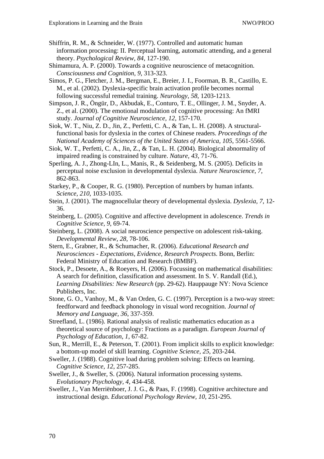Shiffrin, R. M., & Schneider, W. (1977). Controlled and automatic human information processing: II. Perceptual learning, automatic attending, and a general theory. *Psychological Review, 84*, 127-190.

Shimamura, A. P. (2000). Towards a cognitive neuroscience of metacognition. *Consciousness and Cognition, 9*, 313-323.

Simos, P. G., Fletcher, J. M., Bergman, E., Breier, J. I., Foorman, B. R., Castillo, E. M., et al. (2002). Dyslexia-specific brain activation profile becomes normal following successful remedial training. *Neurology, 58*, 1203-1213.

Simpson, J. R., Öngür, D., Akbudak, E., Conturo, T. E., Ollinger, J. M., Snyder, A. Z., et al. (2000). The emotional modulation of cognitive processing: An fMRI study. *Journal of Cognitive Neuroscience, 12*, 157-170.

Siok, W. T., Niu, Z. D., Jin, Z., Perfetti, C. A., & Tan, L. H. (2008). A structuralfunctional basis for dyslexia in the cortex of Chinese readers. *Proceedings of the National Academy of Sciences of the United States of America, 105*, 5561-5566.

Siok, W. T., Perfetti, C. A., Jin, Z., & Tan, L. H. (2004). Biological abnormality of impaired reading is constrained by culture. *Nature, 43*, 71-76.

Sperling, A. J., Zhong-LIn, L., Manis, R., & Seidenberg, M. S. (2005). Deficits in perceptual noise exclusion in developmental dyslexia. *Nature Neuroscience, 7*, 862-863.

Starkey, P., & Cooper, R. G. (1980). Perception of numbers by human infants. *Science, 210*, 1033-1035.

- Stein, J. (2001). The magnocellular theory of developmental dyslexia. *Dyslexia, 7*, 12- 36.
- Steinberg, L. (2005). Cognitive and affective development in adolescence. *Trends in Cognitive Science, 9*, 69-74.
- Steinberg, L. (2008). A social neuroscience perspective on adolescent risk-taking. *Developmental Review, 28*, 78-106.
- Stern, E., Grabner, R., & Schumacher, R. (2006). *Educational Research and Neurosciences - Expectations, Evidence, Research Prospects*. Bonn, Berlin: Federal Ministry of Education and Research (BMBF).
- Stock, P., Desoete, A., & Roeyers, H. (2006). Focussing on mathematical disabilities: A search for definition, classification and assessment. In S. V. Randall (Ed.), *Learning Disabilities: New Research* (pp. 29-62). Hauppauge NY: Nova Science Publishers, Inc.
- Stone, G. O., Vanhoy, M., & Van Orden, G. C. (1997). Perception is a two-way street: feedforward and feedback phonology in visual word recognition. *Journal of Memory and Language, 36*, 337-359.
- Streefland, L. (1986). Rational analysis of realistic mathematics education as a theoretical source of psychology: Fractions as a paradigm. *European Journal of Psychology of Education, 1*, 67-82.
- Sun, R., Merrill, E., & Peterson, T. (2001). From implicit skills to explicit knowledge: a bottom-up model of skill learning. *Cognitive Science, 25*, 203-244.
- Sweller, J. (1988). Cognitive load during problem solving: Effects on learning. *Cognitive Science, 12*, 257-285.
- Sweller, J., & Sweller, S. (2006). Natural information processing systems. *Evolutionary Psychology, 4*, 434-458.
- Sweller, J., Van Merriënboer, J. J. G., & Paas, F. (1998). Cognitive architecture and instructional design. *Educational Psychology Review, 10*, 251-295.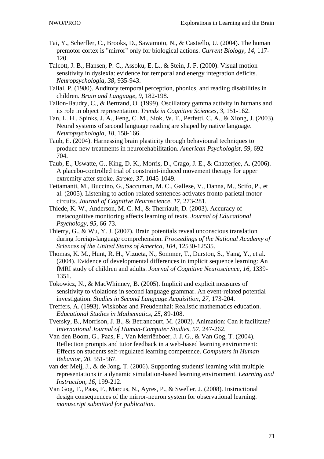- Tai, Y., Scherfler, C., Brooks, D., Sawamoto, N., & Castiello, U. (2004). The human premotor cortex is "mirror" only for biological actions. *Current Biology, 14*, 117- 120.
- Talcott, J. B., Hansen, P. C., Assoku, E. L., & Stein, J. F. (2000). Visual motion sensitivity in dyslexia: evidence for temporal and energy integration deficits. *Neuropsychologia, 38*, 935-943.
- Tallal, P. (1980). Auditory temporal perception, phonics, and reading disabilities in children. *Brain and Language, 9*, 182-198.
- Tallon-Baudry, C., & Bertrand, O. (1999). Oscillatory gamma activity in humans and its role in object representation. *Trends in Cognitive Sciences, 3*, 151-162.
- Tan, L. H., Spinks, J. A., Feng, C. M., Siok, W. T., Perfetti, C. A., & Xiong, J. (2003). Neural systems of second language reading are shaped by native language. *Neuropsychologia, 18*, 158-166.
- Taub, E. (2004). Harnessing brain plasticity through behavioural techniques to produce new treatments in neurorehabilitation. *American Psychologist, 59*, 692- 704.
- Taub, E., Uswatte, G., King, D. K., Morris, D., Crago, J. E., & Chatterjee, A. (2006). A placebo-controlled trial of constraint-induced movement therapy for upper extremity after stroke. *Stroke, 37*, 1045-1049.
- Tettamanti, M., Buccino, G., Saccuman, M. C., Gallese, V., Danna, M., Scifo, P., et al. (2005). Listening to action-related sentences activates fronto-parietal motor circuits. *Journal of Cognitive Neuroscience, 17*, 273-281.
- Thiede, K. W., Anderson, M. C. M., & Therriault, D. (2003). Accuracy of metacognitive monitoring affects learning of texts. *Journal of Educational Psychology, 95*, 66-73.
- Thierry, G., & Wu, Y. J. (2007). Brain potentials reveal unconscious translation during foreign-language comprehension. *Proceedings of the National Academy of Sciences of the United States of America, 104*, 12530-12535.
- Thomas, K. M., Hunt, R. H., Vizueta, N., Sommer, T., Durston, S., Yang, Y., et al. (2004). Evidence of developmental differences in implicit sequence learning: An fMRI study of children and adults. *Journal of Cognitive Neuroscience, 16*, 1339- 1351.
- Tokowicz, N., & MacWhinney, B. (2005). Implicit and explicit measures of sensitivity to violations in second language grammar. An event-related potential investigation. *Studies in Second Language Acquisition, 27*, 173-204.
- Treffers, A. (1993). Wiskobas and Freudenthal: Realistic mathematics education. *Educational Studies in Mathematics, 25*, 89-108.
- Tversky, B., Morrison, J. B., & Betrancourt, M. (2002). Animation: Can it facilitate? *International Journal of Human-Computer Studies, 57*, 247-262.
- Van den Boom, G., Paas, F., Van Merriënboer, J. J. G., & Van Gog, T. (2004). Reflection prompts and tutor feedback in a web-based learning environment: Effects on students self-regulated learning competence. *Computers in Human Behavior, 20*, 551-567.
- van der Meij, J., & de Jong, T. (2006). Supporting students' learning with multiple representations in a dynamic simulation-based learning environment. *Learning and Instruction, 16*, 199-212.
- Van Gog, T., Paas, F., Marcus, N., Ayres, P., & Sweller, J. (2008). Instructional design consequences of the mirror-neuron system for observational learning. *manuscript submitted for publication*.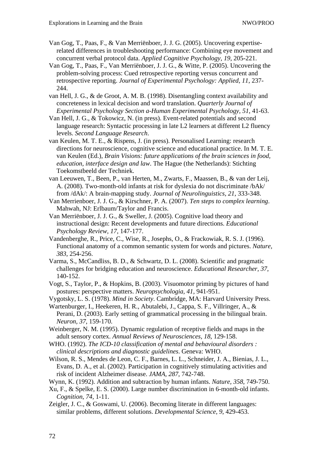- Van Gog, T., Paas, F., & Van Merriënboer, J. J. G. (2005). Uncovering expertiserelated differences in troubleshooting performance: Combining eye movement and concurrent verbal protocol data. *Applied Cognitive Psychology, 19*, 205-221.
- Van Gog, T., Paas, F., Van Merriënboer, J. J. G., & Witte, P. (2005). Uncovering the problem-solving process: Cued retrospective reporting versus concurrent and retrospective reporting. *Journal of Experimental Psychology: Applied, 11*, 237- 244.
- van Hell, J. G., & de Groot, A. M. B. (1998). Disentangling context availability and concreteness in lexical decision and word translation. *Quarterly Journal of Experimental Psychology Section a-Human Experimental Psychology, 51*, 41-63.
- Van Hell, J. G., & Tokowicz, N. (in press). Event-related potentials and second language research: Syntactic processing in late L2 learners at different L2 fluency levels. *Second Language Research*.
- van Keulen, M. T. E., & Rispens, J. (in press). Personalised Learning: research directions for neuroscience, cognitive science and educational practice. In M. T. E. van Keulen (Ed.), *Brain Visions: future applications of the brain sciences in food, education, interface design and law*. The Hague (the Netherlands): Stichting Toekomstbeeld der Techniek.
- van Leeuwen, T., Been, P., van Herten, M., Zwarts, F., Maassen, B., & van der Leij, A. (2008). Two-month-old infants at risk for dyslexia do not discriminate /bAk/ from /dAk/: A brain-mapping study. *Journal of Neurolinguistics, 21*, 333-348.
- Van Merrienboer, J. J. G., & Kirschner, P. A. (2007). *Ten steps to complex learning*. Mahwah, NJ: Erlbaum/Taylor and Francis.
- Van Merriënboer, J. J. G., & Sweller, J. (2005). Cognitive load theory and instructional design: Recent developments and future directions. *Educational Psychology Review, 17*, 147-177.
- Vandenberghe, R., Price, C., Wise, R., Josephs, O., & Frackowiak, R. S. J. (1996). Functional anatomy of a common semantic system for words and pictures. *Nature, 383*, 254-256.
- Varma, S., McCandliss, B. D., & Schwartz, D. L. (2008). Scientific and pragmatic challenges for bridging education and neuroscience. *Educational Researcher, 37*, 140-152.
- Vogt, S., Taylor, P., & Hopkins, B. (2003). Visuomotor priming by pictures of hand postures: perspective matters. *Neuropsychologia, 41*, 941-951.
- Vygotsky, L. S. (1978). *Mind in Society*. Cambridge, MA: Harvard University Press.
- Wartenburger, I., Heekeren, H. R., Abutalebi, J., Cappa, S. F., Villringer, A., & Perani, D. (2003). Early setting of grammatical processing in the bilingual brain. *Neuron, 37*, 159-170.
- Weinberger, N. M. (1995). Dynamic regulation of receptive fields and maps in the adult sensory cortex. *Annual Reviews of Neurosciences, 18*, 129-158.
- WHO. (1992). *The ICD-10 classification of mental and behavioural disorders : clinical descriptions and diagnostic guidelines*. Geneva: WHO.
- Wilson, R. S., Mendes de Leon, C. F., Barnes, L. L., Schneider, J. A., Bienias, J. L., Evans, D. A., et al. (2002). Participation in cognitively stimulating activities and risk of incident Alzheimer disease. *JAMA, 287*, 742-748.
- Wynn, K. (1992). Addition and subtraction by human infants. *Nature, 358*, 749-750.
- Xu, F., & Spelke, E. S. (2000). Large number discrimination in 6-month-old infants. *Cognition, 74*, 1-11.
- Zeigler, J. C., & Goswami, U. (2006). Becoming literate in different languages: similar problems, different solutions. *Developmental Science, 9*, 429-453.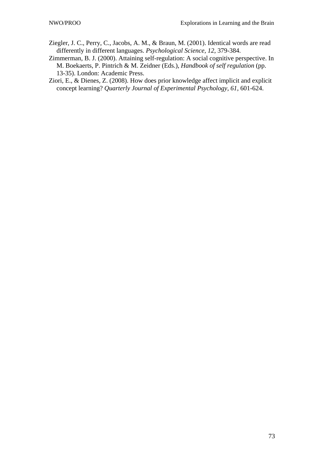- Ziegler, J. C., Perry, C., Jacobs, A. M., & Braun, M. (2001). Identical words are read differently in different languages. *Psychological Science, 12*, 379-384.
- Zimmerman, B. J. (2000). Attaining self-regulation: A social cognitive perspective. In M. Boekaerts, P. Pintrich & M. Zeidner (Eds.), *Handbook of self regulation* (pp. 13-35). London: Academic Press.
- Ziori, E., & Dienes, Z. (2008). How does prior knowledge affect implicit and explicit concept learning? *Quarterly Journal of Experimental Psychology, 61*, 601-624.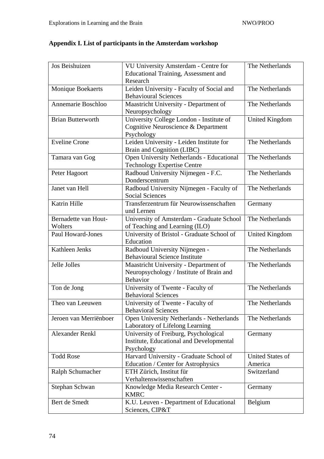| Jos Beishuizen           | VU University Amsterdam - Centre for             | The Netherlands         |
|--------------------------|--------------------------------------------------|-------------------------|
|                          | <b>Educational Training, Assessment and</b>      |                         |
|                          | Research                                         |                         |
| <b>Monique Boekaerts</b> | Leiden University - Faculty of Social and        | The Netherlands         |
|                          | <b>Behavioural Sciences</b>                      |                         |
| Annemarie Boschloo       | Maastricht University - Department of            | The Netherlands         |
|                          | Neuropsychology                                  |                         |
| <b>Brian Butterworth</b> | University College London - Institute of         | <b>United Kingdom</b>   |
|                          | Cognitive Neuroscience & Department              |                         |
|                          | Psychology                                       |                         |
| <b>Eveline Crone</b>     | Leiden University - Leiden Institute for         | The Netherlands         |
|                          | Brain and Cognition (LIBC)                       |                         |
| Tamara van Gog           | Open University Netherlands - Educational        | The Netherlands         |
|                          | <b>Technology Expertise Centre</b>               |                         |
| Peter Hagoort            | Radboud University Nijmegen - F.C.               | The Netherlands         |
|                          | Donderscentrum                                   |                         |
| Janet van Hell           | Radboud University Nijmegen - Faculty of         | The Netherlands         |
|                          | <b>Social Sciences</b>                           |                         |
| Katrin Hille             | Transferzentrum für Neurowissenschaften          | Germany                 |
|                          | und Lernen                                       |                         |
| Bernadette van Hout-     | University of Amsterdam - Graduate School        | The Netherlands         |
| Wolters                  | of Teaching and Learning (ILO)                   |                         |
| <b>Paul Howard-Jones</b> | University of Bristol - Graduate School of       | <b>United Kingdom</b>   |
|                          | Education                                        |                         |
| Kathleen Jenks           | Radboud University Nijmegen -                    | The Netherlands         |
|                          | <b>Behavioural Science Institute</b>             |                         |
| Jelle Jolles             | Maastricht University - Department of            | The Netherlands         |
|                          | Neuropsychology / Institute of Brain and         |                         |
|                          | Behavior                                         |                         |
| Ton de Jong              | University of Twente - Faculty of                | The Netherlands         |
|                          | <b>Behavioral Sciences</b>                       |                         |
| Theo van Leeuwen         | University of Twente - Faculty of                | The Netherlands         |
|                          | <b>Behavioral Sciences</b>                       |                         |
| Jeroen van Merriënboer   | <b>Open University Netherlands - Netherlands</b> | The Netherlands         |
|                          | Laboratory of Lifelong Learning                  |                         |
| <b>Alexander Renkl</b>   | University of Freiburg, Psychological            | Germany                 |
|                          | Institute, Educational and Developmental         |                         |
|                          | Psychology                                       |                         |
| <b>Todd Rose</b>         | Harvard University - Graduate School of          | <b>United States of</b> |
|                          | Education / Center for Astrophysics              | America                 |
| Ralph Schumacher         | ETH Zürich, Institut für                         | Switzerland             |
|                          | Verhaltenswissenschaften                         |                         |
| Stephan Schwan           | Knowledge Media Research Center -                | Germany                 |
|                          | <b>KMRC</b>                                      |                         |
| Bert de Smedt            | K.U. Leuven - Department of Educational          | Belgium                 |
|                          | Sciences, CIP&T                                  |                         |
|                          |                                                  |                         |

## **Appendix I. List of participants in the Amsterdam workshop**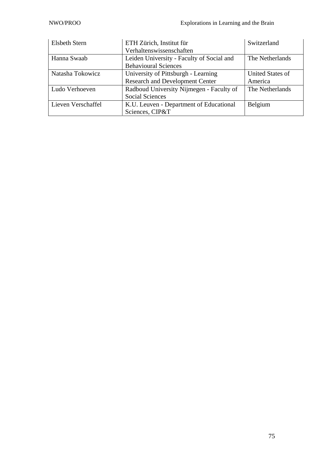| <b>Elsbeth Stern</b> | ETH Zürich, Institut für<br>Verhaltenswissenschaften                          | Switzerland                 |
|----------------------|-------------------------------------------------------------------------------|-----------------------------|
| Hanna Swaab          | Leiden University - Faculty of Social and<br><b>Behavioural Sciences</b>      | The Netherlands             |
| Natasha Tokowicz     | University of Pittsburgh - Learning<br><b>Research and Development Center</b> | United States of<br>America |
| Ludo Verhoeven       | Radboud University Nijmegen - Faculty of<br><b>Social Sciences</b>            | The Netherlands             |
| Lieven Verschaffel   | K.U. Leuven - Department of Educational<br>Sciences, CIP&T                    | Belgium                     |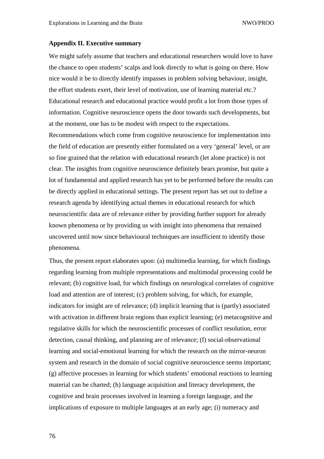## **Appendix II. Executive summary**

We might safely assume that teachers and educational researchers would love to have the chance to open students' scalps and look directly to what is going on there. How nice would it be to directly identify impasses in problem solving behaviour, insight, the effort students exert, their level of motivation, use of learning material etc.? Educational research and educational practice would profit a lot from those types of information. Cognitive neuroscience opens the door towards such developments, but at the moment, one has to be modest with respect to the expectations.

Recommendations which come from cognitive neuroscience for implementation into the field of education are presently either formulated on a very 'general' level, or are so fine grained that the relation with educational research (let alone practice) is not clear. The insights from cognitive neuroscience definitely bears promise, but quite a lot of fundamental and applied research has yet to be performed before the results can be directly applied in educational settings. The present report has set out to define a research agenda by identifying actual themes in educational research for which neuroscientific data are of relevance either by providing further support for already known phenomena or by providing us with insight into phenomena that remained uncovered until now since behavioural techniques are insufficient to identify those phenomena.

Thus, the present report elaborates upon: (a) multimedia learning, for which findings regarding learning from multiple representations and multimodal processing could be relevant; (b) cognitive load, for which findings on neurological correlates of cognitive load and attention are of interest; (c) problem solving, for which, for example, indicators for insight are of relevance; (d) implicit learning that is (partly) associated with activation in different brain regions than explicit learning; (e) metacognitive and regulative skills for which the neuroscientific processes of conflict resolution, error detection, causal thinking, and planning are of relevance; (f) social-observational learning and social-emotional learning for which the research on the mirror-neuron system and research in the domain of social cognitive neuroscience seems important; (g) affective processes in learning for which students' emotional reactions to learning material can be charted; (h) language acquisition and literacy development, the cognitive and brain processes involved in learning a foreign language, and the implications of exposure to multiple languages at an early age; (i) numeracy and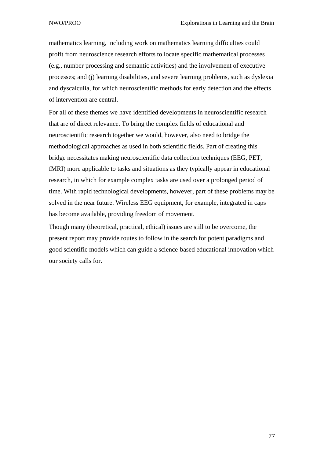mathematics learning, including work on mathematics learning difficulties could profit from neuroscience research efforts to locate specific mathematical processes (e.g., number processing and semantic activities) and the involvement of executive processes; and (j) learning disabilities, and severe learning problems, such as dyslexia and dyscalculia, for which neuroscientific methods for early detection and the effects of intervention are central.

For all of these themes we have identified developments in neuroscientific research that are of direct relevance. To bring the complex fields of educational and neuroscientific research together we would, however, also need to bridge the methodological approaches as used in both scientific fields. Part of creating this bridge necessitates making neuroscientific data collection techniques (EEG, PET, fMRI) more applicable to tasks and situations as they typically appear in educational research, in which for example complex tasks are used over a prolonged period of time. With rapid technological developments, however, part of these problems may be solved in the near future. Wireless EEG equipment, for example, integrated in caps has become available, providing freedom of movement.

Though many (theoretical, practical, ethical) issues are still to be overcome, the present report may provide routes to follow in the search for potent paradigms and good scientific models which can guide a science-based educational innovation which our society calls for.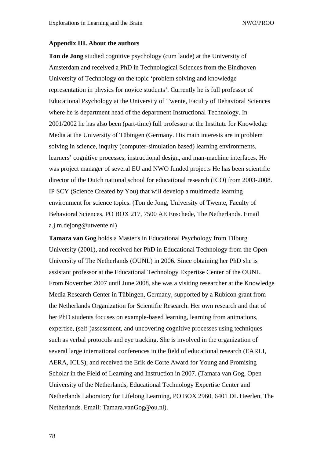## **Appendix III. About the authors**

**Ton de Jong** studied cognitive psychology (cum laude) at the University of Amsterdam and received a PhD in Technological Sciences from the Eindhoven University of Technology on the topic 'problem solving and knowledge representation in physics for novice students'. Currently he is full professor of Educational Psychology at the University of Twente, Faculty of Behavioral Sciences where he is department head of the department Instructional Technology. In 2001/2002 he has also been (part-time) full professor at the Institute for Knowledge Media at the University of Tübingen (Germany. His main interests are in problem solving in science, inquiry (computer-simulation based) learning environments, learners' cognitive processes, instructional design, and man-machine interfaces. He was project manager of several EU and NWO funded projects He has been scientific director of the Dutch national school for educational research (ICO) from 2003-2008. IP SCY (Science Created by You) that will develop a multimedia learning environment for science topics. (Ton de Jong, University of Twente, Faculty of Behavioral Sciences, PO BOX 217, 7500 AE Enschede, The Netherlands. Email a.j.m.dejong@utwente.nl)

**Tamara van Gog** holds a Master's in Educational Psychology from Tilburg University (2001), and received her PhD in Educational Technology from the Open University of The Netherlands (OUNL) in 2006. Since obtaining her PhD she is assistant professor at the Educational Technology Expertise Center of the OUNL. From November 2007 until June 2008, she was a visiting researcher at the Knowledge Media Research Center in Tübingen, Germany, supported by a Rubicon grant from the Netherlands Organization for Scientific Research. Her own research and that of her PhD students focuses on example-based learning, learning from animations, expertise, (self-)assessment, and uncovering cognitive processes using techniques such as verbal protocols and eye tracking. She is involved in the organization of several large international conferences in the field of educational research (EARLI, AERA, ICLS), and received the Erik de Corte Award for Young and Promising Scholar in the Field of Learning and Instruction in 2007. (Tamara van Gog, Open University of the Netherlands, Educational Technology Expertise Center and Netherlands Laboratory for Lifelong Learning, PO BOX 2960, 6401 DL Heerlen, The Netherlands. Email: Tamara.vanGog@ou.nl).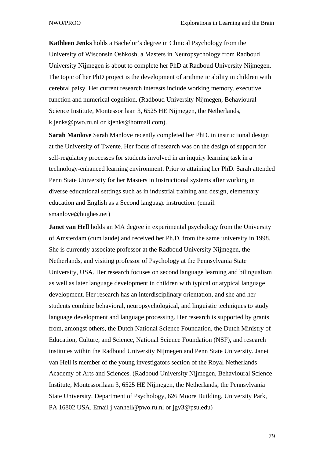**Kathleen Jenks** holds a Bachelor's degree in Clinical Psychology from the University of Wisconsin Oshkosh, a Masters in Neuropsychology from Radboud University Nijmegen is about to complete her PhD at Radboud University Nijmegen, The topic of her PhD project is the development of arithmetic ability in children with cerebral palsy. Her current research interests include working memory, executive function and numerical cognition. (Radboud University Nijmegen, Behavioural Science Institute, Montessorilaan 3, 6525 HE Nijmegen, the Netherlands, [k.jenks@pwo.ru.nl](mailto:k.jenks@pwo.ru.nl) or kjenks@hotmail.com).

**Sarah Manlove** Sarah Manlove recently completed her PhD. in instructional design at the University of Twente. Her focus of research was on the design of support for self-regulatory processes for students involved in an inquiry learning task in a technology-enhanced learning environment. Prior to attaining her PhD. Sarah attended Penn State University for her Masters in Instructional systems after working in diverse educational settings such as in industrial training and design, elementary education and English as a Second language instruction. (email: smanlove@hughes.net)

**Janet van Hell** holds an MA degree in experimental psychology from the University of Amsterdam (cum laude) and received her Ph.D. from the same university in 1998. She is currently associate professor at the Radboud University Nijmegen, the Netherlands, and visiting professor of Psychology at the Pennsylvania State University, USA. Her research focuses on second language learning and bilingualism as well as later language development in children with typical or atypical language development. Her research has an interdisciplinary orientation, and she and her students combine behavioral, neuropsychological, and linguistic techniques to study language development and language processing. Her research is supported by grants from, amongst others, the Dutch National Science Foundation, the Dutch Ministry of Education, Culture, and Science, National Science Foundation (NSF), and research institutes within the Radboud University Nijmegen and Penn State University. Janet van Hell is member of the young investigators section of the Royal Netherlands Academy of Arts and Sciences. (Radboud University Nijmegen, Behavioural Science Institute, Montessorilaan 3, 6525 HE Nijmegen, the Netherlands; the Pennsylvania State University, Department of Psychology, 626 Moore Building, University Park, PA 16802 USA. Email j.vanhell@pwo.ru.nl or jgv3@psu.edu)

79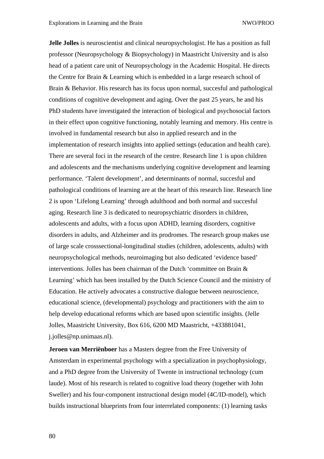**Jelle Jolles** is neuroscientist and clinical neuropsychologist. He has a position as full professor (Neuropsychology & Biopsychology) in Maastricht University and is also head of a patient care unit of Neuropsychology in the Academic Hospital. He directs the Centre for Brain & Learning which is embedded in a large research school of Brain & Behavior. His research has its focus upon normal, succesful and pathological conditions of cognitive development and aging. Over the past 25 years, he and his PhD students have investigated the interaction of biological and psychosocial factors in their effect upon cognitive functioning, notably learning and memory. His centre is involved in fundamental research but also in applied research and in the implementation of research insights into applied settings (education and health care). There are several foci in the research of the centre. Research line 1 is upon children and adolescents and the mechanisms underlying cognitive development and learning performance. 'Talent development', and determinants of normal, succesful and pathological conditions of learning are at the heart of this research line. Research line 2 is upon 'Lifelong Learning' through adulthood and both normal and succesful aging. Research line 3 is dedicated to neuropsychiatric disorders in children, adolescents and adults, with a focus upon ADHD, learning disorders, cognitive disorders in adults, and Alzheimer and its prodromes. The research group makes use of large scale crosssectional-longitudinal studies (children, adolescents, adults) with neuropsychological methods, neuroimaging but also dedicated 'evidence based' interventions. Jolles has been chairman of the Dutch 'committee on Brain & Learning' which has been installed by the Dutch Science Council and the ministry of Education. He actively advocates a constructive dialogue between neuroscience, educational science, (developmental) psychology and practitioners with the aim to help develop educational reforms which are based upon scientific insights. (Jelle Jolles, Maastricht University, Box 616, 6200 MD Maastricht, +433881041, [j.jolles@np.unimaas.nl\)](mailto:j.jolles@np.unimaas.nl).

**Jeroen van Merriënboer** has a Masters degree from the Free University of Amsterdam in experimental psychology with a specialization in psychophysiology, and a PhD degree from the University of Twente in instructional technology (cum laude). Most of his research is related to cognitive load theory (together with John Sweller) and his four-component instructional design model (4C/ID-model), which builds instructional blueprints from four interrelated components: (1) learning tasks